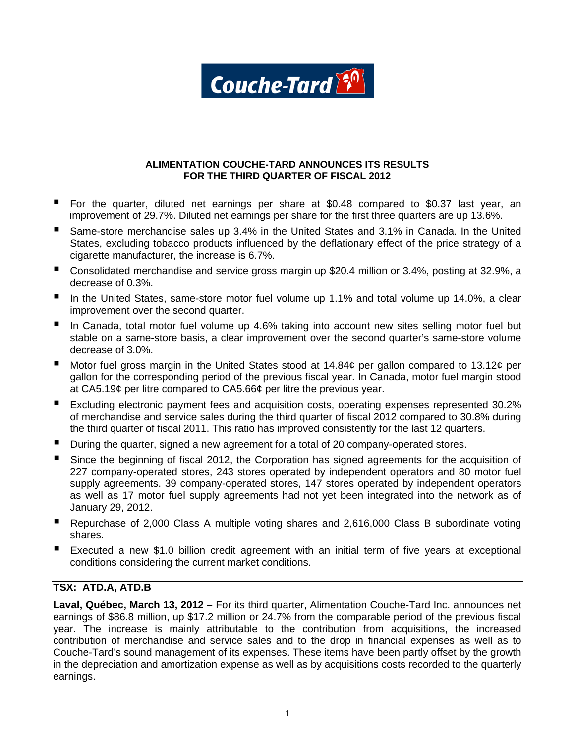

# **ALIMENTATION COUCHE-TARD ANNOUNCES ITS RESULTS FOR THE THIRD QUARTER OF FISCAL 2012**

- For the quarter, diluted net earnings per share at \$0.48 compared to \$0.37 last year, an improvement of 29.7%. Diluted net earnings per share for the first three quarters are up 13.6%.
- Same-store merchandise sales up 3.4% in the United States and 3.1% in Canada. In the United States, excluding tobacco products influenced by the deflationary effect of the price strategy of a cigarette manufacturer, the increase is 6.7%.
- Consolidated merchandise and service gross margin up \$20.4 million or 3.4%, posting at 32.9%, a decrease of 0.3%.
- In the United States, same-store motor fuel volume up 1.1% and total volume up 14.0%, a clear improvement over the second quarter.
- In Canada, total motor fuel volume up 4.6% taking into account new sites selling motor fuel but stable on a same-store basis, a clear improvement over the second quarter's same-store volume decrease of 3.0%.
- Motor fuel gross margin in the United States stood at 14.84¢ per gallon compared to 13.12¢ per gallon for the corresponding period of the previous fiscal year. In Canada, motor fuel margin stood at CA5.19¢ per litre compared to CA5.66¢ per litre the previous year.
- Excluding electronic payment fees and acquisition costs, operating expenses represented 30.2% of merchandise and service sales during the third quarter of fiscal 2012 compared to 30.8% during the third quarter of fiscal 2011. This ratio has improved consistently for the last 12 quarters.
- During the quarter, signed a new agreement for a total of 20 company-operated stores.
- Since the beginning of fiscal 2012, the Corporation has signed agreements for the acquisition of 227 company-operated stores, 243 stores operated by independent operators and 80 motor fuel supply agreements. 39 company-operated stores, 147 stores operated by independent operators as well as 17 motor fuel supply agreements had not yet been integrated into the network as of January 29, 2012.
- Repurchase of 2,000 Class A multiple voting shares and 2,616,000 Class B subordinate voting shares.
- Executed a new \$1.0 billion credit agreement with an initial term of five years at exceptional conditions considering the current market conditions.

# **TSX: ATD.A, ATD.B**

**Laval, Québec, March 13, 2012 –** For its third quarter, Alimentation Couche-Tard Inc. announces net earnings of \$86.8 million, up \$17.2 million or 24.7% from the comparable period of the previous fiscal year. The increase is mainly attributable to the contribution from acquisitions, the increased contribution of merchandise and service sales and to the drop in financial expenses as well as to Couche-Tard's sound management of its expenses. These items have been partly offset by the growth in the depreciation and amortization expense as well as by acquisitions costs recorded to the quarterly earnings.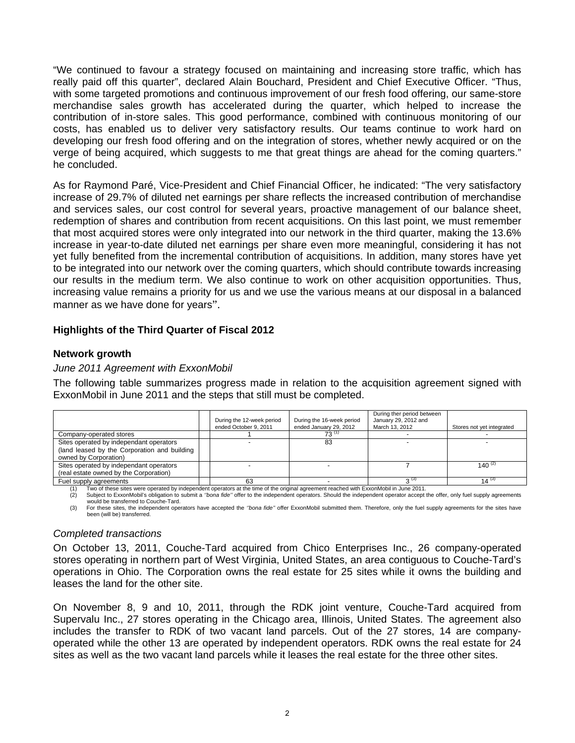"We continued to favour a strategy focused on maintaining and increasing store traffic, which has really paid off this quarter", declared Alain Bouchard, President and Chief Executive Officer. "Thus, with some targeted promotions and continuous improvement of our fresh food offering, our same-store merchandise sales growth has accelerated during the quarter, which helped to increase the contribution of in-store sales. This good performance, combined with continuous monitoring of our costs, has enabled us to deliver very satisfactory results. Our teams continue to work hard on developing our fresh food offering and on the integration of stores, whether newly acquired or on the verge of being acquired, which suggests to me that great things are ahead for the coming quarters." he concluded.

As for Raymond Paré, Vice-President and Chief Financial Officer, he indicated: "The very satisfactory increase of 29.7% of diluted net earnings per share reflects the increased contribution of merchandise and services sales, our cost control for several years, proactive management of our balance sheet, redemption of shares and contribution from recent acquisitions. On this last point, we must remember that most acquired stores were only integrated into our network in the third quarter, making the 13.6% increase in year-to-date diluted net earnings per share even more meaningful, considering it has not yet fully benefited from the incremental contribution of acquisitions. In addition, many stores have yet to be integrated into our network over the coming quarters, which should contribute towards increasing our results in the medium term. We also continue to work on other acquisition opportunities. Thus, increasing value remains a priority for us and we use the various means at our disposal in a balanced manner as we have done for years".

# **Highlights of the Third Quarter of Fiscal 2012**

# **Network growth**

## *June 2011 Agreement with ExxonMobil*

The following table summarizes progress made in relation to the acquisition agreement signed with ExxonMobil in June 2011 and the steps that still must be completed.

|                                                                                                                  | During the 12-week period<br>ended October 9, 2011 | During the 16-week period<br>ended January 29, 2012 | During ther period between<br>January 29, 2012 and<br>March 13, 2012 | Stores not yet integrated |
|------------------------------------------------------------------------------------------------------------------|----------------------------------------------------|-----------------------------------------------------|----------------------------------------------------------------------|---------------------------|
| Company-operated stores                                                                                          |                                                    | 73'                                                 |                                                                      |                           |
| Sites operated by independant operators<br>(land leased by the Corporation and building<br>owned by Corporation) |                                                    | 83                                                  |                                                                      |                           |
| Sites operated by independant operators<br>(real estate owned by the Corporation)                                |                                                    |                                                     |                                                                      | 140 $^{(2)}$              |
| Fuel supply agreements                                                                                           | 63                                                 |                                                     | $2^{(3)}$                                                            | $14^{(3)}$                |

(1) Two of these sites were operated by independent operators at the time of the original agreement reached with ExxonMobil in June 2011.

(2) Subject to ExxonMobil's obligation to submit a *''bona fide''* offer to the independent operators. Should the independent operator accept the offer, only fuel supply agreements would be transferred to Couche-Tard.

(3) For these sites, the independent operators have accepted the *''bona fide''* offer ExxonMobil submitted them. Therefore, only the fuel supply agreements for the sites have been (will be) transferred.

## *Completed transactions*

On October 13, 2011, Couche-Tard acquired from Chico Enterprises Inc., 26 company-operated stores operating in northern part of West Virginia, United States, an area contiguous to Couche-Tard's operations in Ohio. The Corporation owns the real estate for 25 sites while it owns the building and leases the land for the other site.

On November 8, 9 and 10, 2011, through the RDK joint venture, Couche-Tard acquired from Supervalu Inc., 27 stores operating in the Chicago area, Illinois, United States. The agreement also includes the transfer to RDK of two vacant land parcels. Out of the 27 stores, 14 are companyoperated while the other 13 are operated by independent operators. RDK owns the real estate for 24 sites as well as the two vacant land parcels while it leases the real estate for the three other sites.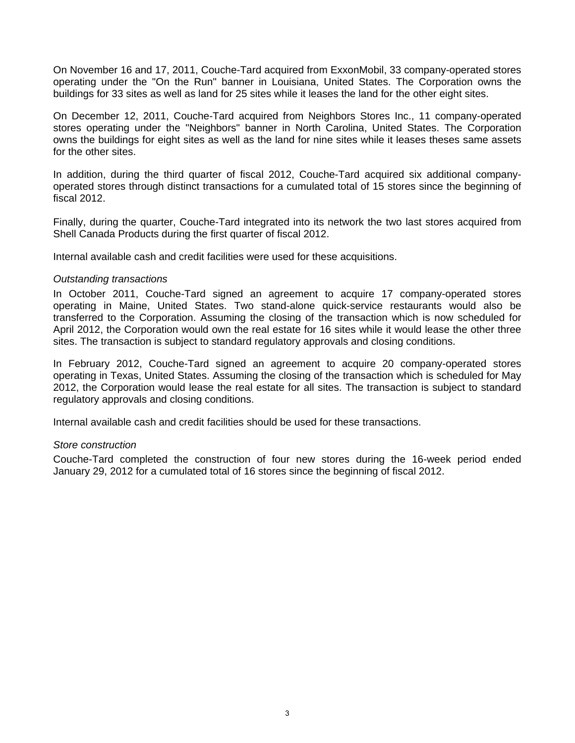On November 16 and 17, 2011, Couche-Tard acquired from ExxonMobil, 33 company-operated stores operating under the "On the Run" banner in Louisiana, United States. The Corporation owns the buildings for 33 sites as well as land for 25 sites while it leases the land for the other eight sites.

On December 12, 2011, Couche-Tard acquired from Neighbors Stores Inc., 11 company-operated stores operating under the "Neighbors" banner in North Carolina, United States. The Corporation owns the buildings for eight sites as well as the land for nine sites while it leases theses same assets for the other sites.

In addition, during the third quarter of fiscal 2012, Couche-Tard acquired six additional companyoperated stores through distinct transactions for a cumulated total of 15 stores since the beginning of fiscal 2012.

Finally, during the quarter, Couche-Tard integrated into its network the two last stores acquired from Shell Canada Products during the first quarter of fiscal 2012.

Internal available cash and credit facilities were used for these acquisitions.

## *Outstanding transactions*

In October 2011, Couche-Tard signed an agreement to acquire 17 company-operated stores operating in Maine, United States. Two stand-alone quick-service restaurants would also be transferred to the Corporation. Assuming the closing of the transaction which is now scheduled for April 2012, the Corporation would own the real estate for 16 sites while it would lease the other three sites. The transaction is subject to standard regulatory approvals and closing conditions.

In February 2012, Couche-Tard signed an agreement to acquire 20 company-operated stores operating in Texas, United States. Assuming the closing of the transaction which is scheduled for May 2012, the Corporation would lease the real estate for all sites. The transaction is subject to standard regulatory approvals and closing conditions.

Internal available cash and credit facilities should be used for these transactions.

## *Store construction*

Couche-Tard completed the construction of four new stores during the 16-week period ended January 29, 2012 for a cumulated total of 16 stores since the beginning of fiscal 2012.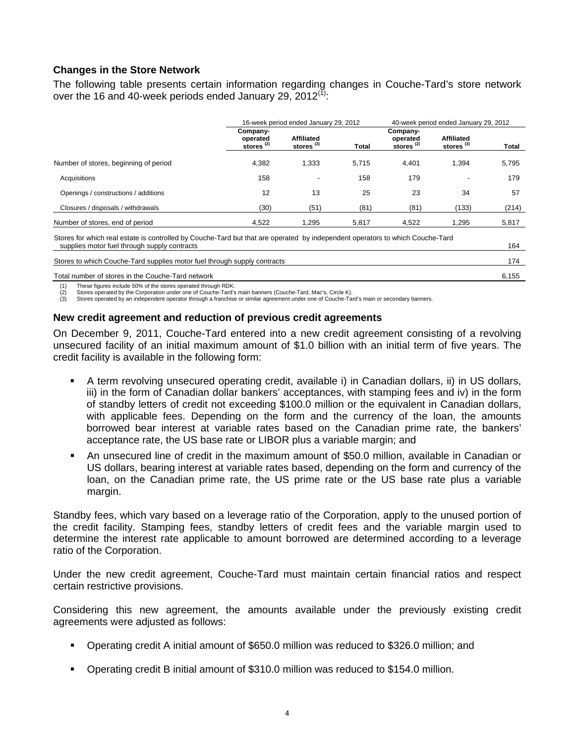# **Changes in the Store Network**

The following table presents certain information regarding changes in Couche-Tard's store network over the 16 and 40-week periods ended January 29,  $2012^{(1)}$ :

|                                                                                                                                                                               |                                      | 16-week period ended January 29, 2012 |              |                                               | 40-week period ended January 29, 2012 |              |  |  |
|-------------------------------------------------------------------------------------------------------------------------------------------------------------------------------|--------------------------------------|---------------------------------------|--------------|-----------------------------------------------|---------------------------------------|--------------|--|--|
|                                                                                                                                                                               | Company-<br>operated<br>stores $(2)$ | Affiliated<br>stores $(3)$            | <b>Total</b> | Company-<br>operated<br>stores <sup>(2)</sup> | Affiliated<br>stores $^{(3)}$         | <b>Total</b> |  |  |
| Number of stores, beginning of period                                                                                                                                         | 4.382                                | 1,333                                 | 5.715        | 4.401                                         | 1.394                                 | 5,795        |  |  |
| Acquisitions                                                                                                                                                                  | 158                                  |                                       | 158          | 179                                           | $\overline{\phantom{0}}$              | 179          |  |  |
| Openings / constructions / additions                                                                                                                                          | 12                                   | 13                                    | 25           | 23                                            | 34                                    | 57           |  |  |
| Closures / disposals / withdrawals                                                                                                                                            | (30)                                 | (51)                                  | (81)         | (81)                                          | (133)                                 | (214)        |  |  |
| Number of stores, end of period                                                                                                                                               | 4.522                                | 1.295                                 | 5.817        | 4.522                                         | 1.295                                 | 5,817        |  |  |
| Stores for which real estate is controlled by Couche-Tard but that are operated by independent operators to which Couche-Tard<br>supplies motor fuel through supply contracts |                                      |                                       |              |                                               |                                       | 164          |  |  |

Stores to which Couche-Tard supplies motor fuel through supply contracts 174

Total number of stores in the Couche-Tard network 6,155

These figures include 50% of the stores operated through RDK.

Stores operated by the Corporation under one of Couche-Tard's main banners (Couche-Tard, Mac's, Circle K).

Stores operated by an independent operator through a franchise or similar agreement under one of Couche-Tard's main or secondary banners.

## **New credit agreement and reduction of previous credit agreements**

On December 9, 2011, Couche-Tard entered into a new credit agreement consisting of a revolving unsecured facility of an initial maximum amount of \$1.0 billion with an initial term of five years. The credit facility is available in the following form:

- A term revolving unsecured operating credit, available i) in Canadian dollars, ii) in US dollars, iii) in the form of Canadian dollar bankers' acceptances, with stamping fees and iv) in the form of standby letters of credit not exceeding \$100.0 million or the equivalent in Canadian dollars, with applicable fees. Depending on the form and the currency of the loan, the amounts borrowed bear interest at variable rates based on the Canadian prime rate, the bankers' acceptance rate, the US base rate or LIBOR plus a variable margin; and
- An unsecured line of credit in the maximum amount of \$50.0 million, available in Canadian or US dollars, bearing interest at variable rates based, depending on the form and currency of the loan, on the Canadian prime rate, the US prime rate or the US base rate plus a variable margin.

Standby fees, which vary based on a leverage ratio of the Corporation, apply to the unused portion of the credit facility. Stamping fees, standby letters of credit fees and the variable margin used to determine the interest rate applicable to amount borrowed are determined according to a leverage ratio of the Corporation.

Under the new credit agreement, Couche-Tard must maintain certain financial ratios and respect certain restrictive provisions.

Considering this new agreement, the amounts available under the previously existing credit agreements were adjusted as follows:

- Operating credit A initial amount of \$650.0 million was reduced to \$326.0 million; and
- Operating credit B initial amount of \$310.0 million was reduced to \$154.0 million.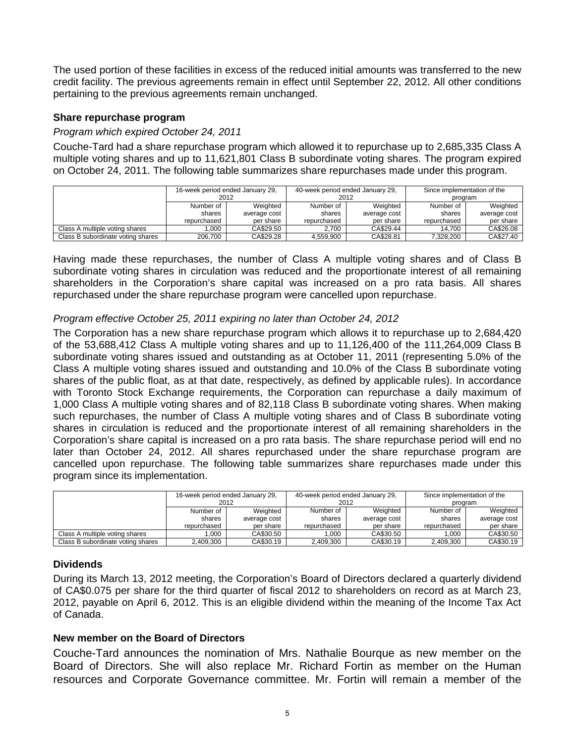The used portion of these facilities in excess of the reduced initial amounts was transferred to the new credit facility. The previous agreements remain in effect until September 22, 2012. All other conditions pertaining to the previous agreements remain unchanged.

# **Share repurchase program**

# *Program which expired October 24, 2011*

Couche-Tard had a share repurchase program which allowed it to repurchase up to 2,685,335 Class A multiple voting shares and up to 11,621,801 Class B subordinate voting shares. The program expired on October 24, 2011. The following table summarizes share repurchases made under this program.

|                                   | 16-week period ended January 29, |              | 40-week period ended January 29, |              | Since implementation of the |              |  |
|-----------------------------------|----------------------------------|--------------|----------------------------------|--------------|-----------------------------|--------------|--|
|                                   | 2012                             |              | 2012                             |              | program                     |              |  |
|                                   | Number of                        | Weighted     | Number of                        | Weighted     | Number of                   | Weighted     |  |
|                                   | shares                           | average cost | shares                           | average cost | shares                      | average cost |  |
|                                   | repurchased                      | per share    | repurchased                      | per share    | repurchased                 | per share    |  |
| Class A multiple voting shares    | .000                             | CA\$29.50    | 2.700                            | CA\$29.44    | 14.700                      | CA\$26.08    |  |
| Class B subordinate voting shares | 206.700                          | CA\$29.28    | 4.559.900                        | CA\$28.81    | 7.328.200                   | CA\$27.40    |  |

Having made these repurchases, the number of Class A multiple voting shares and of Class B subordinate voting shares in circulation was reduced and the proportionate interest of all remaining shareholders in the Corporation's share capital was increased on a pro rata basis. All shares repurchased under the share repurchase program were cancelled upon repurchase.

# *Program effective October 25, 2011 expiring no later than October 24, 2012*

The Corporation has a new share repurchase program which allows it to repurchase up to 2,684,420 of the 53,688,412 Class A multiple voting shares and up to 11,126,400 of the 111,264,009 Class B subordinate voting shares issued and outstanding as at October 11, 2011 (representing 5.0% of the Class A multiple voting shares issued and outstanding and 10.0% of the Class B subordinate voting shares of the public float, as at that date, respectively, as defined by applicable rules). In accordance with Toronto Stock Exchange requirements, the Corporation can repurchase a daily maximum of 1,000 Class A multiple voting shares and of 82,118 Class B subordinate voting shares. When making such repurchases, the number of Class A multiple voting shares and of Class B subordinate voting shares in circulation is reduced and the proportionate interest of all remaining shareholders in the Corporation's share capital is increased on a pro rata basis. The share repurchase period will end no later than October 24, 2012. All shares repurchased under the share repurchase program are cancelled upon repurchase. The following table summarizes share repurchases made under this program since its implementation.

|                                   | 16-week period ended January 29,<br>2012 |              | 40-week period ended January 29,<br>2012 |              | Since implementation of the<br>program |              |  |
|-----------------------------------|------------------------------------------|--------------|------------------------------------------|--------------|----------------------------------------|--------------|--|
|                                   | Number of                                | Weighted     | Number of                                | Weighted     | Number of                              | Weighted     |  |
|                                   | shares                                   | average cost | shares                                   | average cost | shares                                 | average cost |  |
|                                   | repurchased                              | per share    | repurchased                              | per share    | repurchased                            | per share    |  |
| Class A multiple voting shares    | .000                                     | CA\$30.50    | .000                                     | CA\$30.50    | 000.                                   | CA\$30.50    |  |
| Class B subordinate voting shares | 2,409,300                                | CA\$30.19    | 2.409.300                                | CA\$30.19    | 2,409,300                              | CA\$30.19    |  |

# **Dividends**

During its March 13, 2012 meeting, the Corporation's Board of Directors declared a quarterly dividend of CA\$0.075 per share for the third quarter of fiscal 2012 to shareholders on record as at March 23, 2012, payable on April 6, 2012. This is an eligible dividend within the meaning of the Income Tax Act of Canada.

## **New member on the Board of Directors**

Couche-Tard announces the nomination of Mrs. Nathalie Bourque as new member on the Board of Directors. She will also replace Mr. Richard Fortin as member on the Human resources and Corporate Governance committee. Mr. Fortin will remain a member of the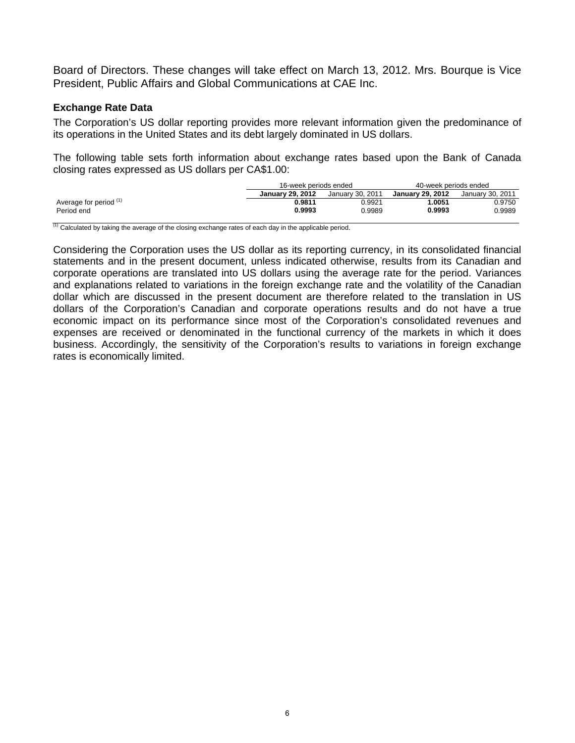Board of Directors. These changes will take effect on March 13, 2012. Mrs. Bourque is Vice President, Public Affairs and Global Communications at CAE Inc.

# **Exchange Rate Data**

The Corporation's US dollar reporting provides more relevant information given the predominance of its operations in the United States and its debt largely dominated in US dollars.

The following table sets forth information about exchange rates based upon the Bank of Canada closing rates expressed as US dollars per CA\$1.00:

|                        | 16-week periods ended   |                  | 40-week periods ended |        |  |
|------------------------|-------------------------|------------------|-----------------------|--------|--|
|                        | <b>January 29, 2012</b> | January 29, 2012 | January 30, 2011      |        |  |
| Average for period (1) | 0.9811                  | 0.9921           | .0051                 | 0.9750 |  |
| Period end             | 0.9993<br>0.9989        |                  | 0.9993                | 0.9989 |  |

 $(1)$  Calculated by taking the average of the closing exchange rates of each day in the applicable period.

Considering the Corporation uses the US dollar as its reporting currency, in its consolidated financial statements and in the present document, unless indicated otherwise, results from its Canadian and corporate operations are translated into US dollars using the average rate for the period. Variances and explanations related to variations in the foreign exchange rate and the volatility of the Canadian dollar which are discussed in the present document are therefore related to the translation in US dollars of the Corporation's Canadian and corporate operations results and do not have a true economic impact on its performance since most of the Corporation's consolidated revenues and expenses are received or denominated in the functional currency of the markets in which it does business. Accordingly, the sensitivity of the Corporation's results to variations in foreign exchange rates is economically limited.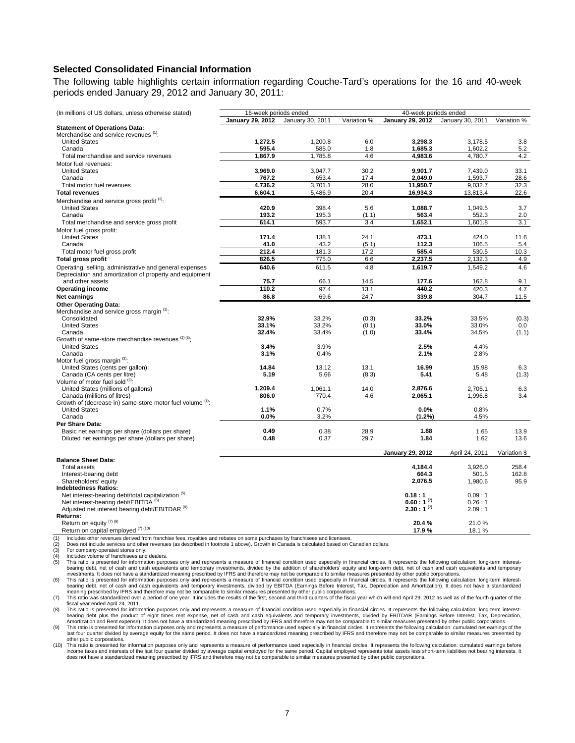## **Selected Consolidated Financial Information**

The following table highlights certain information regarding Couche-Tard's operations for the 16 and 40-week periods ended January 29, 2012 and January 30, 2011:

| (In millions of US dollars, unless otherwise stated)                   |                  |                  |              |                         | 16-week periods ended<br>40-week periods ended |              |  |  |  |  |
|------------------------------------------------------------------------|------------------|------------------|--------------|-------------------------|------------------------------------------------|--------------|--|--|--|--|
|                                                                        | January 29, 2012 | January 30, 2011 | Variation %  | <b>January 29, 2012</b> | January 30, 2011                               | Variation %  |  |  |  |  |
| <b>Statement of Operations Data:</b>                                   |                  |                  |              |                         |                                                |              |  |  |  |  |
| Merchandise and service revenues (1):                                  |                  |                  |              |                         |                                                |              |  |  |  |  |
| <b>United States</b>                                                   | 1,272.5          | 1,200.8          | 6.0          | 3,298.3                 | 3,178.5                                        | 3.8          |  |  |  |  |
| Canada                                                                 | 595.4            | 585.0            | 1.8          | 1,685.3                 | 1,602.2                                        | 5.2          |  |  |  |  |
| Total merchandise and service revenues                                 | 1.867.9          | 1,785.8          | 4.6          | 4.983.6                 | 4,780.7                                        | 4.2          |  |  |  |  |
| Motor fuel revenues:                                                   |                  |                  |              |                         |                                                |              |  |  |  |  |
| <b>United States</b>                                                   | 3,969.0          | 3,047.7          | 30.2         | 9.901.7                 | 7,439.0                                        | 33.1         |  |  |  |  |
| Canada                                                                 | 767.2            | 653.4            | 17.4         | 2.049.0                 | 1,593.7                                        | 28.6         |  |  |  |  |
| Total motor fuel revenues                                              | 4,736.2          | 3,701.1          | 28.0         | 11,950.7                | 9,032.7                                        | 32.3         |  |  |  |  |
| <b>Total revenues</b>                                                  | 6,604.1          | 5,486.9          | 20.4         | 16,934.3                | 13,813.4                                       | 22.6         |  |  |  |  |
| Merchandise and service gross profit <sup>(1)</sup> :                  |                  |                  |              |                         |                                                |              |  |  |  |  |
| <b>United States</b><br>Canada                                         | 420.9<br>193.2   | 398.4            | 5.6          | 1,088.7                 | 1,049.5                                        | 3.7          |  |  |  |  |
|                                                                        | 614.1            | 195.3<br>593.7   | (1.1)<br>3.4 | 563.4<br>1,652.1        | 552.3<br>1,601.8                               | 2.0          |  |  |  |  |
| Total merchandise and service gross profit<br>Motor fuel gross profit: |                  |                  |              |                         |                                                | 3.1          |  |  |  |  |
| <b>United States</b>                                                   | 171.4            | 138.1            | 24.1         | 473.1                   | 424.0                                          | 11.6         |  |  |  |  |
| Canada                                                                 | 41.0             | 43.2             | (5.1)        | 112.3                   | 106.5                                          | 5.4          |  |  |  |  |
| Total motor fuel gross profit                                          | 212.4            | 181.3            | 17.2         | 585.4                   | 530.5                                          | 10.3         |  |  |  |  |
| <b>Total gross profit</b>                                              | 826.5            | 775.0            | 6.6          | 2,237.5                 | 2,132.3                                        | 4.9          |  |  |  |  |
| Operating, selling, administrative and general expenses                | 640.6            | 611.5            | 4.8          | 1.619.7                 | 1,549.2                                        | 4.6          |  |  |  |  |
| Depreciation and amortization of property and equipment                |                  |                  |              |                         |                                                |              |  |  |  |  |
| and other assets                                                       | 75.7             | 66.1             | 14.5         | 177.6                   | 162.8                                          | 9.1          |  |  |  |  |
| <b>Operating income</b>                                                | 110.2            | 97.4             | 13.1         | 440.2                   | 420.3                                          | 4.7          |  |  |  |  |
| Net earnings                                                           | 86.8             | 69.6             | 24.7         | 339.8                   | 304.7                                          | 11.5         |  |  |  |  |
| <b>Other Operating Data:</b>                                           |                  |                  |              |                         |                                                |              |  |  |  |  |
| Merchandise and service gross margin (1):                              |                  |                  |              |                         |                                                |              |  |  |  |  |
| Consolidated                                                           | 32.9%            | 33.2%            | (0.3)        | 33.2%                   | 33.5%                                          | (0.3)        |  |  |  |  |
| <b>United States</b>                                                   | 33.1%            | 33.2%            | (0.1)        | 33.0%                   | 33.0%                                          | 0.0          |  |  |  |  |
| Canada                                                                 | 32.4%            | 33.4%            | (1.0)        | 33.4%                   | 34.5%                                          | (1.1)        |  |  |  |  |
| Growth of same-store merchandise revenues (2) (3):                     |                  |                  |              |                         |                                                |              |  |  |  |  |
| <b>United States</b>                                                   | 3.4%             | 3.9%             |              | 2.5%                    | 4.4%                                           |              |  |  |  |  |
| Canada                                                                 | 3.1%             | 0.4%             |              | 2.1%                    | 2.8%                                           |              |  |  |  |  |
| Motor fuel gross margin (3):                                           |                  |                  |              |                         |                                                |              |  |  |  |  |
| United States (cents per gallon):                                      | 14.84            | 13.12            | 13.1         | 16.99                   | 15.98                                          | 6.3          |  |  |  |  |
| Canada (CA cents per litre)                                            | 5.19             | 5.66             | (8.3)        | 5.41                    | 5.48                                           | (1.3)        |  |  |  |  |
| Volume of motor fuel sold (4):                                         |                  |                  |              |                         |                                                |              |  |  |  |  |
| United States (millions of gallons)<br>Canada (millions of litres)     | 1,209.4<br>806.0 | 1,061.1          | 14.0<br>4.6  | 2,876.6                 | 2,705.1                                        | 6.3<br>3.4   |  |  |  |  |
| Growth of (decrease in) same-store motor fuel volume (3):              |                  | 770.4            |              | 2,065.1                 | 1,996.8                                        |              |  |  |  |  |
| <b>United States</b>                                                   | 1.1%             | 0.7%             |              | 0.0%                    | 0.8%                                           |              |  |  |  |  |
| Canada                                                                 | 0.0%             | 3.2%             |              | (1.2%                   | 4.5%                                           |              |  |  |  |  |
| Per Share Data:                                                        |                  |                  |              |                         |                                                |              |  |  |  |  |
| Basic net earnings per share (dollars per share)                       | 0.49             | 0.38             | 28.9         | 1.88                    | 1.65                                           | 13.9         |  |  |  |  |
| Diluted net earnings per share (dollars per share)                     | 0.48             | 0.37             | 29.7         | 1.84                    | 1.62                                           | 13.6         |  |  |  |  |
|                                                                        |                  |                  |              |                         |                                                |              |  |  |  |  |
|                                                                        |                  |                  |              | <b>January 29, 2012</b> | April 24, 2011                                 | Variation \$ |  |  |  |  |
| <b>Balance Sheet Data:</b>                                             |                  |                  |              |                         |                                                |              |  |  |  |  |
| <b>Total assets</b>                                                    |                  |                  |              | 4,184.4                 | 3,926.0                                        | 258.4        |  |  |  |  |
| Interest-bearing debt                                                  |                  |                  |              | 664.3                   | 501.5                                          | 162.8        |  |  |  |  |
| Shareholders' equity                                                   |                  |                  |              | 2,076.5                 | 1,980.6                                        | 95.9         |  |  |  |  |
| <b>Indebtedness Ratios:</b>                                            |                  |                  |              |                         |                                                |              |  |  |  |  |
| Net interest-bearing debt/total capitalization <sup>(5)</sup>          |                  |                  |              | 0.18:1                  | 0.09:1                                         |              |  |  |  |  |
| Net interest-bearing debt/EBITDA <sup>(6)</sup>                        |                  |                  |              | $0.60:1^{(7)}$          | 0.26:1                                         |              |  |  |  |  |
| Adjusted net interest bearing debt/EBITDAR <sup>(8)</sup><br>Returns:  |                  |                  |              | $2.30:1^{(7)}$          | 2.09:1                                         |              |  |  |  |  |
| Return on equity $(7)$ (9)                                             |                  |                  |              | 20.4%                   | 21.0%                                          |              |  |  |  |  |
| Return on capital employed <sup>(7)(10)</sup>                          |                  |                  |              | 17.9%                   | 18.1%                                          |              |  |  |  |  |
|                                                                        |                  |                  |              |                         |                                                |              |  |  |  |  |

(1) Includes other revenues derived from franchise fees, royalties and rebates on some purchases by franchisees and licensees.

For company-operated stores only.

Includes volume of franchisees and dealers.

(2) Does not include services and other revenues (as described in footnote 1 above). Growth in Canada is calculated based on Canadian dollars.<br>(3) For company-operated stores only.<br>Includes volume of franchisees and dealer (5) This ratio is presented for information purposes only and represents a measure of financial condition used especially in financial circles. It represents the following calculation: long-term interest-

bearing debt, net of cash and cash equivalents and temporary investments, divided by the addition of shareholders' equity and long-term debt, net of cash and cash equivalents and temporary<br>Investments. It does not have a s

fiscal year ended April 24, 2011.

This ratio is presented for information purposes only and represents a measure of financial condition used especially in financial circles. It represents the following calculation: long-term interest-<br>bearing debt plus the

last four quarter divided by average equity for the same period. It does not have a standardized meaning prescribed by IFRS and therefore may not be comparable to similar measures presented by other public corporations.

(10) This ratio is presented for information purposes only and represents a measure of performance used especially in financial circles. It represents the following calculation: cumulated earnings before income taxes and interests of the last four quarter divided by average capital employed for the same period. Capital employed represents total assets less short-term liabilities not bearing interests. It<br>does not have a st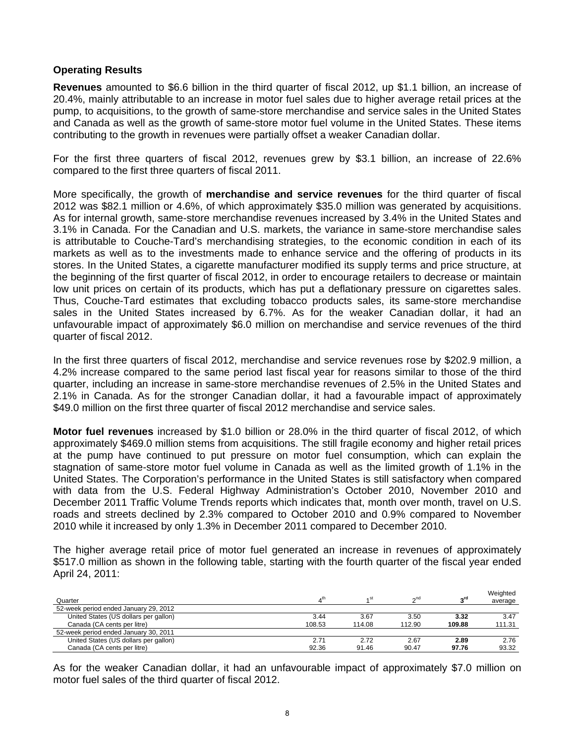# **Operating Results**

**Revenues** amounted to \$6.6 billion in the third quarter of fiscal 2012, up \$1.1 billion, an increase of 20.4%, mainly attributable to an increase in motor fuel sales due to higher average retail prices at the pump, to acquisitions, to the growth of same-store merchandise and service sales in the United States and Canada as well as the growth of same-store motor fuel volume in the United States. These items contributing to the growth in revenues were partially offset a weaker Canadian dollar.

For the first three quarters of fiscal 2012, revenues grew by \$3.1 billion, an increase of 22.6% compared to the first three quarters of fiscal 2011.

More specifically, the growth of **merchandise and service revenues** for the third quarter of fiscal 2012 was \$82.1 million or 4.6%, of which approximately \$35.0 million was generated by acquisitions. As for internal growth, same-store merchandise revenues increased by 3.4% in the United States and 3.1% in Canada. For the Canadian and U.S. markets, the variance in same-store merchandise sales is attributable to Couche-Tard's merchandising strategies, to the economic condition in each of its markets as well as to the investments made to enhance service and the offering of products in its stores. In the United States, a cigarette manufacturer modified its supply terms and price structure, at the beginning of the first quarter of fiscal 2012, in order to encourage retailers to decrease or maintain low unit prices on certain of its products, which has put a deflationary pressure on cigarettes sales. Thus, Couche-Tard estimates that excluding tobacco products sales, its same-store merchandise sales in the United States increased by 6.7%. As for the weaker Canadian dollar, it had an unfavourable impact of approximately \$6.0 million on merchandise and service revenues of the third quarter of fiscal 2012.

In the first three quarters of fiscal 2012, merchandise and service revenues rose by \$202.9 million, a 4.2% increase compared to the same period last fiscal year for reasons similar to those of the third quarter, including an increase in same-store merchandise revenues of 2.5% in the United States and 2.1% in Canada. As for the stronger Canadian dollar, it had a favourable impact of approximately \$49.0 million on the first three quarter of fiscal 2012 merchandise and service sales.

**Motor fuel revenues** increased by \$1.0 billion or 28.0% in the third quarter of fiscal 2012, of which approximately \$469.0 million stems from acquisitions. The still fragile economy and higher retail prices at the pump have continued to put pressure on motor fuel consumption, which can explain the stagnation of same-store motor fuel volume in Canada as well as the limited growth of 1.1% in the United States. The Corporation's performance in the United States is still satisfactory when compared with data from the U.S. Federal Highway Administration's October 2010, November 2010 and December 2011 Traffic Volume Trends reports which indicates that, month over month, travel on U.S. roads and streets declined by 2.3% compared to October 2010 and 0.9% compared to November 2010 while it increased by only 1.3% in December 2011 compared to December 2010.

The higher average retail price of motor fuel generated an increase in revenues of approximately \$517.0 million as shown in the following table, starting with the fourth quarter of the fiscal year ended April 24, 2011:

| Quarter                               |        | ⊿ st   | 2 <sub>nd</sub> | rdي    | Weighted<br>average |
|---------------------------------------|--------|--------|-----------------|--------|---------------------|
| 52-week period ended January 29, 2012 |        |        |                 |        |                     |
| United States (US dollars per gallon) | 3.44   | 3.67   | 3.50            | 3.32   | 3.47                |
| Canada (CA cents per litre)           | 108.53 | 114.08 | 112.90          | 109.88 | 111.31              |
| 52-week period ended January 30, 2011 |        |        |                 |        |                     |
| United States (US dollars per gallon) | 2.71   | 2.72   | 2.67            | 2.89   | 2.76                |
| Canada (CA cents per litre)           | 92.36  | 91.46  | 90.47           | 97.76  | 93.32               |

As for the weaker Canadian dollar, it had an unfavourable impact of approximately \$7.0 million on motor fuel sales of the third quarter of fiscal 2012.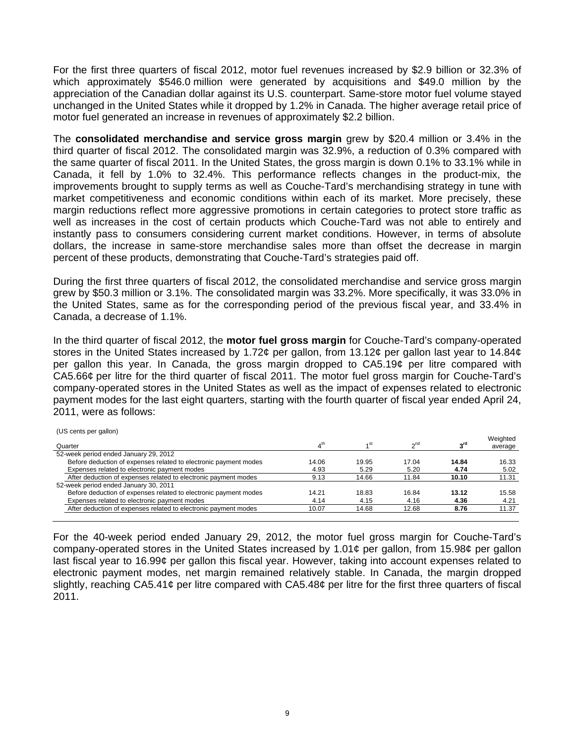For the first three quarters of fiscal 2012, motor fuel revenues increased by \$2.9 billion or 32.3% of which approximately \$546.0 million were generated by acquisitions and \$49.0 million by the appreciation of the Canadian dollar against its U.S. counterpart. Same-store motor fuel volume stayed unchanged in the United States while it dropped by 1.2% in Canada. The higher average retail price of motor fuel generated an increase in revenues of approximately \$2.2 billion.

The **consolidated merchandise and service gross margin** grew by \$20.4 million or 3.4% in the third quarter of fiscal 2012. The consolidated margin was 32.9%, a reduction of 0.3% compared with the same quarter of fiscal 2011. In the United States, the gross margin is down 0.1% to 33.1% while in Canada, it fell by 1.0% to 32.4%. This performance reflects changes in the product-mix, the improvements brought to supply terms as well as Couche-Tard's merchandising strategy in tune with market competitiveness and economic conditions within each of its market. More precisely, these margin reductions reflect more aggressive promotions in certain categories to protect store traffic as well as increases in the cost of certain products which Couche-Tard was not able to entirely and instantly pass to consumers considering current market conditions. However, in terms of absolute dollars, the increase in same-store merchandise sales more than offset the decrease in margin percent of these products, demonstrating that Couche-Tard's strategies paid off.

During the first three quarters of fiscal 2012, the consolidated merchandise and service gross margin grew by \$50.3 million or 3.1%. The consolidated margin was 33.2%. More specifically, it was 33.0% in the United States, same as for the corresponding period of the previous fiscal year, and 33.4% in Canada, a decrease of 1.1%.

In the third quarter of fiscal 2012, the **motor fuel gross margin** for Couche-Tard's company-operated stores in the United States increased by 1.72¢ per gallon, from 13.12¢ per gallon last year to 14.84¢ per gallon this year. In Canada, the gross margin dropped to CA5.19¢ per litre compared with CA5.66¢ per litre for the third quarter of fiscal 2011. The motor fuel gross margin for Couche-Tard's company-operated stores in the United States as well as the impact of expenses related to electronic payment modes for the last eight quarters, starting with the fourth quarter of fiscal year ended April 24, 2011, were as follows:

| <b>TUO CENTS DEI GAILUITI</b><br>Quarter                         | $\boldsymbol{\Lambda}^{\text{th}}$ | 4 <sup>St</sup> | $\gamma$ <sup>nd</sup> | rdو   | Weighted<br>average |
|------------------------------------------------------------------|------------------------------------|-----------------|------------------------|-------|---------------------|
| 52-week period ended January 29, 2012                            |                                    |                 |                        |       |                     |
| Before deduction of expenses related to electronic payment modes | 14.06                              | 19.95           | 17.04                  | 14.84 | 16.33               |
| Expenses related to electronic payment modes                     | 4.93                               | 5.29            | 5.20                   | 4.74  | 5.02                |
| After deduction of expenses related to electronic payment modes  | 9.13                               | 14.66           | 11.84                  | 10.10 | 11.31               |
| 52-week period ended January 30, 2011                            |                                    |                 |                        |       |                     |
| Before deduction of expenses related to electronic payment modes | 14.21                              | 18.83           | 16.84                  | 13.12 | 15.58               |
| Expenses related to electronic payment modes                     | 4.14                               | 4.15            | 4.16                   | 4.36  | 4.21                |
| After deduction of expenses related to electronic payment modes  | 10.07                              | 14.68           | 12.68                  | 8.76  | 11.37               |
|                                                                  |                                    |                 |                        |       |                     |

(US cents per gallon)

For the 40-week period ended January 29, 2012, the motor fuel gross margin for Couche-Tard's company-operated stores in the United States increased by 1.01¢ per gallon, from 15.98¢ per gallon last fiscal year to 16.99¢ per gallon this fiscal year. However, taking into account expenses related to electronic payment modes, net margin remained relatively stable. In Canada, the margin dropped slightly, reaching CA5.41¢ per litre compared with CA5.48¢ per litre for the first three quarters of fiscal 2011.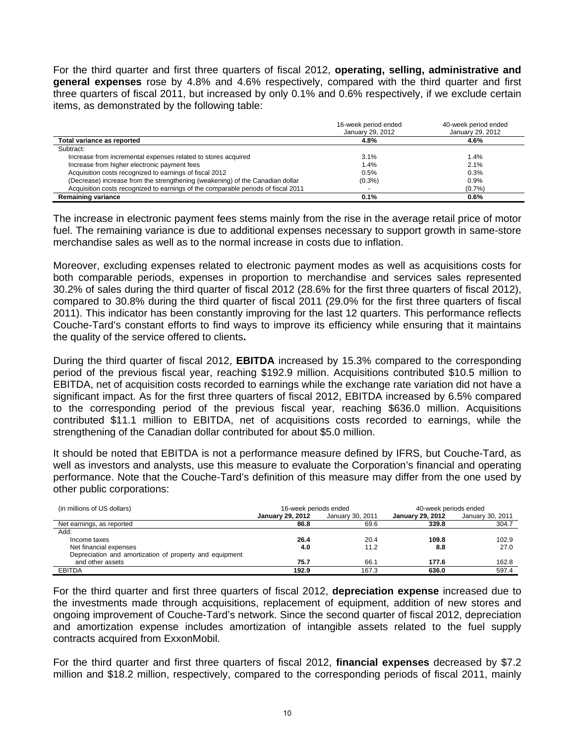For the third quarter and first three quarters of fiscal 2012, **operating, selling, administrative and general expenses** rose by 4.8% and 4.6% respectively, compared with the third quarter and first three quarters of fiscal 2011, but increased by only 0.1% and 0.6% respectively, if we exclude certain items, as demonstrated by the following table:

|                                                                                   | 16-week period ended<br>January 29, 2012 | 40-week period ended<br>January 29, 2012 |
|-----------------------------------------------------------------------------------|------------------------------------------|------------------------------------------|
| Total variance as reported                                                        | 4.8%                                     | 4.6%                                     |
| Subtract:                                                                         |                                          |                                          |
| Increase from incremental expenses related to stores acquired                     | 3.1%                                     | 1.4%                                     |
| Increase from higher electronic payment fees                                      | 1.4%                                     | 2.1%                                     |
| Acquisition costs recognized to earnings of fiscal 2012                           | 0.5%                                     | 0.3%                                     |
| (Decrease) increase from the strengthening (weakening) of the Canadian dollar     | $(0.3\%)$                                | 0.9%                                     |
| Acquisition costs recognized to earnings of the comparable periods of fiscal 2011 |                                          | (0.7%                                    |
| <b>Remaining variance</b>                                                         | 0.1%                                     | 0.6%                                     |

The increase in electronic payment fees stems mainly from the rise in the average retail price of motor fuel. The remaining variance is due to additional expenses necessary to support growth in same-store merchandise sales as well as to the normal increase in costs due to inflation.

Moreover, excluding expenses related to electronic payment modes as well as acquisitions costs for both comparable periods, expenses in proportion to merchandise and services sales represented 30.2% of sales during the third quarter of fiscal 2012 (28.6% for the first three quarters of fiscal 2012), compared to 30.8% during the third quarter of fiscal 2011 (29.0% for the first three quarters of fiscal 2011). This indicator has been constantly improving for the last 12 quarters. This performance reflects Couche-Tard's constant efforts to find ways to improve its efficiency while ensuring that it maintains the quality of the service offered to clients**.** 

During the third quarter of fiscal 2012, **EBITDA** increased by 15.3% compared to the corresponding period of the previous fiscal year, reaching \$192.9 million. Acquisitions contributed \$10.5 million to EBITDA, net of acquisition costs recorded to earnings while the exchange rate variation did not have a significant impact. As for the first three quarters of fiscal 2012, EBITDA increased by 6.5% compared to the corresponding period of the previous fiscal year, reaching \$636.0 million. Acquisitions contributed \$11.1 million to EBITDA, net of acquisitions costs recorded to earnings, while the strengthening of the Canadian dollar contributed for about \$5.0 million.

It should be noted that EBITDA is not a performance measure defined by IFRS, but Couche-Tard, as well as investors and analysts, use this measure to evaluate the Corporation's financial and operating performance. Note that the Couche-Tard's definition of this measure may differ from the one used by other public corporations:

| (in millions of US dollars)                             | 16-week periods ended   |                  | 40-week periods ended |       |  |  |
|---------------------------------------------------------|-------------------------|------------------|-----------------------|-------|--|--|
|                                                         | <b>January 29, 2012</b> | January 30, 2011 |                       |       |  |  |
| Net earnings, as reported                               | 86.8                    | 69.6             | 339.8                 | 304.7 |  |  |
| Add:                                                    |                         |                  |                       |       |  |  |
| Income taxes                                            | 26.4                    | 20.4             | 109.8                 | 102.9 |  |  |
| Net financial expenses                                  | 4.0                     | 11.2             | 8.8                   | 27.0  |  |  |
| Depreciation and amortization of property and equipment |                         |                  |                       |       |  |  |
| and other assets                                        | 75.7                    | 66.              | 177.6                 | 162.8 |  |  |
| <b>EBITDA</b>                                           | 192.9                   | 167.3            | 636.0                 | 597.4 |  |  |

For the third quarter and first three quarters of fiscal 2012, **depreciation expense** increased due to the investments made through acquisitions, replacement of equipment, addition of new stores and ongoing improvement of Couche-Tard's network. Since the second quarter of fiscal 2012, depreciation and amortization expense includes amortization of intangible assets related to the fuel supply contracts acquired from ExxonMobil.

For the third quarter and first three quarters of fiscal 2012, **financial expenses** decreased by \$7.2 million and \$18.2 million, respectively, compared to the corresponding periods of fiscal 2011, mainly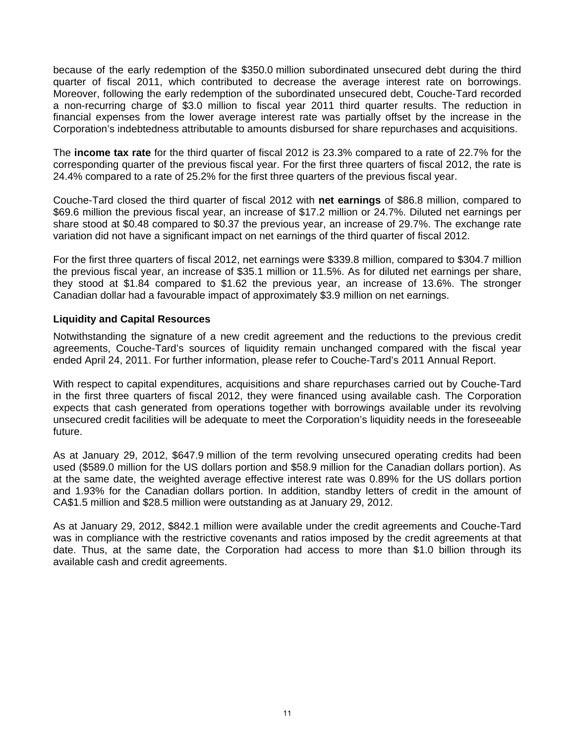because of the early redemption of the \$350.0 million subordinated unsecured debt during the third quarter of fiscal 2011, which contributed to decrease the average interest rate on borrowings. Moreover, following the early redemption of the subordinated unsecured debt, Couche-Tard recorded a non-recurring charge of \$3.0 million to fiscal year 2011 third quarter results. The reduction in financial expenses from the lower average interest rate was partially offset by the increase in the Corporation's indebtedness attributable to amounts disbursed for share repurchases and acquisitions.

The **income tax rate** for the third quarter of fiscal 2012 is 23.3% compared to a rate of 22.7% for the corresponding quarter of the previous fiscal year. For the first three quarters of fiscal 2012, the rate is 24.4% compared to a rate of 25.2% for the first three quarters of the previous fiscal year.

Couche-Tard closed the third quarter of fiscal 2012 with **net earnings** of \$86.8 million, compared to \$69.6 million the previous fiscal year, an increase of \$17.2 million or 24.7%. Diluted net earnings per share stood at \$0.48 compared to \$0.37 the previous year, an increase of 29.7%. The exchange rate variation did not have a significant impact on net earnings of the third quarter of fiscal 2012.

For the first three quarters of fiscal 2012, net earnings were \$339.8 million, compared to \$304.7 million the previous fiscal year, an increase of \$35.1 million or 11.5%. As for diluted net earnings per share, they stood at \$1.84 compared to \$1.62 the previous year, an increase of 13.6%. The stronger Canadian dollar had a favourable impact of approximately \$3.9 million on net earnings.

# **Liquidity and Capital Resources**

Notwithstanding the signature of a new credit agreement and the reductions to the previous credit agreements, Couche-Tard's sources of liquidity remain unchanged compared with the fiscal year ended April 24, 2011. For further information, please refer to Couche-Tard's 2011 Annual Report.

With respect to capital expenditures, acquisitions and share repurchases carried out by Couche-Tard in the first three quarters of fiscal 2012, they were financed using available cash. The Corporation expects that cash generated from operations together with borrowings available under its revolving unsecured credit facilities will be adequate to meet the Corporation's liquidity needs in the foreseeable future.

As at January 29, 2012, \$647.9 million of the term revolving unsecured operating credits had been used (\$589.0 million for the US dollars portion and \$58.9 million for the Canadian dollars portion). As at the same date, the weighted average effective interest rate was 0.89% for the US dollars portion and 1.93% for the Canadian dollars portion. In addition, standby letters of credit in the amount of CA\$1.5 million and \$28.5 million were outstanding as at January 29, 2012.

As at January 29, 2012, \$842.1 million were available under the credit agreements and Couche-Tard was in compliance with the restrictive covenants and ratios imposed by the credit agreements at that date. Thus, at the same date, the Corporation had access to more than \$1.0 billion through its available cash and credit agreements.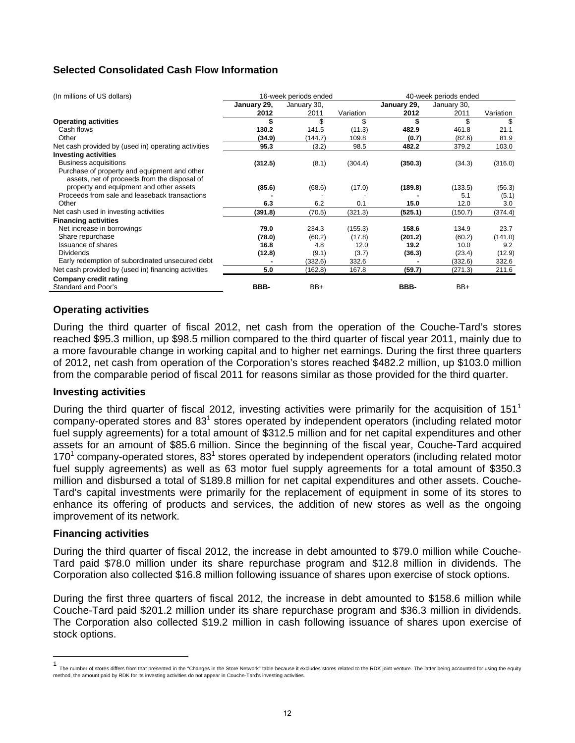# **Selected Consolidated Cash Flow Information**

| (In millions of US dollars)                         |             | 16-week periods ended |           |             | 40-week periods ended |           |  |  |
|-----------------------------------------------------|-------------|-----------------------|-----------|-------------|-----------------------|-----------|--|--|
|                                                     | January 29, | January 30,           |           | January 29, | January 30,           |           |  |  |
|                                                     | 2012        | 2011                  | Variation | 2012        | 2011                  | Variation |  |  |
| <b>Operating activities</b>                         |             | \$                    | \$        |             | \$                    | S         |  |  |
| Cash flows                                          | 130.2       | 141.5                 | (11.3)    | 482.9       | 461.8                 | 21.1      |  |  |
| Other                                               | (34.9)      | (144.7)               | 109.8     | (0.7)       | (82.6)                | 81.9      |  |  |
| Net cash provided by (used in) operating activities | 95.3        | (3.2)                 | 98.5      | 482.2       | 379.2                 | 103.0     |  |  |
| <b>Investing activities</b>                         |             |                       |           |             |                       |           |  |  |
| Business acquisitions                               | (312.5)     | (8.1)                 | (304.4)   | (350.3)     | (34.3)                | (316.0)   |  |  |
| Purchase of property and equipment and other        |             |                       |           |             |                       |           |  |  |
| assets, net of proceeds from the disposal of        |             |                       |           |             |                       |           |  |  |
| property and equipment and other assets             | (85.6)      | (68.6)                | (17.0)    | (189.8)     | (133.5)               | (56.3)    |  |  |
| Proceeds from sale and leaseback transactions       |             |                       |           |             | 5.1                   | (5.1)     |  |  |
| Other                                               | 6.3         | 6.2                   | 0.1       | 15.0        | 12.0                  | 3.0       |  |  |
| Net cash used in investing activities               | (391.8)     | (70.5)                | (321.3)   | (525.1)     | (150.7)               | (374.4)   |  |  |
| <b>Financing activities</b>                         |             |                       |           |             |                       |           |  |  |
| Net increase in borrowings                          | 79.0        | 234.3                 | (155.3)   | 158.6       | 134.9                 | 23.7      |  |  |
| Share repurchase                                    | (78.0)      | (60.2)                | (17.8)    | (201.2)     | (60.2)                | (141.0)   |  |  |
| <b>Issuance of shares</b>                           | 16.8        | 4.8                   | 12.0      | 19.2        | 10.0                  | 9.2       |  |  |
| <b>Dividends</b>                                    | (12.8)      | (9.1)                 | (3.7)     | (36.3)      | (23.4)                | (12.9)    |  |  |
| Early redemption of subordinated unsecured debt     |             | (332.6)               | 332.6     |             | (332.6)               | 332.6     |  |  |
| Net cash provided by (used in) financing activities | 5.0         | (162.8)               | 167.8     | (59.7)      | (271.3)               | 211.6     |  |  |
| Company credit rating                               |             |                       |           |             |                       |           |  |  |
| Standard and Poor's                                 | BBB-        | BB+                   |           | BBB-        | BB+                   |           |  |  |

# **Operating activities**

During the third quarter of fiscal 2012, net cash from the operation of the Couche-Tard's stores reached \$95.3 million, up \$98.5 million compared to the third quarter of fiscal year 2011, mainly due to a more favourable change in working capital and to higher net earnings. During the first three quarters of 2012, net cash from operation of the Corporation's stores reached \$482.2 million, up \$103.0 million from the comparable period of fiscal 2011 for reasons similar as those provided for the third quarter.

## **Investing activities**

During the third quarter of fiscal 2012, investing activities were primarily for the acquisition of  $151<sup>1</sup>$ company-operated stores and 83 $<sup>1</sup>$  stores operated by independent operators (including related motor</sup> fuel supply agreements) for a total amount of \$312.5 million and for net capital expenditures and other assets for an amount of \$85.6 million. Since the beginning of the fiscal year, Couche-Tard acquired 170 $1$  company-operated stores, 83 $1$  stores operated by independent operators (including related motor fuel supply agreements) as well as 63 motor fuel supply agreements for a total amount of \$350.3 million and disbursed a total of \$189.8 million for net capital expenditures and other assets. Couche-Tard's capital investments were primarily for the replacement of equipment in some of its stores to enhance its offering of products and services, the addition of new stores as well as the ongoing improvement of its network.

## **Financing activities**

During the third quarter of fiscal 2012, the increase in debt amounted to \$79.0 million while Couche-Tard paid \$78.0 million under its share repurchase program and \$12.8 million in dividends. The Corporation also collected \$16.8 million following issuance of shares upon exercise of stock options.

During the first three quarters of fiscal 2012, the increase in debt amounted to \$158.6 million while Couche-Tard paid \$201.2 million under its share repurchase program and \$36.3 million in dividends. The Corporation also collected \$19.2 million in cash following issuance of shares upon exercise of stock options.

 1 The number of stores differs from that presented in the "Changes in the Store Network" table because it excludes stores related to the RDK joint venture. The latter being accounted for using the equity method, the amount paid by RDK for its investing activities do not appear in Couche-Tard's investing activities.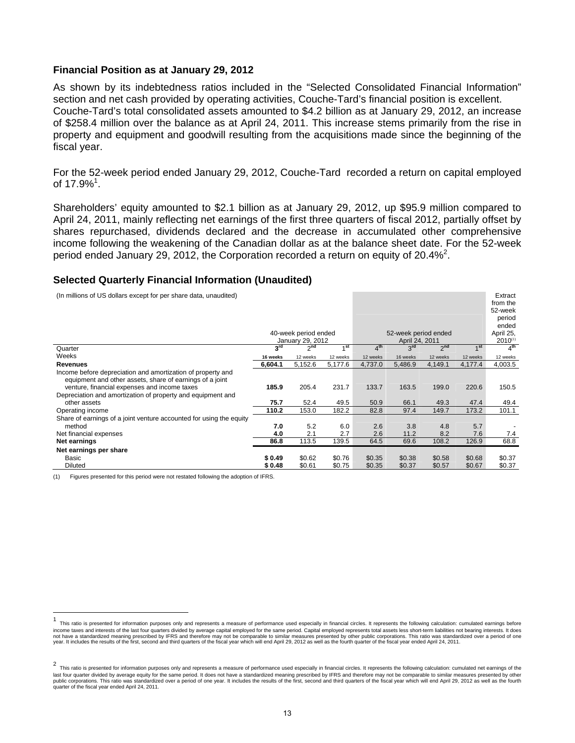## **Financial Position as at January 29, 2012**

As shown by its indebtedness ratios included in the "Selected Consolidated Financial Information" section and net cash provided by operating activities, Couche-Tard's financial position is excellent. Couche-Tard's total consolidated assets amounted to \$4.2 billion as at January 29, 2012, an increase of \$258.4 million over the balance as at April 24, 2011. This increase stems primarily from the rise in property and equipment and goodwill resulting from the acquisitions made since the beginning of the fiscal year.

For the 52-week period ended January 29, 2012, Couche-Tard recorded a return on capital employed of 17.9% $^1$ .

Shareholders' equity amounted to \$2.1 billion as at January 29, 2012, up \$95.9 million compared to April 24, 2011, mainly reflecting net earnings of the first three quarters of fiscal 2012, partially offset by shares repurchased, dividends declared and the decrease in accumulated other comprehensive income following the weakening of the Canadian dollar as at the balance sheet date. For the 52-week period ended January 29, 2012, the Corporation recorded a return on equity of 20.4%<sup>2</sup>.

## **Selected Quarterly Financial Information (Unaudited)**

| (In millions of US dollars except for per share data, unaudited)                                                                                                        |                    | 40-week period ended<br>January 29, 2012 |                     |                    | 52-week period ended<br>April 24, 2011 |                     |                     | Extract<br>from the<br>52-week<br>period<br>ended<br>April 25,<br>$2010^{(1)}$ |
|-------------------------------------------------------------------------------------------------------------------------------------------------------------------------|--------------------|------------------------------------------|---------------------|--------------------|----------------------------------------|---------------------|---------------------|--------------------------------------------------------------------------------|
| Quarter                                                                                                                                                                 | $3^{\text{rd}}$    | 2 <sup>nd</sup>                          | 1 <sup>st</sup>     | 4 <sup>th</sup>    | 3 <sup>rd</sup>                        | 2 <sup>nd</sup>     | 1 <sup>st</sup>     | 4 <sup>th</sup>                                                                |
| Weeks                                                                                                                                                                   | 16 weeks           | 12 weeks                                 | 12 weeks            | 12 weeks           | 16 weeks                               | 12 weeks            | 12 weeks            | 12 weeks                                                                       |
| <b>Revenues</b>                                                                                                                                                         | 6,604.1            | 5,152.6                                  | 5,177.6             | 4,737.0            | 5,486.9                                | 4,149.1             | 4,177.4             | 4,003.5                                                                        |
| Income before depreciation and amortization of property and<br>equipment and other assets, share of earnings of a joint<br>venture, financial expenses and income taxes | 185.9              | 205.4                                    | 231.7               | 133.7              | 163.5                                  | 199.0               | 220.6               | 150.5                                                                          |
| Depreciation and amortization of property and equipment and<br>other assets                                                                                             | 75.7               | 52.4                                     | 49.5                | 50.9               | 66.1                                   | 49.3                | 47.4                | 49.4                                                                           |
| Operating income                                                                                                                                                        | 110.2              | 153.0                                    | 182.2               | 82.8               | 97.4                                   | 149.7               | 173.2               | 101.1                                                                          |
| Share of earnings of a joint venture accounted for using the equity<br>method<br>Net financial expenses<br>Net earnings                                                 | 7.0<br>4.0<br>86.8 | 5.2<br>2.1<br>113.5                      | 6.0<br>2.7<br>139.5 | 2.6<br>2.6<br>64.5 | 3.8<br>11.2<br>69.6                    | 4.8<br>8.2<br>108.2 | 5.7<br>7.6<br>126.9 | 7.4<br>68.8                                                                    |
| Net earnings per share                                                                                                                                                  |                    |                                          |                     |                    |                                        |                     |                     |                                                                                |
| Basic                                                                                                                                                                   | \$0.49             | \$0.62                                   | \$0.76              | \$0.35             | \$0.38                                 | \$0.58              | \$0.68              | \$0.37                                                                         |
| Diluted                                                                                                                                                                 | \$0.48             | \$0.61                                   | \$0.75              | \$0.35             | \$0.37                                 | \$0.57              | \$0.67              | \$0.37                                                                         |

(1) Figures presented for this period were not restated following the adoption of IFRS.

 $\overline{a}$ 

This ratio is presented for information purposes only and represents a measure of performance used especially in financial circles. It represents the following calculation: cumulated earnings before income taxes and interests of the last four quarters divided by average capital employed for the same period. Capital employed represents total assets less short-term liabilities not bearing interests. It does not have a standardized meaning prescribed by IFRS and therefore may not be comparable to similar measures presented by other public corporations. This ratio was standardized over a period of one<br>year. It includes the resu

<sup>&</sup>lt;sup>2</sup> This ratio is presented for information purposes only and represents a measure of performance used especially in financial circles. It represents the following calculation: cumulated net earnings of the<br>This ratio is p last four quarter divided by average equity for the same period. It does not have a standardized meaning prescribed by IFRS and therefore may not be comparable to similar measures presented by other<br>public corporations. Th quarter of the fiscal year ended April 24, 2011.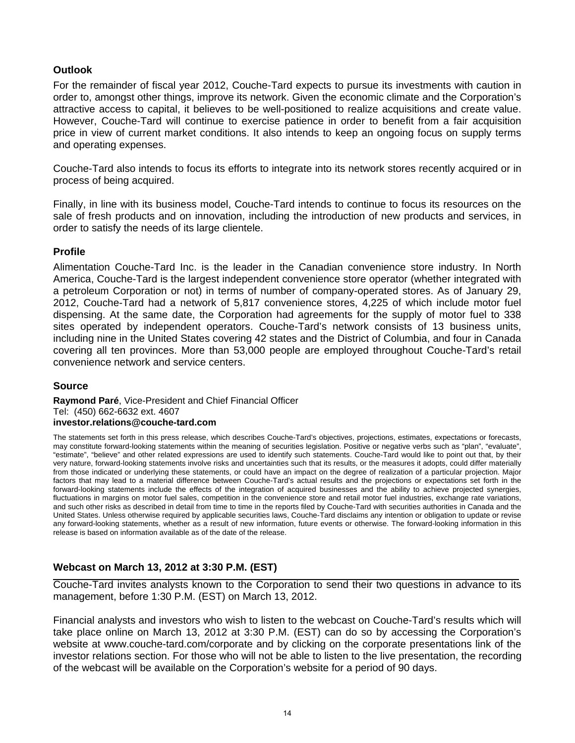# **Outlook**

For the remainder of fiscal year 2012, Couche-Tard expects to pursue its investments with caution in order to, amongst other things, improve its network. Given the economic climate and the Corporation's attractive access to capital, it believes to be well-positioned to realize acquisitions and create value. However, Couche-Tard will continue to exercise patience in order to benefit from a fair acquisition price in view of current market conditions. It also intends to keep an ongoing focus on supply terms and operating expenses.

Couche-Tard also intends to focus its efforts to integrate into its network stores recently acquired or in process of being acquired.

Finally, in line with its business model, Couche-Tard intends to continue to focus its resources on the sale of fresh products and on innovation, including the introduction of new products and services, in order to satisfy the needs of its large clientele.

# **Profile**

Alimentation Couche-Tard Inc. is the leader in the Canadian convenience store industry. In North America, Couche-Tard is the largest independent convenience store operator (whether integrated with a petroleum Corporation or not) in terms of number of company-operated stores. As of January 29, 2012, Couche-Tard had a network of 5,817 convenience stores, 4,225 of which include motor fuel dispensing. At the same date, the Corporation had agreements for the supply of motor fuel to 338 sites operated by independent operators. Couche-Tard's network consists of 13 business units, including nine in the United States covering 42 states and the District of Columbia, and four in Canada covering all ten provinces. More than 53,000 people are employed throughout Couche-Tard's retail convenience network and service centers.

# **Source**

## **Raymond Paré**, Vice-President and Chief Financial Officer Tel: (450) 662-6632 ext. 4607 **investor.relations@couche-tard.com**

The statements set forth in this press release, which describes Couche-Tard's objectives, projections, estimates, expectations or forecasts, may constitute forward-looking statements within the meaning of securities legislation. Positive or negative verbs such as "plan", "evaluate", "estimate", "believe" and other related expressions are used to identify such statements. Couche-Tard would like to point out that, by their very nature, forward-looking statements involve risks and uncertainties such that its results, or the measures it adopts, could differ materially from those indicated or underlying these statements, or could have an impact on the degree of realization of a particular projection. Major factors that may lead to a material difference between Couche-Tard's actual results and the projections or expectations set forth in the forward-looking statements include the effects of the integration of acquired businesses and the ability to achieve projected synergies, fluctuations in margins on motor fuel sales, competition in the convenience store and retail motor fuel industries, exchange rate variations, and such other risks as described in detail from time to time in the reports filed by Couche-Tard with securities authorities in Canada and the United States. Unless otherwise required by applicable securities laws, Couche-Tard disclaims any intention or obligation to update or revise any forward-looking statements, whether as a result of new information, future events or otherwise. The forward-looking information in this release is based on information available as of the date of the release.

# **Webcast on March 13, 2012 at 3:30 P.M. (EST)**

Couche-Tard invites analysts known to the Corporation to send their two questions in advance to its management, before 1:30 P.M. (EST) on March 13, 2012.

Financial analysts and investors who wish to listen to the webcast on Couche-Tard's results which will take place online on March 13, 2012 at 3:30 P.M. (EST) can do so by accessing the Corporation's website at www.couche-tard.com/corporate and by clicking on the corporate presentations link of the investor relations section. For those who will not be able to listen to the live presentation, the recording of the webcast will be available on the Corporation's website for a period of 90 days.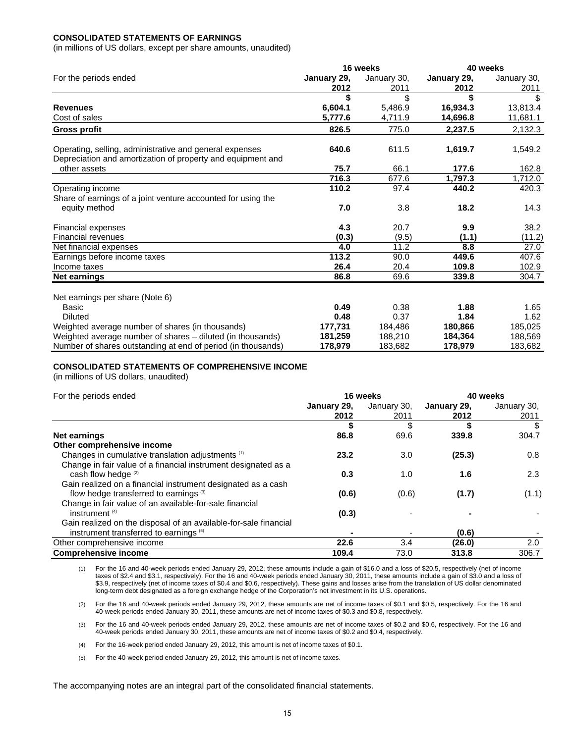## **CONSOLIDATED STATEMENTS OF EARNINGS**

(in millions of US dollars, except per share amounts, unaudited)

|                                                                                                                        |             | 16 weeks    | 40 weeks    |             |  |
|------------------------------------------------------------------------------------------------------------------------|-------------|-------------|-------------|-------------|--|
| For the periods ended                                                                                                  | January 29, | January 30, | January 29, | January 30, |  |
|                                                                                                                        | 2012        | 2011        | 2012        | 2011        |  |
|                                                                                                                        | \$          | \$          |             | \$          |  |
| <b>Revenues</b>                                                                                                        | 6,604.1     | 5,486.9     | 16,934.3    | 13,813.4    |  |
| Cost of sales                                                                                                          | 5,777.6     | 4,711.9     | 14,696.8    | 11,681.1    |  |
| <b>Gross profit</b>                                                                                                    | 826.5       | 775.0       | 2,237.5     | 2,132.3     |  |
| Operating, selling, administrative and general expenses<br>Depreciation and amortization of property and equipment and | 640.6       | 611.5       | 1,619.7     | 1,549.2     |  |
| other assets                                                                                                           | 75.7        | 66.1        | 177.6       | 162.8       |  |
|                                                                                                                        | 716.3       | 677.6       | 1,797.3     | 1,712.0     |  |
| Operating income                                                                                                       | 110.2       | 97.4        | 440.2       | 420.3       |  |
| Share of earnings of a joint venture accounted for using the                                                           |             |             |             |             |  |
| equity method                                                                                                          | 7.0         | 3.8         | 18.2        | 14.3        |  |
| <b>Financial expenses</b>                                                                                              | 4.3         | 20.7        | 9.9         | 38.2        |  |
| <b>Financial revenues</b>                                                                                              | (0.3)       | (9.5)       | (1.1)       | (11.2)      |  |
| Net financial expenses                                                                                                 | 4.0         | 11.2        | 8.8         | 27.0        |  |
| Earnings before income taxes                                                                                           | 113.2       | 90.0        | 449.6       | 407.6       |  |
| Income taxes                                                                                                           | 26.4        | 20.4        | 109.8       | 102.9       |  |
| Net earnings                                                                                                           | 86.8        | 69.6        | 339.8       | 304.7       |  |
| Net earnings per share (Note 6)                                                                                        |             |             |             |             |  |
| Basic                                                                                                                  | 0.49        | 0.38        | 1.88        | 1.65        |  |
| <b>Diluted</b>                                                                                                         | 0.48        | 0.37        | 1.84        | 1.62        |  |
| Weighted average number of shares (in thousands)                                                                       | 177,731     | 184,486     | 180,866     | 185,025     |  |
| Weighted average number of shares - diluted (in thousands)                                                             | 181,259     | 188,210     | 184,364     | 188,569     |  |
| Number of shares outstanding at end of period (in thousands)                                                           | 178,979     | 183,682     | 178,979     | 183,682     |  |

### **CONSOLIDATED STATEMENTS OF COMPREHENSIVE INCOME**

(in millions of US dollars, unaudited)

| For the periods ended                                            |             | 16 weeks                 | 40 weeks    |             |  |
|------------------------------------------------------------------|-------------|--------------------------|-------------|-------------|--|
|                                                                  | January 29, | January 30,              | January 29, | January 30, |  |
|                                                                  | 2012        | 2011                     | 2012        | 2011        |  |
|                                                                  |             | \$                       |             | \$          |  |
| Net earnings                                                     | 86.8        | 69.6                     | 339.8       | 304.7       |  |
| Other comprehensive income                                       |             |                          |             |             |  |
| Changes in cumulative translation adjustments <sup>(1)</sup>     | 23.2        | 3.0                      | (25.3)      | 0.8         |  |
| Change in fair value of a financial instrument designated as a   |             |                          |             |             |  |
| cash flow hedge (2)                                              | 0.3         | 1.0                      | 1.6         | 2.3         |  |
| Gain realized on a financial instrument designated as a cash     |             |                          |             |             |  |
| flow hedge transferred to earnings <sup>(3)</sup>                | (0.6)       | (0.6)                    | (1.7)       | (1.1)       |  |
| Change in fair value of an available-for-sale financial          |             |                          |             |             |  |
| instrument $(4)$                                                 | (0.3)       |                          |             |             |  |
| Gain realized on the disposal of an available-for-sale financial |             |                          |             |             |  |
| instrument transferred to earnings (5)                           |             | $\overline{\phantom{0}}$ | (0.6)       |             |  |
| Other comprehensive income                                       | 22.6        | 3.4                      | (26.0)      | 2.0         |  |
| <b>Comprehensive income</b>                                      | 109.4       | 73.0                     | 313.8       | 306.7       |  |

(1) For the 16 and 40-week periods ended January 29, 2012, these amounts include a gain of \$16.0 and a loss of \$20.5, respectively (net of income taxes of \$2.4 and \$3.1, respectively). For the 16 and 40-week periods ended January 30, 2011, these amounts include a gain of \$3.0 and a loss of \$3.9, respectively (net of income taxes of \$0.4 and \$0.6, respectively). These gains and losses arise from the translation of US dollar denominated long-term debt designated as a foreign exchange hedge of the Corporation's net investment in its U.S. operations.

(2) For the 16 and 40-week periods ended January 29, 2012, these amounts are net of income taxes of \$0.1 and \$0.5, respectively. For the 16 and 40-week periods ended January 30, 2011, these amounts are net of income taxes of \$0.3 and \$0.8, respectively.

(3) For the 16 and 40-week periods ended January 29, 2012, these amounts are net of income taxes of \$0.2 and \$0.6, respectively. For the 16 and 40-week periods ended January 30, 2011, these amounts are net of income taxes of \$0.2 and \$0.4, respectively.

(4) For the 16-week period ended January 29, 2012, this amount is net of income taxes of \$0.1.

(5) For the 40-week period ended January 29, 2012, this amount is net of income taxes.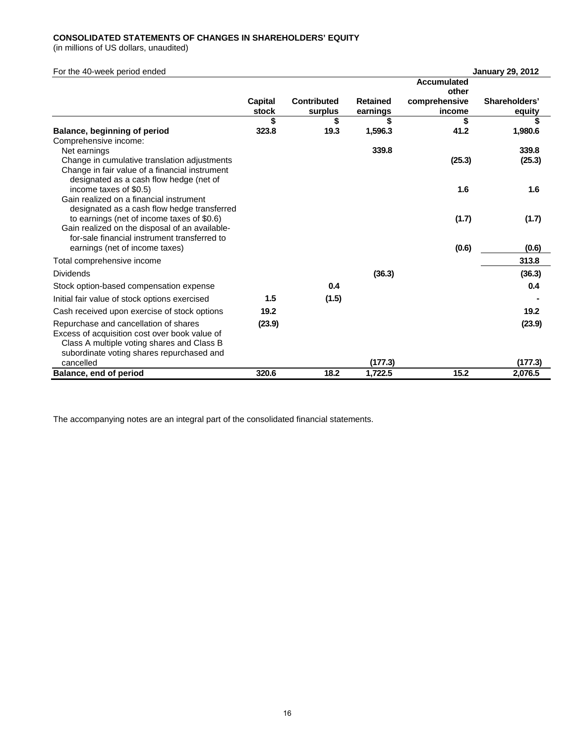### **CONSOLIDATED STATEMENTS OF CHANGES IN SHAREHOLDERS' EQUITY**

(in millions of US dollars, unaudited)

| For the 40-week period ended                                 |         |             |                 |                    | <b>January 29, 2012</b> |
|--------------------------------------------------------------|---------|-------------|-----------------|--------------------|-------------------------|
|                                                              |         |             |                 | <b>Accumulated</b> |                         |
|                                                              |         |             |                 | other              |                         |
|                                                              | Capital | Contributed | <b>Retained</b> | comprehensive      | Shareholders'           |
|                                                              | stock   | surplus     | earnings        | income             | equity                  |
|                                                              | \$      | \$          | \$              | \$                 | S                       |
| Balance, beginning of period                                 | 323.8   | 19.3        | 1,596.3         | 41.2               | 1,980.6                 |
| Comprehensive income:                                        |         |             | 339.8           |                    | 339.8                   |
| Net earnings<br>Change in cumulative translation adjustments |         |             |                 | (25.3)             | (25.3)                  |
| Change in fair value of a financial instrument               |         |             |                 |                    |                         |
| designated as a cash flow hedge (net of                      |         |             |                 |                    |                         |
| income taxes of \$0.5)                                       |         |             |                 | 1.6                | 1.6                     |
| Gain realized on a financial instrument                      |         |             |                 |                    |                         |
| designated as a cash flow hedge transferred                  |         |             |                 |                    |                         |
| to earnings (net of income taxes of \$0.6)                   |         |             |                 | (1.7)              | (1.7)                   |
| Gain realized on the disposal of an available-               |         |             |                 |                    |                         |
| for-sale financial instrument transferred to                 |         |             |                 |                    |                         |
| earnings (net of income taxes)                               |         |             |                 | (0.6)              | (0.6)                   |
| Total comprehensive income                                   |         |             |                 |                    | 313.8                   |
| <b>Dividends</b>                                             |         |             | (36.3)          |                    | (36.3)                  |
| Stock option-based compensation expense                      |         | 0.4         |                 |                    | 0.4                     |
| Initial fair value of stock options exercised                | 1.5     | (1.5)       |                 |                    |                         |
| Cash received upon exercise of stock options                 | 19.2    |             |                 |                    | 19.2                    |
| Repurchase and cancellation of shares                        | (23.9)  |             |                 |                    | (23.9)                  |
| Excess of acquisition cost over book value of                |         |             |                 |                    |                         |
| Class A multiple voting shares and Class B                   |         |             |                 |                    |                         |
| subordinate voting shares repurchased and                    |         |             |                 |                    |                         |
| cancelled                                                    |         |             | (177.3)         |                    | (177.3)                 |
| Balance, end of period                                       | 320.6   | 18.2        | 1,722.5         | 15.2               | 2,076.5                 |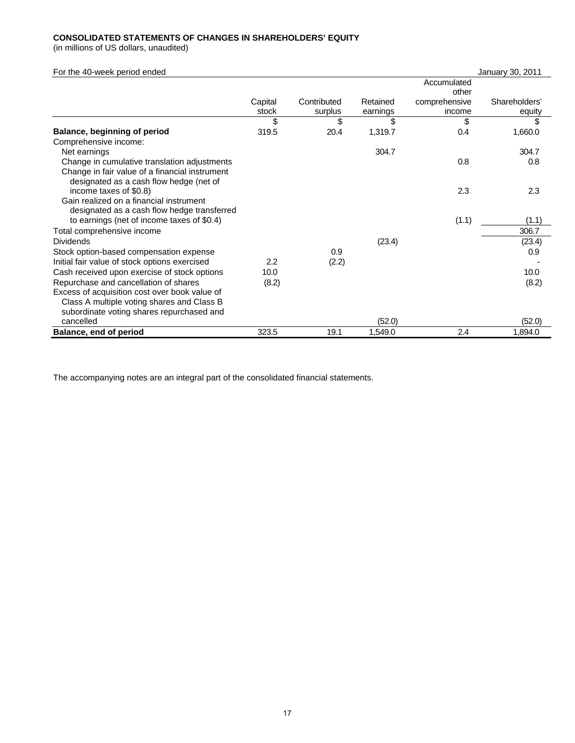## **CONSOLIDATED STATEMENTS OF CHANGES IN SHAREHOLDERS' EQUITY**

(in millions of US dollars, unaudited)

| For the 40-week period ended                   |         |             |          |               | January 30, 2011 |
|------------------------------------------------|---------|-------------|----------|---------------|------------------|
|                                                |         |             |          | Accumulated   |                  |
|                                                |         |             |          | other         |                  |
|                                                | Capital | Contributed | Retained | comprehensive | Shareholders'    |
|                                                | stock   | surplus     | earnings | income        | equity           |
|                                                | \$      | \$          | \$       | \$            | S                |
| Balance, beginning of period                   | 319.5   | 20.4        | 1,319.7  | 0.4           | 1,660.0          |
| Comprehensive income:                          |         |             |          |               |                  |
| Net earnings                                   |         |             | 304.7    |               | 304.7            |
| Change in cumulative translation adjustments   |         |             |          | 0.8           | 0.8              |
| Change in fair value of a financial instrument |         |             |          |               |                  |
| designated as a cash flow hedge (net of        |         |             |          |               |                  |
| income taxes of \$0.8)                         |         |             |          | 2.3           | 2.3              |
| Gain realized on a financial instrument        |         |             |          |               |                  |
| designated as a cash flow hedge transferred    |         |             |          |               |                  |
| to earnings (net of income taxes of \$0.4)     |         |             |          | (1.1)         | (1.1)            |
| Total comprehensive income                     |         |             |          |               | 306.7            |
| <b>Dividends</b>                               |         |             | (23.4)   |               | (23.4)           |
| Stock option-based compensation expense        |         | 0.9         |          |               | 0.9              |
| Initial fair value of stock options exercised  | 2.2     | (2.2)       |          |               |                  |
| Cash received upon exercise of stock options   | 10.0    |             |          |               | 10.0             |
| Repurchase and cancellation of shares          | (8.2)   |             |          |               | (8.2)            |
| Excess of acquisition cost over book value of  |         |             |          |               |                  |
| Class A multiple voting shares and Class B     |         |             |          |               |                  |
| subordinate voting shares repurchased and      |         |             |          |               |                  |
| cancelled                                      |         |             | (52.0)   |               | (52.0)           |
| Balance, end of period                         | 323.5   | 19.1        | 1,549.0  | 2.4           | 1,894.0          |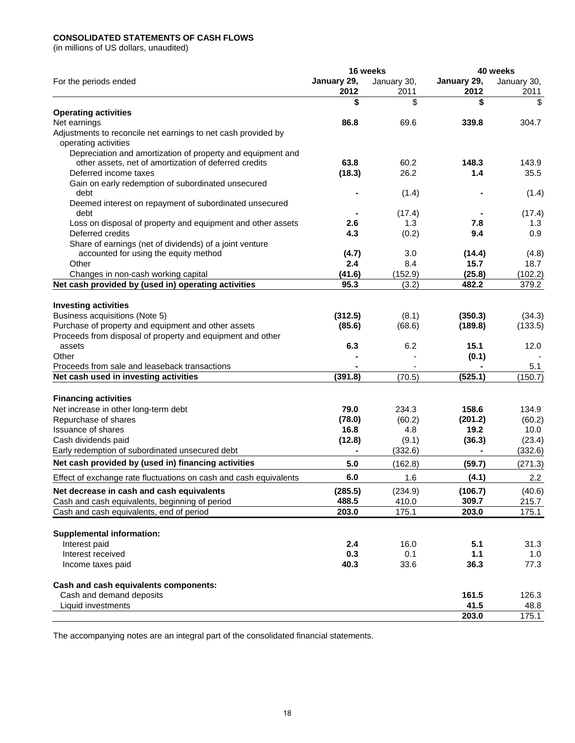## **CONSOLIDATED STATEMENTS OF CASH FLOWS**

(in millions of US dollars, unaudited)

|                                                                                       |             | 16 weeks    | 40 weeks    |             |  |
|---------------------------------------------------------------------------------------|-------------|-------------|-------------|-------------|--|
| For the periods ended                                                                 | January 29, | January 30, | January 29, | January 30, |  |
|                                                                                       | 2012        | 2011        | 2012        | 2011        |  |
|                                                                                       | \$          | \$          | \$          | \$          |  |
| <b>Operating activities</b>                                                           |             |             |             |             |  |
| Net earnings                                                                          | 86.8        | 69.6        | 339.8       | 304.7       |  |
| Adjustments to reconcile net earnings to net cash provided by<br>operating activities |             |             |             |             |  |
| Depreciation and amortization of property and equipment and                           |             |             |             |             |  |
| other assets, net of amortization of deferred credits                                 | 63.8        | 60.2        | 148.3       | 143.9       |  |
| Deferred income taxes                                                                 | (18.3)      | 26.2        | 1.4         | 35.5        |  |
| Gain on early redemption of subordinated unsecured<br>debt                            |             | (1.4)       |             | (1.4)       |  |
| Deemed interest on repayment of subordinated unsecured                                |             |             |             |             |  |
| debt                                                                                  |             | (17.4)      |             | (17.4)      |  |
| Loss on disposal of property and equipment and other assets                           | 2.6         | 1.3         | 7.8         | 1.3         |  |
| Deferred credits                                                                      | 4.3         | (0.2)       | 9.4         | 0.9         |  |
| Share of earnings (net of dividends) of a joint venture                               |             |             |             |             |  |
| accounted for using the equity method                                                 | (4.7)       | 3.0         | (14.4)      | (4.8)       |  |
| Other                                                                                 | 2.4         | 8.4         | 15.7        | 18.7        |  |
| Changes in non-cash working capital                                                   | (41.6)      | (152.9)     | (25.8)      | (102.2)     |  |
| Net cash provided by (used in) operating activities                                   | 95.3        | (3.2)       | 482.2       | 379.2       |  |
| <b>Investing activities</b>                                                           |             |             |             |             |  |
| Business acquisitions (Note 5)                                                        | (312.5)     | (8.1)       | (350.3)     | (34.3)      |  |
| Purchase of property and equipment and other assets                                   | (85.6)      | (68.6)      | (189.8)     | (133.5)     |  |
| Proceeds from disposal of property and equipment and other                            |             |             |             |             |  |
| assets                                                                                | 6.3         | 6.2         | 15.1        | 12.0        |  |
| Other                                                                                 |             |             | (0.1)       |             |  |
| Proceeds from sale and leaseback transactions                                         |             |             |             | 5.1         |  |
| Net cash used in investing activities                                                 | (391.8)     | (70.5)      | (525.1)     | (150.7)     |  |
|                                                                                       |             |             |             |             |  |
| <b>Financing activities</b>                                                           |             |             |             |             |  |
| Net increase in other long-term debt                                                  | 79.0        | 234.3       | 158.6       | 134.9       |  |
| Repurchase of shares                                                                  | (78.0)      | (60.2)      | (201.2)     | (60.2)      |  |
| <b>Issuance of shares</b>                                                             | 16.8        | 4.8         | 19.2        | 10.0        |  |
| Cash dividends paid                                                                   | (12.8)      | (9.1)       | (36.3)      | (23.4)      |  |
| Early redemption of subordinated unsecured debt                                       |             | (332.6)     |             | (332.6)     |  |
| Net cash provided by (used in) financing activities                                   | 5.0         | (162.8)     | (59.7)      | (271.3)     |  |
| Effect of exchange rate fluctuations on cash and cash equivalents                     | 6.0         | 1.6         | (4.1)       | 2.2         |  |
| Net decrease in cash and cash equivalents                                             | (285.5)     | (234.9)     | (106.7)     | (40.6)      |  |
| Cash and cash equivalents, beginning of period                                        | 488.5       | 410.0       | 309.7       | 215.7       |  |
| Cash and cash equivalents, end of period                                              | 203.0       | 175.1       | 203.0       | 175.1       |  |
|                                                                                       |             |             |             |             |  |
| <b>Supplemental information:</b>                                                      |             |             |             |             |  |
| Interest paid<br>Interest received                                                    | 2.4<br>0.3  | 16.0<br>0.1 | 5.1<br>1.1  | 31.3        |  |
| Income taxes paid                                                                     | 40.3        | 33.6        | 36.3        | 1.0<br>77.3 |  |
|                                                                                       |             |             |             |             |  |
| Cash and cash equivalents components:                                                 |             |             |             |             |  |
| Cash and demand deposits                                                              |             |             | 161.5       | 126.3       |  |
| Liquid investments                                                                    |             |             | 41.5        | 48.8        |  |
|                                                                                       |             |             | 203.0       | 175.1       |  |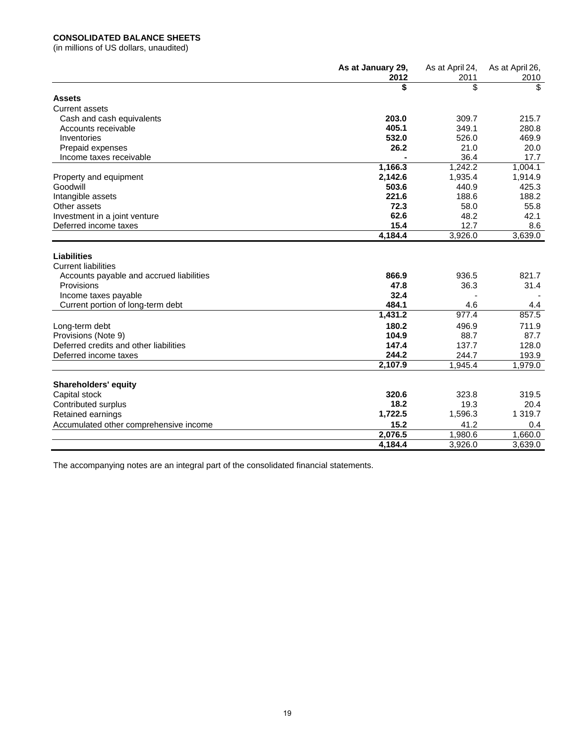## **CONSOLIDATED BALANCE SHEETS**

(in millions of US dollars, unaudited)

|                                          | As at January 29, | As at April 24, | As at April 26, |
|------------------------------------------|-------------------|-----------------|-----------------|
|                                          | 2012              | 2011            | 2010            |
|                                          | \$                | \$              | \$              |
| <b>Assets</b>                            |                   |                 |                 |
| <b>Current assets</b>                    |                   |                 |                 |
| Cash and cash equivalents                | 203.0             | 309.7           | 215.7           |
| Accounts receivable                      | 405.1             | 349.1           | 280.8           |
| Inventories                              | 532.0             | 526.0           | 469.9           |
| Prepaid expenses                         | 26.2              | 21.0            | 20.0            |
| Income taxes receivable                  |                   | 36.4            | 17.7            |
|                                          | 1,166.3           | 1,242.2         | 1,004.1         |
| Property and equipment                   | 2,142.6           | 1,935.4         | 1,914.9         |
| Goodwill                                 | 503.6             | 440.9           | 425.3           |
| Intangible assets                        | 221.6             | 188.6           | 188.2           |
| Other assets                             | 72.3              | 58.0            | 55.8            |
| Investment in a joint venture            | 62.6              | 48.2            | 42.1            |
| Deferred income taxes                    | 15.4              | 12.7            | 8.6             |
|                                          | 4,184.4           | 3,926.0         | 3,639.0         |
|                                          |                   |                 |                 |
| <b>Liabilities</b>                       |                   |                 |                 |
| <b>Current liabilities</b>               |                   |                 |                 |
| Accounts payable and accrued liabilities | 866.9             | 936.5           | 821.7           |
| Provisions                               | 47.8              | 36.3            | 31.4            |
| Income taxes payable                     | 32.4              |                 |                 |
| Current portion of long-term debt        | 484.1             | 4.6             | 4.4             |
|                                          | 1,431.2           | 977.4           | 857.5           |
| Long-term debt                           | 180.2             | 496.9           | 711.9           |
| Provisions (Note 9)                      | 104.9             | 88.7            | 87.7            |
| Deferred credits and other liabilities   | 147.4             | 137.7           | 128.0           |
| Deferred income taxes                    | 244.2             | 244.7           | 193.9           |
|                                          | 2,107.9           | 1,945.4         | 1,979.0         |
|                                          |                   |                 |                 |
| <b>Shareholders' equity</b>              |                   |                 |                 |
| Capital stock                            | 320.6             | 323.8           | 319.5           |
| Contributed surplus                      | 18.2              | 19.3            | 20.4            |
| Retained earnings                        | 1,722.5           | 1,596.3         | 1 319.7         |
| Accumulated other comprehensive income   | 15.2              | 41.2            | 0.4             |
|                                          | 2,076.5           | 1,980.6         | 1.660.0         |
|                                          | 4,184.4           | 3,926.0         | 3,639.0         |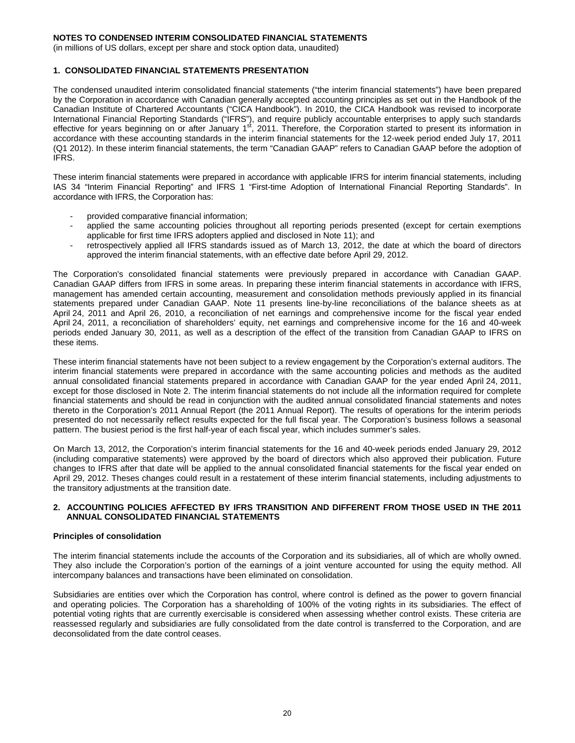(in millions of US dollars, except per share and stock option data, unaudited)

### **1. CONSOLIDATED FINANCIAL STATEMENTS PRESENTATION**

The condensed unaudited interim consolidated financial statements ("the interim financial statements") have been prepared by the Corporation in accordance with Canadian generally accepted accounting principles as set out in the Handbook of the Canadian Institute of Chartered Accountants ("CICA Handbook"). In 2010, the CICA Handbook was revised to incorporate International Financial Reporting Standards ("IFRS"), and require publicly accountable enterprises to apply such standards effective for years beginning on or after January 1st, 2011. Therefore, the Corporation started to present its information in accordance with these accounting standards in the interim financial statements for the 12-week period ended July 17, 2011 (Q1 2012). In these interim financial statements, the term "Canadian GAAP" refers to Canadian GAAP before the adoption of IFRS.

These interim financial statements were prepared in accordance with applicable IFRS for interim financial statements, including IAS 34 "Interim Financial Reporting" and IFRS 1 "First-time Adoption of International Financial Reporting Standards". In accordance with IFRS, the Corporation has:

- provided comparative financial information:
- applied the same accounting policies throughout all reporting periods presented (except for certain exemptions applicable for first time IFRS adopters applied and disclosed in Note 11); and
- retrospectively applied all IFRS standards issued as of March 13, 2012, the date at which the board of directors approved the interim financial statements, with an effective date before April 29, 2012.

The Corporation's consolidated financial statements were previously prepared in accordance with Canadian GAAP. Canadian GAAP differs from IFRS in some areas. In preparing these interim financial statements in accordance with IFRS, management has amended certain accounting, measurement and consolidation methods previously applied in its financial statements prepared under Canadian GAAP. Note 11 presents line-by-line reconciliations of the balance sheets as at April 24, 2011 and April 26, 2010, a reconciliation of net earnings and comprehensive income for the fiscal year ended April 24, 2011, a reconciliation of shareholders' equity, net earnings and comprehensive income for the 16 and 40-week periods ended January 30, 2011, as well as a description of the effect of the transition from Canadian GAAP to IFRS on these items.

These interim financial statements have not been subject to a review engagement by the Corporation's external auditors. The interim financial statements were prepared in accordance with the same accounting policies and methods as the audited annual consolidated financial statements prepared in accordance with Canadian GAAP for the year ended April 24, 2011, except for those disclosed in Note 2. The interim financial statements do not include all the information required for complete financial statements and should be read in conjunction with the audited annual consolidated financial statements and notes thereto in the Corporation's 2011 Annual Report (the 2011 Annual Report). The results of operations for the interim periods presented do not necessarily reflect results expected for the full fiscal year. The Corporation's business follows a seasonal pattern. The busiest period is the first half-year of each fiscal year, which includes summer's sales.

On March 13, 2012, the Corporation's interim financial statements for the 16 and 40-week periods ended January 29, 2012 (including comparative statements) were approved by the board of directors which also approved their publication. Future changes to IFRS after that date will be applied to the annual consolidated financial statements for the fiscal year ended on April 29, 2012. Theses changes could result in a restatement of these interim financial statements, including adjustments to the transitory adjustments at the transition date.

### **2. ACCOUNTING POLICIES AFFECTED BY IFRS TRANSITION AND DIFFERENT FROM THOSE USED IN THE 2011 ANNUAL CONSOLIDATED FINANCIAL STATEMENTS**

### **Principles of consolidation**

The interim financial statements include the accounts of the Corporation and its subsidiaries, all of which are wholly owned. They also include the Corporation's portion of the earnings of a joint venture accounted for using the equity method. All intercompany balances and transactions have been eliminated on consolidation.

Subsidiaries are entities over which the Corporation has control, where control is defined as the power to govern financial and operating policies. The Corporation has a shareholding of 100% of the voting rights in its subsidiaries. The effect of potential voting rights that are currently exercisable is considered when assessing whether control exists. These criteria are reassessed regularly and subsidiaries are fully consolidated from the date control is transferred to the Corporation, and are deconsolidated from the date control ceases.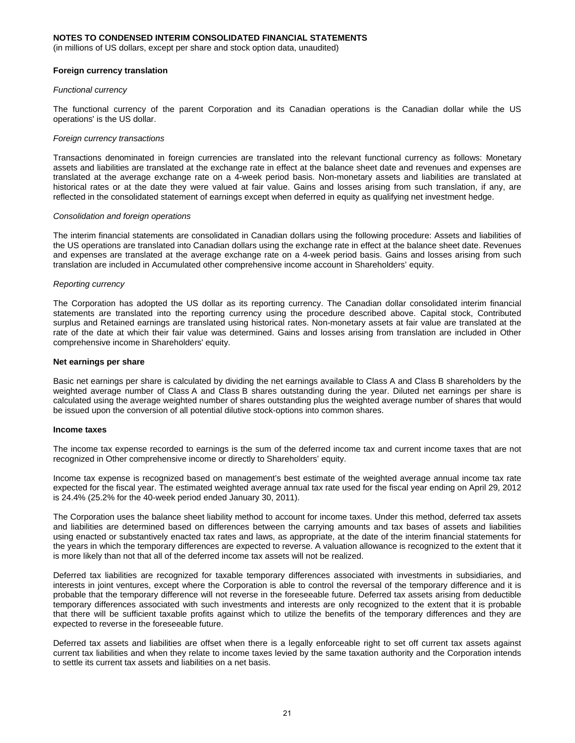(in millions of US dollars, except per share and stock option data, unaudited)

#### **Foreign currency translation**

#### *Functional currency*

The functional currency of the parent Corporation and its Canadian operations is the Canadian dollar while the US operations' is the US dollar.

#### *Foreign currency transactions*

Transactions denominated in foreign currencies are translated into the relevant functional currency as follows: Monetary assets and liabilities are translated at the exchange rate in effect at the balance sheet date and revenues and expenses are translated at the average exchange rate on a 4-week period basis. Non-monetary assets and liabilities are translated at historical rates or at the date they were valued at fair value. Gains and losses arising from such translation, if any, are reflected in the consolidated statement of earnings except when deferred in equity as qualifying net investment hedge.

#### *Consolidation and foreign operations*

The interim financial statements are consolidated in Canadian dollars using the following procedure: Assets and liabilities of the US operations are translated into Canadian dollars using the exchange rate in effect at the balance sheet date. Revenues and expenses are translated at the average exchange rate on a 4-week period basis. Gains and losses arising from such translation are included in Accumulated other comprehensive income account in Shareholders' equity.

#### *Reporting currency*

The Corporation has adopted the US dollar as its reporting currency. The Canadian dollar consolidated interim financial statements are translated into the reporting currency using the procedure described above. Capital stock, Contributed surplus and Retained earnings are translated using historical rates. Non-monetary assets at fair value are translated at the rate of the date at which their fair value was determined. Gains and losses arising from translation are included in Other comprehensive income in Shareholders' equity.

#### **Net earnings per share**

Basic net earnings per share is calculated by dividing the net earnings available to Class A and Class B shareholders by the weighted average number of Class A and Class B shares outstanding during the year. Diluted net earnings per share is calculated using the average weighted number of shares outstanding plus the weighted average number of shares that would be issued upon the conversion of all potential dilutive stock-options into common shares.

#### **Income taxes**

The income tax expense recorded to earnings is the sum of the deferred income tax and current income taxes that are not recognized in Other comprehensive income or directly to Shareholders' equity.

Income tax expense is recognized based on management's best estimate of the weighted average annual income tax rate expected for the fiscal year. The estimated weighted average annual tax rate used for the fiscal year ending on April 29, 2012 is 24.4% (25.2% for the 40-week period ended January 30, 2011).

The Corporation uses the balance sheet liability method to account for income taxes. Under this method, deferred tax assets and liabilities are determined based on differences between the carrying amounts and tax bases of assets and liabilities using enacted or substantively enacted tax rates and laws, as appropriate, at the date of the interim financial statements for the years in which the temporary differences are expected to reverse. A valuation allowance is recognized to the extent that it is more likely than not that all of the deferred income tax assets will not be realized.

Deferred tax liabilities are recognized for taxable temporary differences associated with investments in subsidiaries, and interests in joint ventures, except where the Corporation is able to control the reversal of the temporary difference and it is probable that the temporary difference will not reverse in the foreseeable future. Deferred tax assets arising from deductible temporary differences associated with such investments and interests are only recognized to the extent that it is probable that there will be sufficient taxable profits against which to utilize the benefits of the temporary differences and they are expected to reverse in the foreseeable future.

Deferred tax assets and liabilities are offset when there is a legally enforceable right to set off current tax assets against current tax liabilities and when they relate to income taxes levied by the same taxation authority and the Corporation intends to settle its current tax assets and liabilities on a net basis.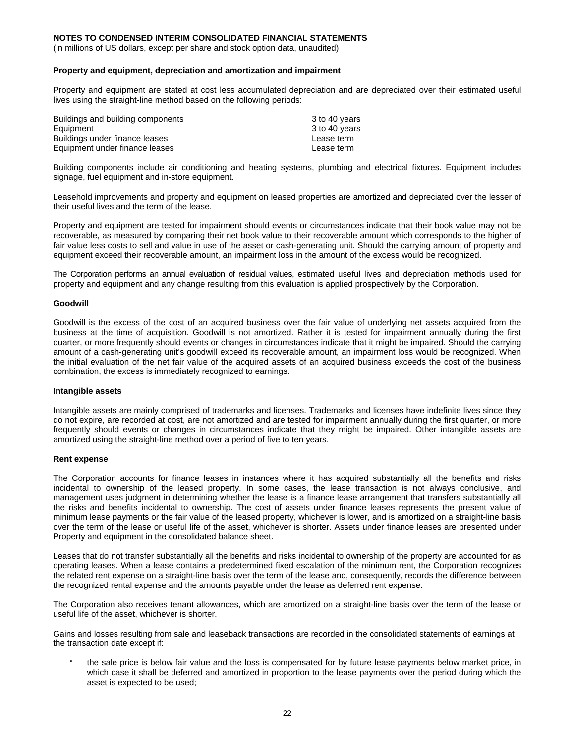(in millions of US dollars, except per share and stock option data, unaudited)

#### **Property and equipment, depreciation and amortization and impairment**

Property and equipment are stated at cost less accumulated depreciation and are depreciated over their estimated useful lives using the straight-line method based on the following periods:

| Buildings and building components | 3 to 40 years |
|-----------------------------------|---------------|
| Equipment                         | 3 to 40 years |
| Buildings under finance leases    | Lease term    |
| Equipment under finance leases    | Lease term    |

Building components include air conditioning and heating systems, plumbing and electrical fixtures. Equipment includes signage, fuel equipment and in-store equipment.

Leasehold improvements and property and equipment on leased properties are amortized and depreciated over the lesser of their useful lives and the term of the lease.

Property and equipment are tested for impairment should events or circumstances indicate that their book value may not be recoverable, as measured by comparing their net book value to their recoverable amount which corresponds to the higher of fair value less costs to sell and value in use of the asset or cash-generating unit. Should the carrying amount of property and equipment exceed their recoverable amount, an impairment loss in the amount of the excess would be recognized.

The Corporation performs an annual evaluation of residual values, estimated useful lives and depreciation methods used for property and equipment and any change resulting from this evaluation is applied prospectively by the Corporation.

#### **Goodwill**

Goodwill is the excess of the cost of an acquired business over the fair value of underlying net assets acquired from the business at the time of acquisition. Goodwill is not amortized. Rather it is tested for impairment annually during the first quarter, or more frequently should events or changes in circumstances indicate that it might be impaired. Should the carrying amount of a cash-generating unit's goodwill exceed its recoverable amount, an impairment loss would be recognized. When the initial evaluation of the net fair value of the acquired assets of an acquired business exceeds the cost of the business combination, the excess is immediately recognized to earnings.

### **Intangible assets**

Intangible assets are mainly comprised of trademarks and licenses. Trademarks and licenses have indefinite lives since they do not expire, are recorded at cost, are not amortized and are tested for impairment annually during the first quarter, or more frequently should events or changes in circumstances indicate that they might be impaired. Other intangible assets are amortized using the straight-line method over a period of five to ten years.

#### **Rent expense**

The Corporation accounts for finance leases in instances where it has acquired substantially all the benefits and risks incidental to ownership of the leased property. In some cases, the lease transaction is not always conclusive, and management uses judgment in determining whether the lease is a finance lease arrangement that transfers substantially all the risks and benefits incidental to ownership. The cost of assets under finance leases represents the present value of minimum lease payments or the fair value of the leased property, whichever is lower, and is amortized on a straight-line basis over the term of the lease or useful life of the asset, whichever is shorter. Assets under finance leases are presented under Property and equipment in the consolidated balance sheet.

Leases that do not transfer substantially all the benefits and risks incidental to ownership of the property are accounted for as operating leases. When a lease contains a predetermined fixed escalation of the minimum rent, the Corporation recognizes the related rent expense on a straight-line basis over the term of the lease and, consequently, records the difference between the recognized rental expense and the amounts payable under the lease as deferred rent expense.

The Corporation also receives tenant allowances, which are amortized on a straight-line basis over the term of the lease or useful life of the asset, whichever is shorter.

Gains and losses resulting from sale and leaseback transactions are recorded in the consolidated statements of earnings at the transaction date except if:

 the sale price is below fair value and the loss is compensated for by future lease payments below market price, in which case it shall be deferred and amortized in proportion to the lease payments over the period during which the asset is expected to be used;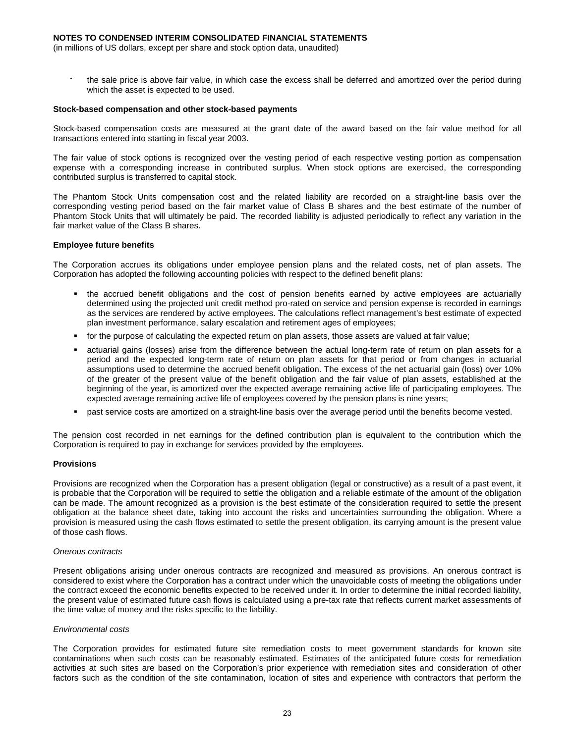(in millions of US dollars, except per share and stock option data, unaudited)

 the sale price is above fair value, in which case the excess shall be deferred and amortized over the period during which the asset is expected to be used.

#### **Stock-based compensation and other stock-based payments**

Stock-based compensation costs are measured at the grant date of the award based on the fair value method for all transactions entered into starting in fiscal year 2003.

The fair value of stock options is recognized over the vesting period of each respective vesting portion as compensation expense with a corresponding increase in contributed surplus. When stock options are exercised, the corresponding contributed surplus is transferred to capital stock.

The Phantom Stock Units compensation cost and the related liability are recorded on a straight-line basis over the corresponding vesting period based on the fair market value of Class B shares and the best estimate of the number of Phantom Stock Units that will ultimately be paid. The recorded liability is adjusted periodically to reflect any variation in the fair market value of the Class B shares.

#### **Employee future benefits**

The Corporation accrues its obligations under employee pension plans and the related costs, net of plan assets. The Corporation has adopted the following accounting policies with respect to the defined benefit plans:

- the accrued benefit obligations and the cost of pension benefits earned by active employees are actuarially determined using the projected unit credit method pro-rated on service and pension expense is recorded in earnings as the services are rendered by active employees. The calculations reflect management's best estimate of expected plan investment performance, salary escalation and retirement ages of employees;
- for the purpose of calculating the expected return on plan assets, those assets are valued at fair value;
- actuarial gains (losses) arise from the difference between the actual long-term rate of return on plan assets for a period and the expected long-term rate of return on plan assets for that period or from changes in actuarial assumptions used to determine the accrued benefit obligation. The excess of the net actuarial gain (loss) over 10% of the greater of the present value of the benefit obligation and the fair value of plan assets, established at the beginning of the year, is amortized over the expected average remaining active life of participating employees. The expected average remaining active life of employees covered by the pension plans is nine years;
- past service costs are amortized on a straight-line basis over the average period until the benefits become vested.

The pension cost recorded in net earnings for the defined contribution plan is equivalent to the contribution which the Corporation is required to pay in exchange for services provided by the employees.

### **Provisions**

Provisions are recognized when the Corporation has a present obligation (legal or constructive) as a result of a past event, it is probable that the Corporation will be required to settle the obligation and a reliable estimate of the amount of the obligation can be made. The amount recognized as a provision is the best estimate of the consideration required to settle the present obligation at the balance sheet date, taking into account the risks and uncertainties surrounding the obligation. Where a provision is measured using the cash flows estimated to settle the present obligation, its carrying amount is the present value of those cash flows.

#### *Onerous contracts*

Present obligations arising under onerous contracts are recognized and measured as provisions. An onerous contract is considered to exist where the Corporation has a contract under which the unavoidable costs of meeting the obligations under the contract exceed the economic benefits expected to be received under it. In order to determine the initial recorded liability, the present value of estimated future cash flows is calculated using a pre-tax rate that reflects current market assessments of the time value of money and the risks specific to the liability.

#### *Environmental costs*

The Corporation provides for estimated future site remediation costs to meet government standards for known site contaminations when such costs can be reasonably estimated. Estimates of the anticipated future costs for remediation activities at such sites are based on the Corporation's prior experience with remediation sites and consideration of other factors such as the condition of the site contamination, location of sites and experience with contractors that perform the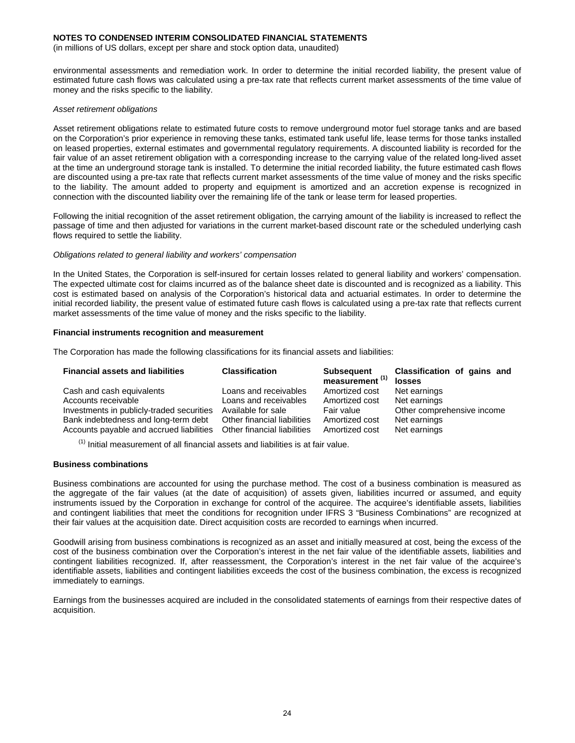(in millions of US dollars, except per share and stock option data, unaudited)

environmental assessments and remediation work. In order to determine the initial recorded liability, the present value of estimated future cash flows was calculated using a pre-tax rate that reflects current market assessments of the time value of money and the risks specific to the liability.

#### *Asset retirement obligations*

Asset retirement obligations relate to estimated future costs to remove underground motor fuel storage tanks and are based on the Corporation's prior experience in removing these tanks, estimated tank useful life, lease terms for those tanks installed on leased properties, external estimates and governmental regulatory requirements. A discounted liability is recorded for the fair value of an asset retirement obligation with a corresponding increase to the carrying value of the related long-lived asset at the time an underground storage tank is installed. To determine the initial recorded liability, the future estimated cash flows are discounted using a pre-tax rate that reflects current market assessments of the time value of money and the risks specific to the liability. The amount added to property and equipment is amortized and an accretion expense is recognized in connection with the discounted liability over the remaining life of the tank or lease term for leased properties.

Following the initial recognition of the asset retirement obligation, the carrying amount of the liability is increased to reflect the passage of time and then adjusted for variations in the current market-based discount rate or the scheduled underlying cash flows required to settle the liability.

#### *Obligations related to general liability and workers' compensation*

In the United States, the Corporation is self-insured for certain losses related to general liability and workers' compensation. The expected ultimate cost for claims incurred as of the balance sheet date is discounted and is recognized as a liability. This cost is estimated based on analysis of the Corporation's historical data and actuarial estimates. In order to determine the initial recorded liability, the present value of estimated future cash flows is calculated using a pre-tax rate that reflects current market assessments of the time value of money and the risks specific to the liability.

### **Financial instruments recognition and measurement**

The Corporation has made the following classifications for its financial assets and liabilities:

| <b>Financial assets and liabilities</b>   | <b>Classification</b>       | <b>Subsequent</b><br>measurement <sup>(1)</sup> | Classification of gains and<br>losses |
|-------------------------------------------|-----------------------------|-------------------------------------------------|---------------------------------------|
| Cash and cash equivalents                 | Loans and receivables       | Amortized cost                                  | Net earnings                          |
| Accounts receivable                       | Loans and receivables       | Amortized cost                                  | Net earnings                          |
| Investments in publicly-traded securities | Available for sale          | Fair value                                      | Other comprehensive income            |
| Bank indebtedness and long-term debt      | Other financial liabilities | Amortized cost                                  | Net earnings                          |
| Accounts payable and accrued liabilities  | Other financial liabilities | Amortized cost                                  | Net earnings                          |

 $<sup>(1)</sup>$  Initial measurement of all financial assets and liabilities is at fair value.</sup>

## **Business combinations**

Business combinations are accounted for using the purchase method. The cost of a business combination is measured as the aggregate of the fair values (at the date of acquisition) of assets given, liabilities incurred or assumed, and equity instruments issued by the Corporation in exchange for control of the acquiree. The acquiree's identifiable assets, liabilities and contingent liabilities that meet the conditions for recognition under IFRS 3 "Business Combinations" are recognized at their fair values at the acquisition date. Direct acquisition costs are recorded to earnings when incurred.

Goodwill arising from business combinations is recognized as an asset and initially measured at cost, being the excess of the cost of the business combination over the Corporation's interest in the net fair value of the identifiable assets, liabilities and contingent liabilities recognized. If, after reassessment, the Corporation's interest in the net fair value of the acquiree's identifiable assets, liabilities and contingent liabilities exceeds the cost of the business combination, the excess is recognized immediately to earnings.

Earnings from the businesses acquired are included in the consolidated statements of earnings from their respective dates of acquisition.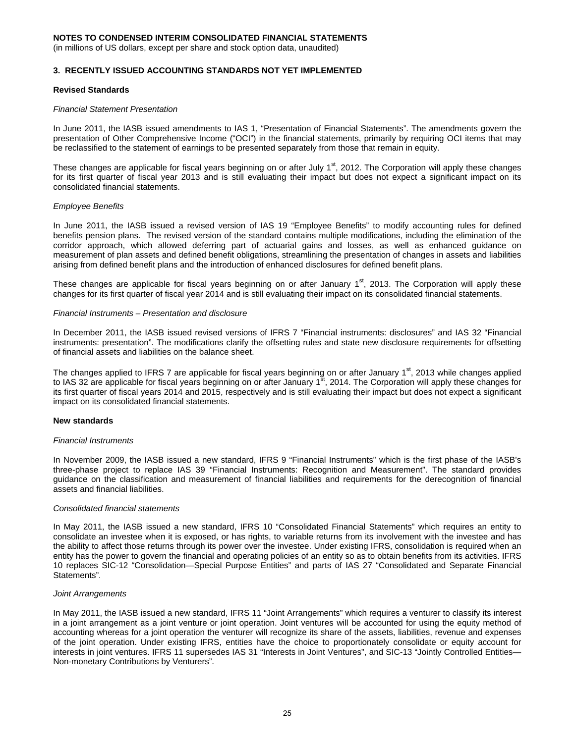(in millions of US dollars, except per share and stock option data, unaudited)

### **3. RECENTLY ISSUED ACCOUNTING STANDARDS NOT YET IMPLEMENTED**

### **Revised Standards**

#### *Financial Statement Presentation*

In June 2011, the IASB issued amendments to IAS 1, "Presentation of Financial Statements". The amendments govern the presentation of Other Comprehensive Income ("OCI") in the financial statements, primarily by requiring OCI items that may be reclassified to the statement of earnings to be presented separately from those that remain in equity.

These changes are applicable for fiscal years beginning on or after July  $1<sup>st</sup>$ , 2012. The Corporation will apply these changes for its first quarter of fiscal year 2013 and is still evaluating their impact but does not expect a significant impact on its consolidated financial statements.

### *Employee Benefits*

In June 2011, the IASB issued a revised version of IAS 19 "Employee Benefits" to modify accounting rules for defined benefits pension plans. The revised version of the standard contains multiple modifications, including the elimination of the corridor approach, which allowed deferring part of actuarial gains and losses, as well as enhanced guidance on measurement of plan assets and defined benefit obligations, streamlining the presentation of changes in assets and liabilities arising from defined benefit plans and the introduction of enhanced disclosures for defined benefit plans.

These changes are applicable for fiscal years beginning on or after January  $1<sup>st</sup>$ , 2013. The Corporation will apply these changes for its first quarter of fiscal year 2014 and is still evaluating their impact on its consolidated financial statements.

#### *Financial Instruments – Presentation and disclosure*

In December 2011, the IASB issued revised versions of IFRS 7 "Financial instruments: disclosures" and IAS 32 "Financial instruments: presentation". The modifications clarify the offsetting rules and state new disclosure requirements for offsetting of financial assets and liabilities on the balance sheet.

The changes applied to IFRS 7 are applicable for fiscal years beginning on or after January 1<sup>st</sup>, 2013 while changes applied to IAS 32 are applicable for fiscal years beginning on or after January 1<sup>st</sup>, 2014. The Corporation will apply these changes for its first quarter of fiscal years 2014 and 2015, respectively and is still evaluating their impact but does not expect a significant impact on its consolidated financial statements.

#### **New standards**

#### *Financial Instruments*

In November 2009, the IASB issued a new standard, IFRS 9 "Financial Instruments" which is the first phase of the IASB's three-phase project to replace IAS 39 "Financial Instruments: Recognition and Measurement". The standard provides guidance on the classification and measurement of financial liabilities and requirements for the derecognition of financial assets and financial liabilities.

#### *Consolidated financial statements*

In May 2011, the IASB issued a new standard, IFRS 10 "Consolidated Financial Statements" which requires an entity to consolidate an investee when it is exposed, or has rights, to variable returns from its involvement with the investee and has the ability to affect those returns through its power over the investee. Under existing IFRS, consolidation is required when an entity has the power to govern the financial and operating policies of an entity so as to obtain benefits from its activities. IFRS 10 replaces SIC-12 "Consolidation—Special Purpose Entities" and parts of IAS 27 "Consolidated and Separate Financial Statements".

#### *Joint Arrangements*

In May 2011, the IASB issued a new standard, IFRS 11 "Joint Arrangements" which requires a venturer to classify its interest in a joint arrangement as a joint venture or joint operation. Joint ventures will be accounted for using the equity method of accounting whereas for a joint operation the venturer will recognize its share of the assets, liabilities, revenue and expenses of the joint operation. Under existing IFRS, entities have the choice to proportionately consolidate or equity account for interests in joint ventures. IFRS 11 supersedes IAS 31 "Interests in Joint Ventures", and SIC-13 "Jointly Controlled Entities-Non-monetary Contributions by Venturers".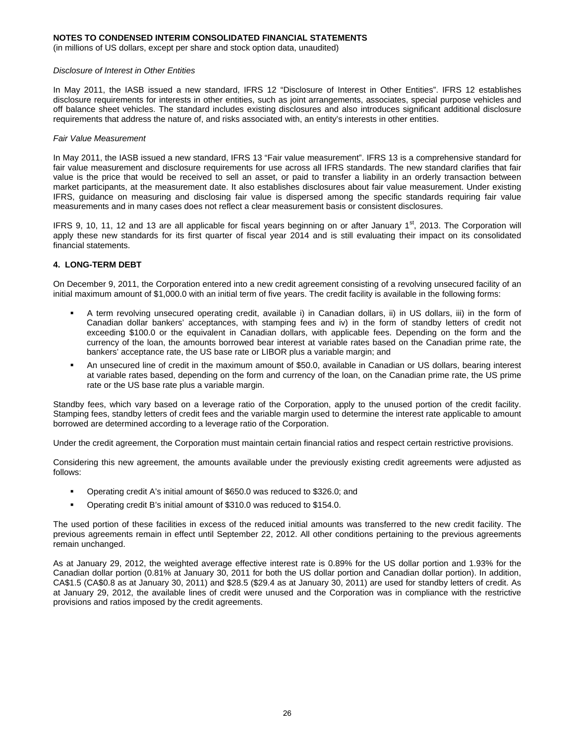(in millions of US dollars, except per share and stock option data, unaudited)

#### *Disclosure of Interest in Other Entities*

In May 2011, the IASB issued a new standard, IFRS 12 "Disclosure of Interest in Other Entities". IFRS 12 establishes disclosure requirements for interests in other entities, such as joint arrangements, associates, special purpose vehicles and off balance sheet vehicles. The standard includes existing disclosures and also introduces significant additional disclosure requirements that address the nature of, and risks associated with, an entity's interests in other entities.

#### *Fair Value Measurement*

In May 2011, the IASB issued a new standard, IFRS 13 "Fair value measurement". IFRS 13 is a comprehensive standard for fair value measurement and disclosure requirements for use across all IFRS standards. The new standard clarifies that fair value is the price that would be received to sell an asset, or paid to transfer a liability in an orderly transaction between market participants, at the measurement date. It also establishes disclosures about fair value measurement. Under existing IFRS, guidance on measuring and disclosing fair value is dispersed among the specific standards requiring fair value measurements and in many cases does not reflect a clear measurement basis or consistent disclosures.

IFRS 9, 10, 11, 12 and 13 are all applicable for fiscal years beginning on or after January  $1<sup>st</sup>$ , 2013. The Corporation will apply these new standards for its first quarter of fiscal year 2014 and is still evaluating their impact on its consolidated financial statements.

### **4. LONG-TERM DEBT**

On December 9, 2011, the Corporation entered into a new credit agreement consisting of a revolving unsecured facility of an initial maximum amount of \$1,000.0 with an initial term of five years. The credit facility is available in the following forms:

- A term revolving unsecured operating credit, available i) in Canadian dollars, ii) in US dollars, iii) in the form of Canadian dollar bankers' acceptances, with stamping fees and iv) in the form of standby letters of credit not exceeding \$100.0 or the equivalent in Canadian dollars, with applicable fees. Depending on the form and the currency of the loan, the amounts borrowed bear interest at variable rates based on the Canadian prime rate, the bankers' acceptance rate, the US base rate or LIBOR plus a variable margin; and
- An unsecured line of credit in the maximum amount of \$50.0, available in Canadian or US dollars, bearing interest at variable rates based, depending on the form and currency of the loan, on the Canadian prime rate, the US prime rate or the US base rate plus a variable margin.

Standby fees, which vary based on a leverage ratio of the Corporation, apply to the unused portion of the credit facility. Stamping fees, standby letters of credit fees and the variable margin used to determine the interest rate applicable to amount borrowed are determined according to a leverage ratio of the Corporation.

Under the credit agreement, the Corporation must maintain certain financial ratios and respect certain restrictive provisions.

Considering this new agreement, the amounts available under the previously existing credit agreements were adjusted as follows:

- Operating credit A's initial amount of \$650.0 was reduced to \$326.0; and
- Operating credit B's initial amount of \$310.0 was reduced to \$154.0.

The used portion of these facilities in excess of the reduced initial amounts was transferred to the new credit facility. The previous agreements remain in effect until September 22, 2012. All other conditions pertaining to the previous agreements remain unchanged.

As at January 29, 2012, the weighted average effective interest rate is 0.89% for the US dollar portion and 1.93% for the Canadian dollar portion (0.81% at January 30, 2011 for both the US dollar portion and Canadian dollar portion). In addition, CA\$1.5 (CA\$0.8 as at January 30, 2011) and \$28.5 (\$29.4 as at January 30, 2011) are used for standby letters of credit. As at January 29, 2012, the available lines of credit were unused and the Corporation was in compliance with the restrictive provisions and ratios imposed by the credit agreements.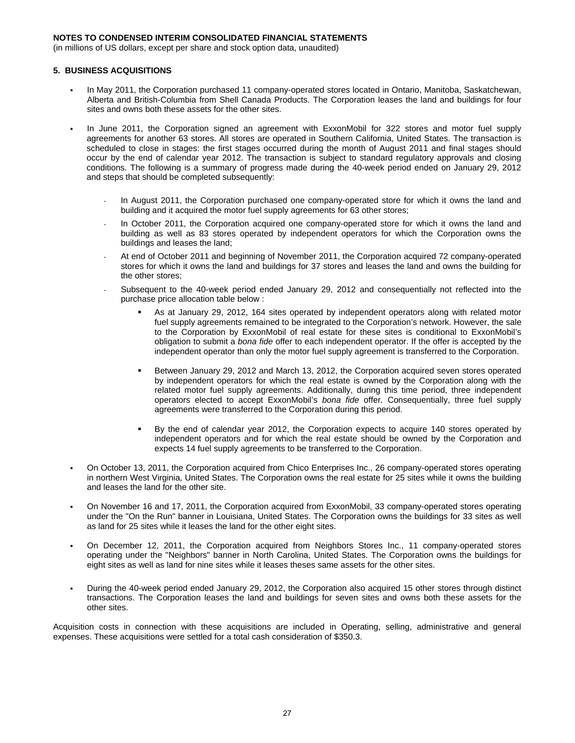(in millions of US dollars, except per share and stock option data, unaudited)

### **5. BUSINESS ACQUISITIONS**

- In May 2011, the Corporation purchased 11 company-operated stores located in Ontario, Manitoba, Saskatchewan, Alberta and British-Columbia from Shell Canada Products. The Corporation leases the land and buildings for four sites and owns both these assets for the other sites.
- In June 2011, the Corporation signed an agreement with ExxonMobil for 322 stores and motor fuel supply agreements for another 63 stores. All stores are operated in Southern California, United States. The transaction is scheduled to close in stages: the first stages occurred during the month of August 2011 and final stages should occur by the end of calendar year 2012. The transaction is subject to standard regulatory approvals and closing conditions. The following is a summary of progress made during the 40-week period ended on January 29, 2012 and steps that should be completed subsequently:
	- In August 2011, the Corporation purchased one company-operated store for which it owns the land and building and it acquired the motor fuel supply agreements for 63 other stores;
	- In October 2011, the Corporation acquired one company-operated store for which it owns the land and building as well as 83 stores operated by independent operators for which the Corporation owns the buildings and leases the land;
	- At end of October 2011 and beginning of November 2011, the Corporation acquired 72 company-operated stores for which it owns the land and buildings for 37 stores and leases the land and owns the building for the other stores;
	- Subsequent to the 40-week period ended January 29, 2012 and consequentially not reflected into the purchase price allocation table below :
		- As at January 29, 2012, 164 sites operated by independent operators along with related motor fuel supply agreements remained to be integrated to the Corporation's network. However, the sale to the Corporation by ExxonMobil of real estate for these sites is conditional to ExxonMobil's obligation to submit a *bona fide* offer to each independent operator. If the offer is accepted by the independent operator than only the motor fuel supply agreement is transferred to the Corporation.
		- Between January 29, 2012 and March 13, 2012, the Corporation acquired seven stores operated by independent operators for which the real estate is owned by the Corporation along with the related motor fuel supply agreements. Additionally, during this time period, three independent operators elected to accept ExxonMobil's *bona fide* offer. Consequentially, three fuel supply agreements were transferred to the Corporation during this period.
		- By the end of calendar year 2012, the Corporation expects to acquire 140 stores operated by independent operators and for which the real estate should be owned by the Corporation and expects 14 fuel supply agreements to be transferred to the Corporation.
- On October 13, 2011, the Corporation acquired from Chico Enterprises Inc., 26 company-operated stores operating in northern West Virginia, United States. The Corporation owns the real estate for 25 sites while it owns the building and leases the land for the other site.
- On November 16 and 17, 2011, the Corporation acquired from ExxonMobil, 33 company-operated stores operating under the "On the Run" banner in Louisiana, United States. The Corporation owns the buildings for 33 sites as well as land for 25 sites while it leases the land for the other eight sites.
- On December 12, 2011, the Corporation acquired from Neighbors Stores Inc., 11 company-operated stores operating under the "Neighbors" banner in North Carolina, United States. The Corporation owns the buildings for eight sites as well as land for nine sites while it leases theses same assets for the other sites.
- During the 40-week period ended January 29, 2012, the Corporation also acquired 15 other stores through distinct transactions. The Corporation leases the land and buildings for seven sites and owns both these assets for the other sites.

Acquisition costs in connection with these acquisitions are included in Operating, selling, administrative and general expenses. These acquisitions were settled for a total cash consideration of \$350.3.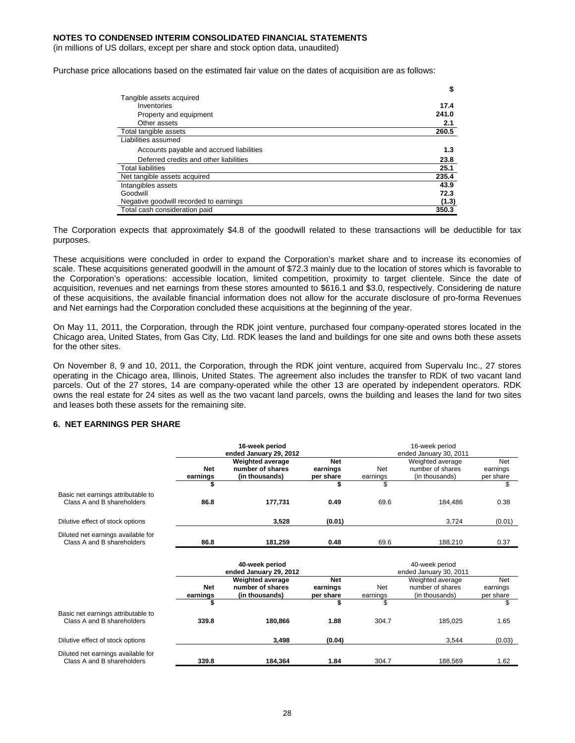(in millions of US dollars, except per share and stock option data, unaudited)

Purchase price allocations based on the estimated fair value on the dates of acquisition are as follows:

|                                          | \$    |
|------------------------------------------|-------|
| Tangible assets acquired                 |       |
| Inventories                              | 17.4  |
| Property and equipment                   | 241.0 |
| Other assets                             | 2.1   |
| Total tangible assets                    | 260.5 |
| Liabilities assumed                      |       |
| Accounts payable and accrued liabilities | 1.3   |
| Deferred credits and other liabilities   | 23.8  |
| <b>Total liabilities</b>                 | 25.1  |
| Net tangible assets acquired             | 235.4 |
| Intangibles assets                       | 43.9  |
| Goodwill                                 | 72.3  |
| Negative goodwill recorded to earnings   | (1.3) |
| Total cash consideration paid            | 350.3 |

The Corporation expects that approximately \$4.8 of the goodwill related to these transactions will be deductible for tax purposes.

These acquisitions were concluded in order to expand the Corporation's market share and to increase its economies of scale. These acquisitions generated goodwill in the amount of \$72.3 mainly due to the location of stores which is favorable to the Corporation's operations: accessible location, limited competition, proximity to target clientele. Since the date of acquisition, revenues and net earnings from these stores amounted to \$616.1 and \$3.0, respectively. Considering de nature of these acquisitions, the available financial information does not allow for the accurate disclosure of pro-forma Revenues and Net earnings had the Corporation concluded these acquisitions at the beginning of the year.

On May 11, 2011, the Corporation, through the RDK joint venture, purchased four company-operated stores located in the Chicago area, United States, from Gas City, Ltd. RDK leases the land and buildings for one site and owns both these assets for the other sites.

On November 8, 9 and 10, 2011, the Corporation, through the RDK joint venture, acquired from Supervalu Inc., 27 stores operating in the Chicago area, Illinois, United States. The agreement also includes the transfer to RDK of two vacant land parcels. Out of the 27 stores, 14 are company-operated while the other 13 are operated by independent operators. RDK owns the real estate for 24 sites as well as the two vacant land parcels, owns the building and leases the land for two sites and leases both these assets for the remaining site.

## **6. NET EARNINGS PER SHARE**

|                                                                  | 16-week period<br>ended January 29, 2012 |                                                               |                                     | 16-week period<br>ended January 30, 2011 |                                                        |                                     |  |
|------------------------------------------------------------------|------------------------------------------|---------------------------------------------------------------|-------------------------------------|------------------------------------------|--------------------------------------------------------|-------------------------------------|--|
|                                                                  | <b>Net</b><br>earnings                   | <b>Weighted average</b><br>number of shares<br>(in thousands) | <b>Net</b><br>earnings<br>per share | <b>Net</b><br>earnings                   | Weighted average<br>number of shares<br>(in thousands) | <b>Net</b><br>earnings<br>per share |  |
|                                                                  |                                          |                                                               | \$                                  | \$                                       |                                                        | \$                                  |  |
| Basic net earnings attributable to<br>Class A and B shareholders | 86.8                                     | 177,731                                                       | 0.49                                | 69.6                                     | 184,486                                                | 0.38                                |  |
| Dilutive effect of stock options                                 |                                          | 3,528                                                         | (0.01)                              |                                          | 3,724                                                  | (0.01)                              |  |
| Diluted net earnings available for<br>Class A and B shareholders | 86.8                                     | 181,259                                                       | 0.48                                | 69.6                                     | 188,210                                                | 0.37                                |  |
|                                                                  |                                          | 40-week period<br>ended January 29, 2012                      |                                     |                                          | 40-week period<br>ended January 30, 2011               |                                     |  |
|                                                                  | <b>Net</b><br>earnings                   | <b>Weighted average</b><br>number of shares<br>(in thousands) | <b>Net</b><br>earnings<br>per share | Net<br>earnings                          | Weighted average<br>number of shares<br>(in thousands) | <b>Net</b><br>earnings<br>per share |  |
|                                                                  |                                          |                                                               |                                     | \$                                       |                                                        | \$                                  |  |
| Basic net earnings attributable to<br>Class A and B shareholders | 339.8                                    | 180,866                                                       | 1.88                                | 304.7                                    | 185,025                                                | 1.65                                |  |
| Dilutive effect of stock options                                 |                                          | 3,498                                                         | (0.04)                              |                                          | 3,544                                                  | (0.03)                              |  |
| Diluted net earnings available for<br>Class A and B shareholders | 339.8                                    | 184.364                                                       | 1.84                                | 304.7                                    | 188.569                                                | 1.62                                |  |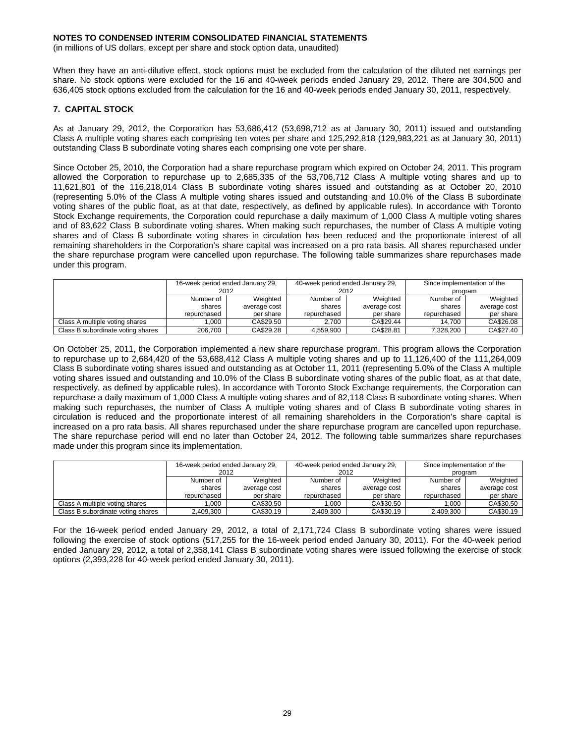(in millions of US dollars, except per share and stock option data, unaudited)

When they have an anti-dilutive effect, stock options must be excluded from the calculation of the diluted net earnings per share. No stock options were excluded for the 16 and 40-week periods ended January 29, 2012. There are 304,500 and 636,405 stock options excluded from the calculation for the 16 and 40-week periods ended January 30, 2011, respectively.

### **7. CAPITAL STOCK**

As at January 29, 2012, the Corporation has 53,686,412 (53,698,712 as at January 30, 2011) issued and outstanding Class A multiple voting shares each comprising ten votes per share and 125,292,818 (129,983,221 as at January 30, 2011) outstanding Class B subordinate voting shares each comprising one vote per share.

Since October 25, 2010, the Corporation had a share repurchase program which expired on October 24, 2011. This program allowed the Corporation to repurchase up to 2,685,335 of the 53,706,712 Class A multiple voting shares and up to 11,621,801 of the 116,218,014 Class B subordinate voting shares issued and outstanding as at October 20, 2010 (representing 5.0% of the Class A multiple voting shares issued and outstanding and 10.0% of the Class B subordinate voting shares of the public float, as at that date, respectively, as defined by applicable rules). In accordance with Toronto Stock Exchange requirements, the Corporation could repurchase a daily maximum of 1,000 Class A multiple voting shares and of 83,622 Class B subordinate voting shares. When making such repurchases, the number of Class A multiple voting shares and of Class B subordinate voting shares in circulation has been reduced and the proportionate interest of all remaining shareholders in the Corporation's share capital was increased on a pro rata basis. All shares repurchased under the share repurchase program were cancelled upon repurchase. The following table summarizes share repurchases made under this program.

|                                   | 16-week period ended January 29, |              |             | 40-week period ended January 29, | Since implementation of the |              |  |
|-----------------------------------|----------------------------------|--------------|-------------|----------------------------------|-----------------------------|--------------|--|
|                                   | 2012                             |              |             | 2012                             |                             | program      |  |
|                                   | Number of                        | Weighted     | Number of   | Weighted                         | Number of                   | Weighted     |  |
|                                   | shares                           | average cost | shares      | average cost                     | shares                      | average cost |  |
|                                   | repurchased                      | per share    | repurchased | per share                        | repurchased                 | per share    |  |
| Class A multiple voting shares    | .000                             | CA\$29.50    | 2.700       | CA\$29.44                        | 14.700                      | CA\$26.08    |  |
| Class B subordinate voting shares | 206.700                          | CA\$29.28    | 4.559.900   | CA\$28.81                        | 7.328.200                   | CA\$27.40    |  |

On October 25, 2011, the Corporation implemented a new share repurchase program. This program allows the Corporation to repurchase up to 2,684,420 of the 53,688,412 Class A multiple voting shares and up to 11,126,400 of the 111,264,009 Class B subordinate voting shares issued and outstanding as at October 11, 2011 (representing 5.0% of the Class A multiple voting shares issued and outstanding and 10.0% of the Class B subordinate voting shares of the public float, as at that date, respectively, as defined by applicable rules). In accordance with Toronto Stock Exchange requirements, the Corporation can repurchase a daily maximum of 1,000 Class A multiple voting shares and of 82,118 Class B subordinate voting shares. When making such repurchases, the number of Class A multiple voting shares and of Class B subordinate voting shares in circulation is reduced and the proportionate interest of all remaining shareholders in the Corporation's share capital is increased on a pro rata basis. All shares repurchased under the share repurchase program are cancelled upon repurchase. The share repurchase period will end no later than October 24, 2012. The following table summarizes share repurchases made under this program since its implementation.

|                                   | 16-week period ended January 29, |              | 40-week period ended January 29, |              | Since implementation of the |              |  |
|-----------------------------------|----------------------------------|--------------|----------------------------------|--------------|-----------------------------|--------------|--|
|                                   | 2012                             |              | 2012                             |              | program                     |              |  |
|                                   | Number of                        | Weighted     | Number of                        | Weighted     | Number of                   | Weighted     |  |
|                                   | shares                           | average cost | shares                           | average cost | shares                      | average cost |  |
|                                   | repurchased                      | per share    | repurchased                      | per share    | repurchased                 | per share    |  |
| Class A multiple voting shares    | .000                             | CA\$30.50    | .000                             | CA\$30.50    | 000.1                       | CA\$30.50    |  |
| Class B subordinate voting shares | 2.409.300                        | CA\$30.19    | 2.409.300                        | CA\$30.19    | 2.409.300                   | CA\$30.19    |  |

For the 16-week period ended January 29, 2012, a total of 2,171,724 Class B subordinate voting shares were issued following the exercise of stock options (517,255 for the 16-week period ended January 30, 2011). For the 40-week period ended January 29, 2012, a total of 2,358,141 Class B subordinate voting shares were issued following the exercise of stock options (2,393,228 for 40-week period ended January 30, 2011).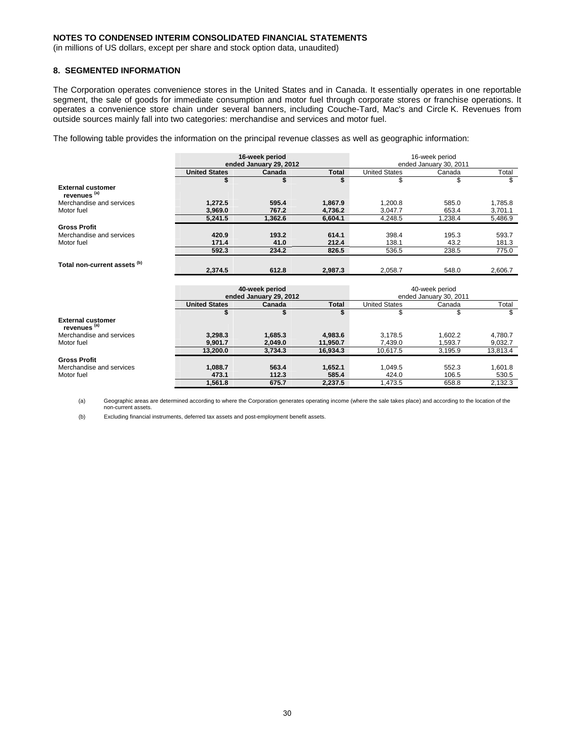(in millions of US dollars, except per share and stock option data, unaudited)

### **8. SEGMENTED INFORMATION**

The Corporation operates convenience stores in the United States and in Canada. It essentially operates in one reportable segment, the sale of goods for immediate consumption and motor fuel through corporate stores or franchise operations. It operates a convenience store chain under several banners, including Couche-Tard, Mac's and Circle K. Revenues from outside sources mainly fall into two categories: merchandise and services and motor fuel.

The following table provides the information on the principal revenue classes as well as geographic information:

|                                                     |                      | 16-week period         | 16-week period         |                      |                        |          |  |  |  |
|-----------------------------------------------------|----------------------|------------------------|------------------------|----------------------|------------------------|----------|--|--|--|
|                                                     |                      | ended January 29, 2012 | ended January 30, 2011 |                      |                        |          |  |  |  |
|                                                     | <b>United States</b> | Canada                 | <b>United States</b>   | Total<br>Canada      |                        |          |  |  |  |
|                                                     | \$                   | \$                     | \$                     | \$                   |                        | \$       |  |  |  |
| <b>External customer</b><br>revenues <sup>(a)</sup> |                      |                        |                        |                      |                        |          |  |  |  |
| Merchandise and services                            | 1,272.5              | 595.4                  | 1,867.9                | 1,200.8              | 585.0                  | 1,785.8  |  |  |  |
| Motor fuel                                          | 3,969.0              | 767.2                  | 4,736.2                | 3,047.7              | 653.4                  | 3,701.1  |  |  |  |
|                                                     | 5,241.5              | 1,362.6                | 6,604.1                | 4,248.5              | 1,238.4                | 5,486.9  |  |  |  |
| <b>Gross Profit</b>                                 |                      |                        |                        |                      |                        |          |  |  |  |
| Merchandise and services                            | 420.9                | 193.2                  | 614.1                  | 398.4                | 195.3                  | 593.7    |  |  |  |
| Motor fuel                                          | 171.4                | 41.0                   | 212.4                  | 138.1                | 43.2                   | 181.3    |  |  |  |
|                                                     | 592.3                | 234.2                  | 826.5                  | 536.5                | 238.5                  | 775.0    |  |  |  |
| Total non-current assets (b)                        |                      |                        |                        |                      |                        |          |  |  |  |
|                                                     | 2,374.5              | 612.8                  | 2,987.3                | 2,058.7              | 548.0                  | 2,606.7  |  |  |  |
|                                                     |                      |                        |                        |                      |                        |          |  |  |  |
|                                                     |                      | 40-week period         |                        | 40-week period       |                        |          |  |  |  |
|                                                     |                      | ended January 29, 2012 |                        |                      | ended January 30, 2011 |          |  |  |  |
|                                                     | <b>United States</b> | Canada                 | <b>Total</b>           | <b>United States</b> | Canada                 | Total    |  |  |  |
|                                                     | \$                   | \$                     | \$                     | \$                   | \$                     | \$       |  |  |  |
| <b>External customer</b><br>revenues <sup>(a)</sup> |                      |                        |                        |                      |                        |          |  |  |  |
| Merchandise and services                            | 3,298.3              | 1,685.3                | 4,983.6                | 3,178.5              | 1,602.2                | 4,780.7  |  |  |  |
| Motor fuel                                          | 9,901.7              | 2,049.0                | 11,950.7               | 7,439.0              | 1,593.7                | 9,032.7  |  |  |  |
|                                                     | 13,200.0             | 3,734.3                | 16,934.3               | 10,617.5             | 3,195.9                | 13,813.4 |  |  |  |
| <b>Gross Profit</b>                                 |                      |                        |                        |                      |                        |          |  |  |  |

(a) Geographic areas are determined according to where the Corporation generates operating income (where the sale takes place) and according to the location of the non-current assets.

**1,561.8 675.7 2,237.5** 1,473.5 658.8 2,132.3

Merchandise and services **1,088.7 563.4 1,652.1** 1,049.5 552.3 1,601.8 Motor fuel **473.1 112.3 585.4** 424.0 106.5 530.5

(b) Excluding financial instruments, deferred tax assets and post-employment benefit assets.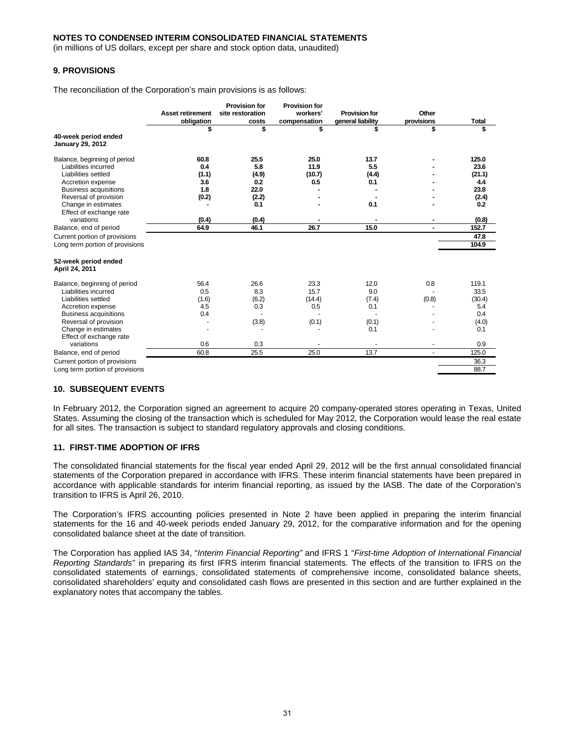(in millions of US dollars, except per share and stock option data, unaudited)

## **9. PROVISIONS**

The reconciliation of the Corporation's main provisions is as follows:

|                                                 |                         | <b>Provision for</b> | <b>Provision for</b> |                      |            |              |
|-------------------------------------------------|-------------------------|----------------------|----------------------|----------------------|------------|--------------|
|                                                 | <b>Asset retirement</b> | site restoration     | workers'             | <b>Provision for</b> | Other      |              |
|                                                 | obligation              | costs                | compensation         | general liability    | provisions | <b>Total</b> |
|                                                 | \$                      | \$                   | \$                   | S                    | \$         | \$           |
| 40-week period ended<br><b>January 29, 2012</b> |                         |                      |                      |                      |            |              |
| Balance, beginning of period                    | 60.8                    | 25.5                 | 25.0                 | 13.7                 |            | 125.0        |
| Liabilities incurred                            | 0.4                     | 5.8                  | 11.9                 | 5.5                  |            | 23.6         |
| Liabilities settled                             | (1.1)                   | (4.9)                | (10.7)               | (4.4)                |            | (21.1)       |
| Accretion expense                               | 3.6                     | 0.2                  | 0.5                  | 0.1                  |            | 4.4          |
| <b>Business acquisitions</b>                    | 1.8                     | 22.0                 |                      |                      |            | 23.8         |
| Reversal of provision                           | (0.2)                   | (2.2)                |                      |                      |            | (2.4)        |
| Change in estimates                             |                         | 0.1                  |                      | 0.1                  |            | 0.2          |
| Effect of exchange rate                         |                         |                      |                      |                      |            |              |
| variations                                      | (0.4)                   | (0.4)                |                      |                      | ۰          | (0.8)        |
| Balance, end of period                          | 64.9                    | 46.1                 | 26.7                 | 15.0                 |            | 152.7        |
| Current portion of provisions                   |                         |                      |                      |                      |            | 47.8         |
| Long term portion of provisions                 |                         |                      |                      |                      |            | 104.9        |
| 52-week period ended<br>April 24, 2011          |                         |                      |                      |                      |            |              |
| Balance, beginning of period                    | 56.4                    | 26.6                 | 23.3                 | 12.0                 | 0.8        | 119.1        |
| Liabilities incurred                            | 0.5                     | 8.3                  | 15.7                 | 9.0                  |            | 33.5         |
| Liabilities settled                             | (1.6)                   | (6.2)                | (14.4)               | (7.4)                | (0.8)      | (30.4)       |
| Accretion expense                               | 4.5                     | 0.3                  | 0.5                  | 0.1                  |            | 5.4          |
| <b>Business acquisitions</b>                    | 0.4                     |                      |                      |                      |            | 0.4          |
| Reversal of provision                           |                         | (3.8)                | (0.1)                | (0.1)                |            | (4.0)        |
| Change in estimates                             |                         |                      |                      | 0.1                  |            | 0.1          |
| Effect of exchange rate                         |                         |                      |                      |                      |            |              |
| variations                                      | 0.6                     | 0.3                  |                      |                      |            | 0.9          |
| Balance, end of period                          | 60.8                    | 25.5                 | 25.0                 | 13.7                 |            | 125.0        |
| Current portion of provisions                   |                         |                      |                      |                      |            | 36.3         |
| Long term portion of provisions                 |                         |                      |                      |                      |            | 88.7         |

#### **10. SUBSEQUENT EVENTS**

In February 2012, the Corporation signed an agreement to acquire 20 company-operated stores operating in Texas, United States. Assuming the closing of the transaction which is scheduled for May 2012, the Corporation would lease the real estate for all sites. The transaction is subject to standard regulatory approvals and closing conditions.

#### **11. FIRST-TIME ADOPTION OF IFRS**

The consolidated financial statements for the fiscal year ended April 29, 2012 will be the first annual consolidated financial statements of the Corporation prepared in accordance with IFRS. These interim financial statements have been prepared in accordance with applicable standards for interim financial reporting, as issued by the IASB. The date of the Corporation's transition to IFRS is April 26, 2010.

The Corporation's IFRS accounting policies presented in Note 2 have been applied in preparing the interim financial statements for the 16 and 40-week periods ended January 29, 2012, for the comparative information and for the opening consolidated balance sheet at the date of transition.

The Corporation has applied IAS 34, "*Interim Financial Reporting"* and IFRS 1 "*First-time Adoption of International Financial Reporting Standards"* in preparing its first IFRS interim financial statements. The effects of the transition to IFRS on the consolidated statements of earnings, consolidated statements of comprehensive income, consolidated balance sheets, consolidated shareholders' equity and consolidated cash flows are presented in this section and are further explained in the explanatory notes that accompany the tables.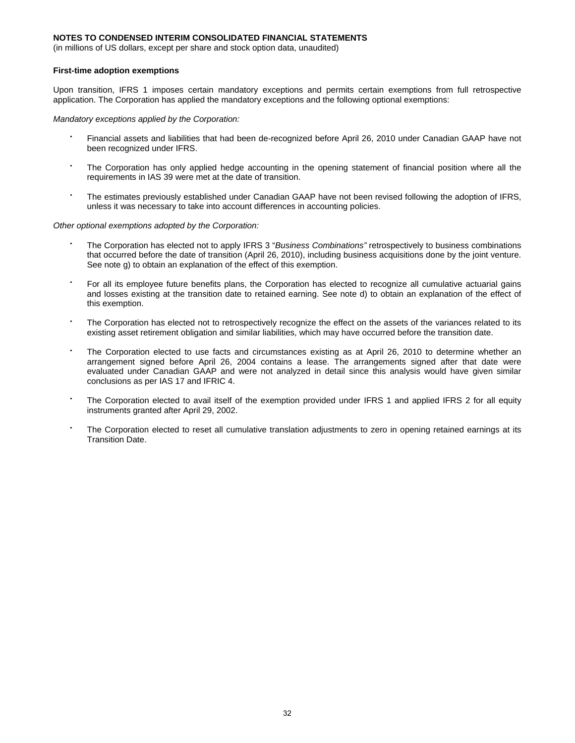(in millions of US dollars, except per share and stock option data, unaudited)

#### **First-time adoption exemptions**

Upon transition, IFRS 1 imposes certain mandatory exceptions and permits certain exemptions from full retrospective application. The Corporation has applied the mandatory exceptions and the following optional exemptions:

*Mandatory exceptions applied by the Corporation:* 

- Financial assets and liabilities that had been de-recognized before April 26, 2010 under Canadian GAAP have not been recognized under IFRS.
- The Corporation has only applied hedge accounting in the opening statement of financial position where all the requirements in IAS 39 were met at the date of transition.
- The estimates previously established under Canadian GAAP have not been revised following the adoption of IFRS, unless it was necessary to take into account differences in accounting policies.

*Other optional exemptions adopted by the Corporation:* 

- The Corporation has elected not to apply IFRS 3 "*Business Combinations"* retrospectively to business combinations that occurred before the date of transition (April 26, 2010), including business acquisitions done by the joint venture. See note g) to obtain an explanation of the effect of this exemption.
- For all its employee future benefits plans, the Corporation has elected to recognize all cumulative actuarial gains and losses existing at the transition date to retained earning. See note d) to obtain an explanation of the effect of this exemption.
- The Corporation has elected not to retrospectively recognize the effect on the assets of the variances related to its existing asset retirement obligation and similar liabilities, which may have occurred before the transition date.
- The Corporation elected to use facts and circumstances existing as at April 26, 2010 to determine whether an arrangement signed before April 26, 2004 contains a lease. The arrangements signed after that date were evaluated under Canadian GAAP and were not analyzed in detail since this analysis would have given similar conclusions as per IAS 17 and IFRIC 4.
- The Corporation elected to avail itself of the exemption provided under IFRS 1 and applied IFRS 2 for all equity instruments granted after April 29, 2002.
- The Corporation elected to reset all cumulative translation adjustments to zero in opening retained earnings at its Transition Date.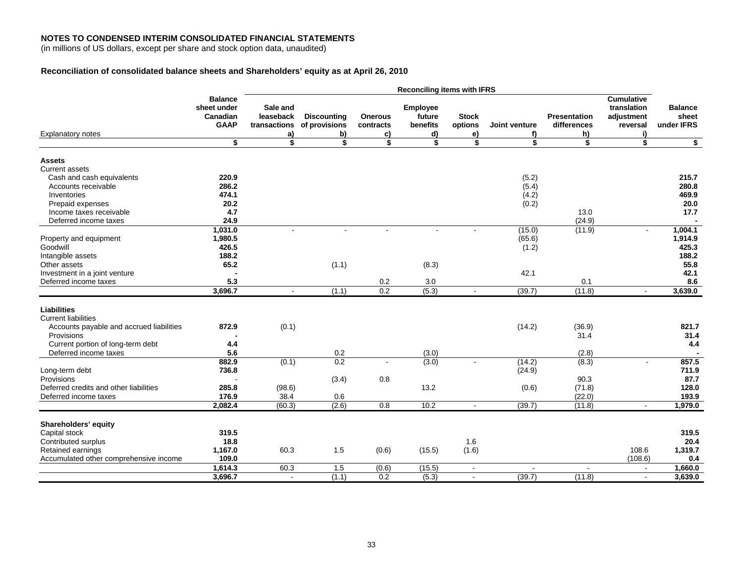(in millions of US dollars, except per share and stock option data, unaudited)

## **Reconciliation of consolidated balance sheets and Shareholders' equity as at April 26, 2010**

|                                                                                       |                                                          | <b>Reconciling items with IFRS</b>          |                                           |                                   |                                             |                               |                          |                                          |                                                                  |                                       |  |
|---------------------------------------------------------------------------------------|----------------------------------------------------------|---------------------------------------------|-------------------------------------------|-----------------------------------|---------------------------------------------|-------------------------------|--------------------------|------------------------------------------|------------------------------------------------------------------|---------------------------------------|--|
| <b>Explanatory notes</b>                                                              | <b>Balance</b><br>sheet under<br>Canadian<br><b>GAAP</b> | Sale and<br>leaseback<br>transactions<br>a) | <b>Discounting</b><br>of provisions<br>b) | <b>Onerous</b><br>contracts<br>C) | <b>Employee</b><br>future<br>benefits<br>d) | <b>Stock</b><br>options<br>e) | Joint venture<br>f)      | <b>Presentation</b><br>differences<br>h) | <b>Cumulative</b><br>translation<br>adjustment<br>reversal<br>i) | <b>Balance</b><br>sheet<br>under IFRS |  |
|                                                                                       | Ŝ                                                        | s,                                          | \$                                        | \$                                | \$                                          | \$                            | \$                       | \$                                       | \$                                                               | $\overline{\mathbf{r}}$               |  |
| <b>Assets</b><br>Current assets                                                       |                                                          |                                             |                                           |                                   |                                             |                               |                          |                                          |                                                                  |                                       |  |
| Cash and cash equivalents                                                             | 220.9                                                    |                                             |                                           |                                   |                                             |                               | (5.2)                    |                                          |                                                                  | 215.7                                 |  |
| Accounts receivable                                                                   | 286.2                                                    |                                             |                                           |                                   |                                             |                               | (5.4)                    |                                          |                                                                  | 280.8                                 |  |
| Inventories                                                                           | 474.1                                                    |                                             |                                           |                                   |                                             |                               | (4.2)                    |                                          |                                                                  | 469.9                                 |  |
| Prepaid expenses                                                                      | 20.2                                                     |                                             |                                           |                                   |                                             |                               | (0.2)                    |                                          |                                                                  | 20.0                                  |  |
| Income taxes receivable                                                               | 4.7                                                      |                                             |                                           |                                   |                                             |                               |                          | 13.0                                     |                                                                  | 17.7                                  |  |
| Deferred income taxes                                                                 | 24.9                                                     |                                             |                                           |                                   |                                             |                               |                          | (24.9)                                   |                                                                  |                                       |  |
|                                                                                       | 1,031.0                                                  | $\blacksquare$                              |                                           |                                   |                                             |                               | (15.0)                   | (11.9)                                   | $\blacksquare$                                                   | 1.004.1                               |  |
| Property and equipment<br>Goodwill                                                    | 1,980.5<br>426.5                                         |                                             |                                           |                                   |                                             |                               | (65.6)                   |                                          |                                                                  | 1,914.9<br>425.3                      |  |
|                                                                                       | 188.2                                                    |                                             |                                           |                                   |                                             |                               | (1.2)                    |                                          |                                                                  | 188.2                                 |  |
| Intangible assets<br>Other assets                                                     | 65.2                                                     |                                             | (1.1)                                     |                                   | (8.3)                                       |                               |                          |                                          |                                                                  | 55.8                                  |  |
| Investment in a joint venture                                                         |                                                          |                                             |                                           |                                   |                                             |                               | 42.1                     |                                          |                                                                  | 42.1                                  |  |
| Deferred income taxes                                                                 | 5.3                                                      |                                             |                                           | 0.2                               | 3.0                                         |                               |                          | 0.1                                      |                                                                  | 8.6                                   |  |
|                                                                                       | 3,696.7                                                  | $\blacksquare$                              | (1.1)                                     | 0.2                               | (5.3)                                       | $\blacksquare$                | (39.7)                   | (11.8)                                   | $\sim$                                                           | 3,639.0                               |  |
|                                                                                       |                                                          |                                             |                                           |                                   |                                             |                               |                          |                                          |                                                                  |                                       |  |
| Liabilities<br><b>Current liabilities</b><br>Accounts payable and accrued liabilities | 872.9                                                    | (0.1)                                       |                                           |                                   |                                             |                               | (14.2)                   | (36.9)                                   |                                                                  | 821.7                                 |  |
| Provisions                                                                            |                                                          |                                             |                                           |                                   |                                             |                               |                          | 31.4                                     |                                                                  | 31.4                                  |  |
| Current portion of long-term debt                                                     | 4.4                                                      |                                             |                                           |                                   |                                             |                               |                          |                                          |                                                                  | 4.4                                   |  |
| Deferred income taxes                                                                 | 5.6                                                      |                                             | 0.2                                       |                                   | (3.0)                                       |                               |                          | (2.8)                                    |                                                                  |                                       |  |
| Long-term debt                                                                        | 882.9<br>736.8                                           | (0.1)                                       | 0.2                                       |                                   | (3.0)                                       |                               | (14.2)<br>(24.9)         | (8.3)                                    | L.                                                               | 857.5<br>711.9                        |  |
| Provisions                                                                            |                                                          |                                             | (3.4)                                     | 0.8                               |                                             |                               |                          | 90.3                                     |                                                                  | 87.7                                  |  |
| Deferred credits and other liabilities                                                | 285.8                                                    | (98.6)                                      |                                           |                                   | 13.2                                        |                               | (0.6)                    | (71.8)                                   |                                                                  | 128.0                                 |  |
| Deferred income taxes                                                                 | 176.9                                                    | 38.4                                        | 0.6                                       |                                   |                                             |                               |                          | (22.0)                                   |                                                                  | 193.9                                 |  |
|                                                                                       | 2,082.4                                                  | (60.3)                                      | (2.6)                                     | 0.8                               | 10.2                                        | $\sim$                        | (39.7)                   | (11.8)                                   | $\overline{\phantom{a}}$                                         | 1,979.0                               |  |
|                                                                                       |                                                          |                                             |                                           |                                   |                                             |                               |                          |                                          |                                                                  |                                       |  |
| Shareholders' equity                                                                  |                                                          |                                             |                                           |                                   |                                             |                               |                          |                                          |                                                                  |                                       |  |
| Capital stock                                                                         | 319.5                                                    |                                             |                                           |                                   |                                             |                               |                          |                                          |                                                                  | 319.5                                 |  |
| Contributed surplus                                                                   | 18.8                                                     |                                             |                                           |                                   |                                             | 1.6                           |                          |                                          |                                                                  | 20.4                                  |  |
| Retained earnings                                                                     | 1,167.0                                                  | 60.3                                        | 1.5                                       | (0.6)                             | (15.5)                                      | (1.6)                         |                          |                                          | 108.6                                                            | 1,319.7                               |  |
| Accumulated other comprehensive income                                                | 109.0                                                    |                                             |                                           |                                   |                                             |                               |                          |                                          | (108.6)                                                          | 0.4                                   |  |
|                                                                                       | 1,614.3                                                  | 60.3                                        | 1.5                                       | (0.6)                             | (15.5)                                      | $\blacksquare$                | $\overline{\phantom{a}}$ | $\overline{\phantom{a}}$                 | $\blacksquare$                                                   | 1,660.0                               |  |
|                                                                                       | 3,696.7                                                  | $\mathbf{r}$                                | (1.1)                                     | 0.2                               | (5.3)                                       | $\sim$                        | (39.7)                   | (11.8)                                   | $\sim$                                                           | 3,639.0                               |  |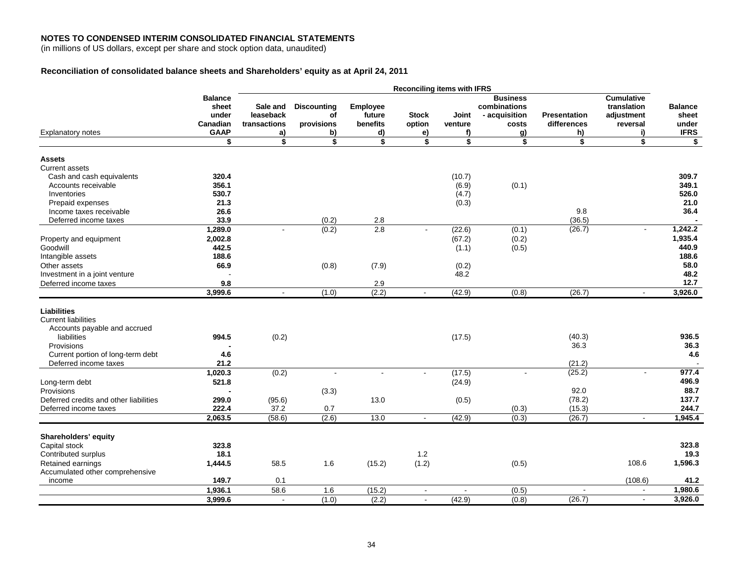(in millions of US dollars, except per share and stock option data, unaudited)

## **Reconciliation of consolidated balance sheets and Shareholders' equity as at April 24, 2011**

|                                        |                | <b>Reconciling items with IFRS</b> |                    |                 |              |         |                 |                     |                   |                |  |
|----------------------------------------|----------------|------------------------------------|--------------------|-----------------|--------------|---------|-----------------|---------------------|-------------------|----------------|--|
|                                        | <b>Balance</b> |                                    |                    |                 |              |         | <b>Business</b> |                     | <b>Cumulative</b> |                |  |
|                                        | sheet          | Sale and                           | <b>Discounting</b> | <b>Employee</b> |              |         | combinations    |                     | translation       | <b>Balance</b> |  |
|                                        | under          | leaseback                          | of                 | future          | <b>Stock</b> | Joint   | - acquisition   | <b>Presentation</b> | adjustment        | sheet          |  |
|                                        | Canadian       | transactions                       | provisions         | benefits        | option       | venture | costs           | differences         | reversal          | under          |  |
| <b>Explanatory notes</b>               | <b>GAAP</b>    | a)                                 | b)                 | d)              | e)           | f)      | <u>g)</u>       | h)                  | i)                | <b>IFRS</b>    |  |
|                                        | \$             | \$                                 | \$                 | \$              | \$           | \$      | \$              | \$                  | \$                | \$             |  |
| <b>Assets</b>                          |                |                                    |                    |                 |              |         |                 |                     |                   |                |  |
| <b>Current assets</b>                  |                |                                    |                    |                 |              |         |                 |                     |                   |                |  |
| Cash and cash equivalents              | 320.4          |                                    |                    |                 |              | (10.7)  |                 |                     |                   | 309.7          |  |
| Accounts receivable                    | 356.1          |                                    |                    |                 |              | (6.9)   | (0.1)           |                     |                   | 349.1          |  |
| Inventories                            | 530.7          |                                    |                    |                 |              | (4.7)   |                 |                     |                   | 526.0          |  |
| Prepaid expenses                       | 21.3           |                                    |                    |                 |              | (0.3)   |                 |                     |                   | 21.0           |  |
| Income taxes receivable                | 26.6           |                                    |                    |                 |              |         |                 | 9.8                 |                   | 36.4           |  |
| Deferred income taxes                  | 33.9           |                                    | (0.2)              | 2.8             |              |         |                 | (36.5)              |                   |                |  |
|                                        | 1,289.0        |                                    | (0.2)              | 2.8             |              | (22.6)  | (0.1)           | (26.7)              |                   | 1,242.2        |  |
|                                        | 2,002.8        |                                    |                    |                 |              | (67.2)  | (0.2)           |                     |                   | 1,935.4        |  |
| Property and equipment                 |                |                                    |                    |                 |              |         |                 |                     |                   | 440.9          |  |
| Goodwill                               | 442.5          |                                    |                    |                 |              | (1.1)   | (0.5)           |                     |                   |                |  |
| Intangible assets                      | 188.6          |                                    |                    |                 |              |         |                 |                     |                   | 188.6          |  |
| Other assets                           | 66.9           |                                    | (0.8)              | (7.9)           |              | (0.2)   |                 |                     |                   | 58.0           |  |
| Investment in a joint venture          |                |                                    |                    |                 |              | 48.2    |                 |                     |                   | 48.2           |  |
| Deferred income taxes                  | 9.8            |                                    |                    | 2.9             |              |         |                 |                     |                   | 12.7           |  |
|                                        | 3,999.6        | $\sim$                             | (1.0)              | (2.2)           |              | (42.9)  | (0.8)           | (26.7)              | $\sim$            | 3,926.0        |  |
|                                        |                |                                    |                    |                 |              |         |                 |                     |                   |                |  |
| <b>Liabilities</b>                     |                |                                    |                    |                 |              |         |                 |                     |                   |                |  |
| <b>Current liabilities</b>             |                |                                    |                    |                 |              |         |                 |                     |                   |                |  |
| Accounts payable and accrued           |                |                                    |                    |                 |              |         |                 |                     |                   | 936.5          |  |
| liabilities                            | 994.5          | (0.2)                              |                    |                 |              | (17.5)  |                 | (40.3)              |                   |                |  |
| Provisions                             |                |                                    |                    |                 |              |         |                 | 36.3                |                   | 36.3           |  |
| Current portion of long-term debt      | 4.6            |                                    |                    |                 |              |         |                 |                     |                   | 4.6            |  |
| Deferred income taxes                  | 21.2           |                                    |                    |                 |              |         |                 | (21.2)              |                   |                |  |
|                                        | 1,020.3        | (0.2)                              | $\blacksquare$     |                 | $\sim$       | (17.5)  |                 | (25.2)              |                   | 977.4          |  |
| Long-term debt                         | 521.8          |                                    |                    |                 |              | (24.9)  |                 |                     |                   | 496.9          |  |
| Provisions                             |                |                                    | (3.3)              |                 |              |         |                 | 92.0                |                   | 88.7           |  |
| Deferred credits and other liabilities | 299.0          | (95.6)                             |                    | 13.0            |              | (0.5)   |                 | (78.2)              |                   | 137.7          |  |
| Deferred income taxes                  | 222.4          | 37.2                               | 0.7                |                 |              |         | (0.3)           | (15.3)              |                   | 244.7          |  |
|                                        | 2,063.5        | (58.6)                             | (2.6)              | 13.0            | $\sim$       | (42.9)  | (0.3)           | (26.7)              | $\sim$            | 1,945.4        |  |
|                                        |                |                                    |                    |                 |              |         |                 |                     |                   |                |  |
| Shareholders' equity                   |                |                                    |                    |                 |              |         |                 |                     |                   |                |  |
| Capital stock                          | 323.8          |                                    |                    |                 |              |         |                 |                     |                   | 323.8          |  |
| Contributed surplus                    | 18.1           |                                    |                    |                 | 1.2          |         |                 |                     |                   | 19.3           |  |
| Retained earnings                      | 1,444.5        | 58.5                               | 1.6                | (15.2)          | (1.2)        |         | (0.5)           |                     | 108.6             | 1,596.3        |  |
| Accumulated other comprehensive        |                |                                    |                    |                 |              |         |                 |                     |                   |                |  |
| income                                 | 149.7          | 0.1                                |                    |                 |              |         |                 |                     | (108.6)           | 41.2           |  |
|                                        | 1,936.1        | 58.6                               | 1.6                | (15.2)          | $\sim$       |         | (0.5)           | $\sim$              | $\sim$            | 1,980.6        |  |
|                                        | 3,999.6        | $\sim$                             | (1.0)              | (2.2)           | $\sim$       | (42.9)  | (0.8)           | (26.7)              | $\mathbf{r}$      | 3,926.0        |  |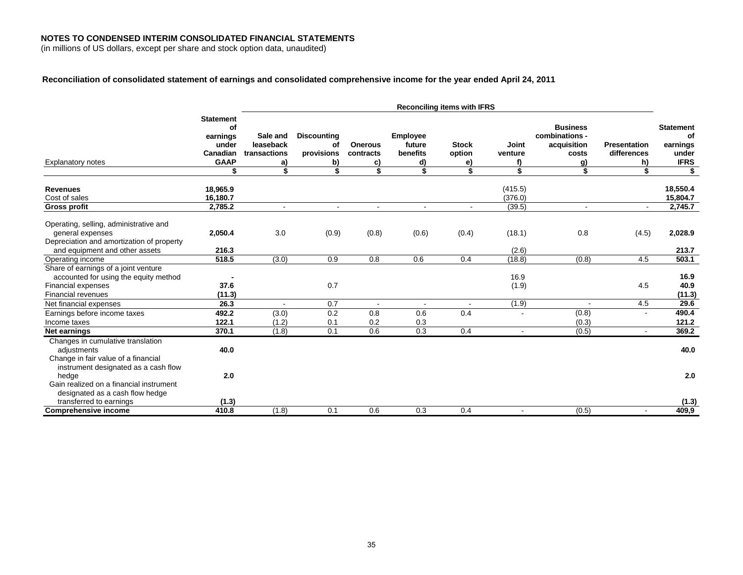(in millions of US dollars, except per share and stock option data, unaudited)

## **Reconciliation of consolidated statement of earnings and consolidated comprehensive income for the year ended April 24, 2011**

|                                                                                                                                         | <b>Reconciling items with IFRS</b>                                     |                                                   |                                                    |                                         |                                      |                                    |                              |                                                                       |                                          |                                                            |
|-----------------------------------------------------------------------------------------------------------------------------------------|------------------------------------------------------------------------|---------------------------------------------------|----------------------------------------------------|-----------------------------------------|--------------------------------------|------------------------------------|------------------------------|-----------------------------------------------------------------------|------------------------------------------|------------------------------------------------------------|
| <b>Explanatory notes</b>                                                                                                                | <b>Statement</b><br>of<br>earnings<br>under<br>Canadian<br><b>GAAP</b> | Sale and<br>leaseback<br>transactions<br>a)<br>\$ | <b>Discounting</b><br>of<br>provisions<br>b)<br>\$ | <b>Onerous</b><br>contracts<br>C)<br>\$ | Employee<br>future<br>benefits<br>d) | <b>Stock</b><br>option<br>e)<br>\$ | Joint<br>venture<br>f)<br>\$ | <b>Business</b><br>combinations -<br>acquisition<br>costs<br>g)<br>\$ | <b>Presentation</b><br>differences<br>h) | <b>Statement</b><br>of<br>earnings<br>under<br><b>IFRS</b> |
|                                                                                                                                         |                                                                        |                                                   |                                                    |                                         | \$                                   |                                    |                              |                                                                       |                                          | \$                                                         |
| <b>Revenues</b><br>Cost of sales<br><b>Gross profit</b>                                                                                 | 18,965.9<br>16,180.7<br>2,785.2                                        | $\blacksquare$                                    | $\overline{\phantom{a}}$                           |                                         |                                      |                                    | (415.5)<br>(376.0)<br>(39.5) | $\blacksquare$                                                        | $\sim$                                   | 18,550.4<br>15,804.7<br>2,745.7                            |
| Operating, selling, administrative and<br>general expenses<br>Depreciation and amortization of property                                 | 2,050.4                                                                | 3.0                                               | (0.9)                                              | (0.8)                                   | (0.6)                                | (0.4)                              | (18.1)                       | 0.8                                                                   | (4.5)                                    | 2,028.9                                                    |
| and equipment and other assets                                                                                                          | 216.3                                                                  |                                                   |                                                    |                                         |                                      |                                    | (2.6)                        |                                                                       |                                          | 213.7                                                      |
| Operating income                                                                                                                        | 518.5                                                                  | (3.0)                                             | 0.9                                                | 0.8                                     | 0.6                                  | 0.4                                | (18.8)                       | (0.8)                                                                 | 4.5                                      | 503.1                                                      |
| Share of earnings of a joint venture<br>accounted for using the equity method<br><b>Financial expenses</b><br><b>Financial revenues</b> | 37.6<br>(11.3)                                                         |                                                   | 0.7                                                |                                         |                                      |                                    | 16.9<br>(1.9)                |                                                                       | 4.5                                      | 16.9<br>40.9<br>(11.3)                                     |
| Net financial expenses                                                                                                                  | 26.3                                                                   |                                                   | 0.7                                                |                                         |                                      |                                    | (1.9)                        |                                                                       | 4.5                                      | 29.6                                                       |
| Earnings before income taxes<br>Income taxes                                                                                            | 492.2<br>122.1                                                         | (3.0)<br>(1.2)                                    | 0.2<br>0.1                                         | 0.8<br>0.2                              | 0.6<br>0.3                           | 0.4                                |                              | (0.8)<br>(0.3)                                                        |                                          | 490.4<br>121.2                                             |
| Net earnings                                                                                                                            | 370.1                                                                  | (1.8)                                             | 0.1                                                | 0.6                                     | 0.3                                  | 0.4                                | $\blacksquare$               | (0.5)                                                                 | $\blacksquare$                           | 369.2                                                      |
| Changes in cumulative translation<br>adjustments<br>Change in fair value of a financial<br>instrument designated as a cash flow         | 40.0                                                                   |                                                   |                                                    |                                         |                                      |                                    |                              |                                                                       |                                          | 40.0                                                       |
| hedge<br>Gain realized on a financial instrument<br>designated as a cash flow hedge                                                     | 2.0                                                                    |                                                   |                                                    |                                         |                                      |                                    |                              |                                                                       |                                          | 2.0                                                        |
| transferred to earnings                                                                                                                 | (1.3)                                                                  |                                                   |                                                    |                                         |                                      |                                    |                              |                                                                       |                                          | (1.3)                                                      |
| <b>Comprehensive income</b>                                                                                                             | 410.8                                                                  | (1.8)                                             | 0.1                                                | 0.6                                     | 0.3                                  | 0.4                                | $\sim$                       | (0.5)                                                                 |                                          | 409.9                                                      |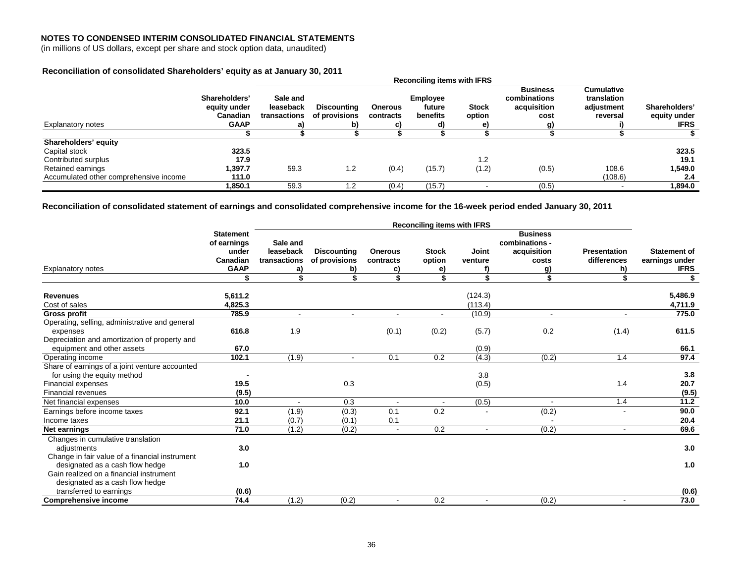(in millions of US dollars, except per share and stock option data, unaudited)

## **Reconciliation of consolidated Shareholders' equity as at January 30, 2011**

|                                        | Shareholders'   | Sale and     |                    |                | <b>Employee</b> |              | <b>Business</b><br>combinations | <b>Cumulative</b><br>translation |               |
|----------------------------------------|-----------------|--------------|--------------------|----------------|-----------------|--------------|---------------------------------|----------------------------------|---------------|
|                                        | equity under    | leaseback    | <b>Discounting</b> | <b>Onerous</b> | future          | <b>Stock</b> | acquisition                     | adjustment                       | Shareholders' |
|                                        | <b>Canadian</b> | transactions | of provisions      | contracts      | benefits        | option       | cost                            | reversal                         | equity under  |
| <b>Explanatory notes</b>               | <b>GAAP</b>     |              | b)                 |                | d)              |              | a)                              |                                  | <b>IFRS</b>   |
|                                        |                 |              |                    |                |                 |              |                                 |                                  |               |
| Shareholders' equity                   |                 |              |                    |                |                 |              |                                 |                                  |               |
| Capital stock                          | 323.5           |              |                    |                |                 |              |                                 |                                  | 323.5         |
| Contributed surplus                    | 17.9            |              |                    |                |                 | 1.2          |                                 |                                  | 19.1          |
| Retained earnings                      | 1.397.7         | 59.3         | 1.2                | (0.4)          | (15.7)          | (1.2)        | (0.5)                           | 108.6                            | 1,549.0       |
| Accumulated other comprehensive income | 111.0           |              |                    |                |                 |              |                                 | (108.6)                          | 2.4           |
|                                        | 1.850.1         | 59.3         | 1.2                | (0.4)          | (15.7)          | . .          | (0.5)                           | $\overline{\phantom{0}}$         | 1.894.0       |

**Reconciliation of consolidated statement of earnings and consolidated comprehensive income for the 16-week period ended January 30, 2011** 

|                                                            |                                          | <b>Reconciling items with IFRS</b> |                    |                |                |         |                                                  |                     |                     |  |  |
|------------------------------------------------------------|------------------------------------------|------------------------------------|--------------------|----------------|----------------|---------|--------------------------------------------------|---------------------|---------------------|--|--|
|                                                            | <b>Statement</b><br>of earnings<br>under | Sale and<br>leaseback              | <b>Discounting</b> | <b>Onerous</b> | <b>Stock</b>   | Joint   | <b>Business</b><br>combinations -<br>acquisition | <b>Presentation</b> | <b>Statement of</b> |  |  |
|                                                            | Canadian                                 | transactions                       | of provisions      | contracts      | option         | venture | costs                                            | differences         | earnings under      |  |  |
| <b>Explanatory notes</b>                                   | <b>GAAP</b>                              | a)                                 | b)                 | C)             | e)             |         | g)                                               | h)                  | <b>IFRS</b>         |  |  |
|                                                            |                                          | \$                                 |                    | \$             | \$             | \$      | \$                                               | \$                  | \$                  |  |  |
|                                                            |                                          |                                    |                    |                |                | (124.3) |                                                  |                     | 5,486.9             |  |  |
| <b>Revenues</b><br>Cost of sales                           | 5,611.2<br>4,825.3                       |                                    |                    |                |                | (113.4) |                                                  |                     |                     |  |  |
| Gross profit                                               | 785.9                                    | $\sim$                             | $\sim$             | $\blacksquare$ | $\blacksquare$ | (10.9)  | $\blacksquare$                                   | $\blacksquare$      | 4,711.9<br>775.0    |  |  |
|                                                            |                                          |                                    |                    |                |                |         |                                                  |                     |                     |  |  |
| Operating, selling, administrative and general<br>expenses | 616.8                                    | 1.9                                |                    | (0.1)          | (0.2)          | (5.7)   | 0.2                                              | (1.4)               | 611.5               |  |  |
| Depreciation and amortization of property and              |                                          |                                    |                    |                |                |         |                                                  |                     |                     |  |  |
| equipment and other assets                                 | 67.0                                     |                                    |                    |                |                | (0.9)   |                                                  |                     | 66.1                |  |  |
| Operating income                                           | 102.1                                    | (1.9)                              | $\overline{a}$     | 0.1            | 0.2            | (4.3)   | (0.2)                                            | 1.4                 | 97.4                |  |  |
| Share of earnings of a joint venture accounted             |                                          |                                    |                    |                |                |         |                                                  |                     |                     |  |  |
| for using the equity method                                |                                          |                                    |                    |                |                | 3.8     |                                                  |                     | 3.8                 |  |  |
| Financial expenses                                         | 19.5                                     |                                    | 0.3                |                |                | (0.5)   |                                                  | 1.4                 | 20.7                |  |  |
| <b>Financial revenues</b>                                  | (9.5)                                    |                                    |                    |                |                |         |                                                  |                     | (9.5)               |  |  |
| Net financial expenses                                     | 10.0                                     | $\overline{\phantom{a}}$           | 0.3                | $\blacksquare$ |                | (0.5)   |                                                  | 1.4                 | 11.2                |  |  |
| Earnings before income taxes                               | 92.1                                     | (1.9)                              | (0.3)              | 0.1            | 0.2            |         | (0.2)                                            |                     | 90.0                |  |  |
| Income taxes                                               | 21.1                                     | (0.7)                              | (0.1)              | 0.1            |                |         |                                                  |                     | 20.4                |  |  |
| Net earnings                                               | 71.0                                     | (1.2)                              | (0.2)              | $\blacksquare$ | 0.2            |         | (0.2)                                            | $\blacksquare$      | 69.6                |  |  |
| Changes in cumulative translation                          |                                          |                                    |                    |                |                |         |                                                  |                     |                     |  |  |
| adjustments                                                | 3.0                                      |                                    |                    |                |                |         |                                                  |                     | 3.0                 |  |  |
| Change in fair value of a financial instrument             |                                          |                                    |                    |                |                |         |                                                  |                     |                     |  |  |
| designated as a cash flow hedge                            | 1.0                                      |                                    |                    |                |                |         |                                                  |                     | 1.0                 |  |  |
| Gain realized on a financial instrument                    |                                          |                                    |                    |                |                |         |                                                  |                     |                     |  |  |
| designated as a cash flow hedge                            |                                          |                                    |                    |                |                |         |                                                  |                     |                     |  |  |
| transferred to earnings                                    | (0.6)                                    |                                    |                    |                |                |         |                                                  |                     | (0.6)               |  |  |
| <b>Comprehensive income</b>                                | 74.4                                     | (1.2)                              | (0.2)              | $\blacksquare$ | 0.2            |         | (0.2)                                            |                     | 73.0                |  |  |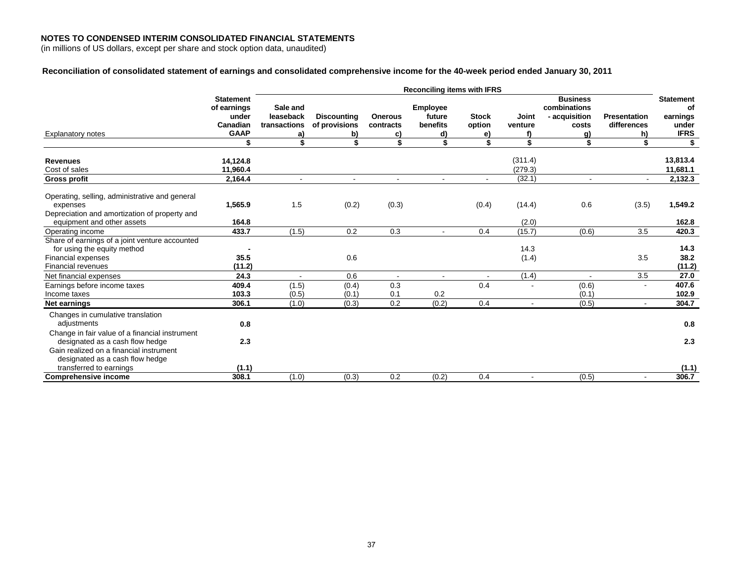(in millions of US dollars, except per share and stock option data, unaudited)

## **Reconciliation of consolidated statement of earnings and consolidated comprehensive income for the 40-week period ended January 30, 2011**

|                                                                                                                                                                 |                                                                     |                                             | <b>Reconciling items with IFRS</b>        |                                   |                                             |                              |                    |                                                           |                                          |                                                            |
|-----------------------------------------------------------------------------------------------------------------------------------------------------------------|---------------------------------------------------------------------|---------------------------------------------|-------------------------------------------|-----------------------------------|---------------------------------------------|------------------------------|--------------------|-----------------------------------------------------------|------------------------------------------|------------------------------------------------------------|
| <b>Explanatory notes</b>                                                                                                                                        | <b>Statement</b><br>of earnings<br>under<br>Canadian<br><b>GAAP</b> | Sale and<br>leaseback<br>transactions<br>a) | <b>Discounting</b><br>of provisions<br>b) | <b>Onerous</b><br>contracts<br>C) | <b>Employee</b><br>future<br>benefits<br>d) | <b>Stock</b><br>option<br>e) | Joint<br>venture   | <b>Business</b><br>combinations<br>- acquisition<br>costs | <b>Presentation</b><br>differences<br>h) | <b>Statement</b><br>οf<br>earnings<br>under<br><b>IFRS</b> |
|                                                                                                                                                                 | \$                                                                  |                                             |                                           | \$                                |                                             | \$                           | \$                 | \$                                                        | \$                                       | \$                                                         |
| <b>Revenues</b><br>Cost of sales                                                                                                                                | 14,124.8<br>11,960.4                                                |                                             |                                           |                                   |                                             |                              | (311.4)<br>(279.3) |                                                           |                                          | 13,813.4<br>11,681.1                                       |
| <b>Gross profit</b>                                                                                                                                             | 2,164.4                                                             | $\sim$                                      | $\sim$                                    | $\blacksquare$                    |                                             |                              | (32.1)             | $\blacksquare$                                            | $\sim$                                   | 2,132.3                                                    |
| Operating, selling, administrative and general<br>expenses<br>Depreciation and amortization of property and                                                     | 1,565.9                                                             | 1.5                                         | (0.2)                                     | (0.3)                             |                                             | (0.4)                        | (14.4)             | 0.6                                                       | (3.5)                                    | 1,549.2                                                    |
| equipment and other assets                                                                                                                                      | 164.8                                                               |                                             |                                           |                                   |                                             |                              | (2.0)              |                                                           |                                          | 162.8                                                      |
| Operating income                                                                                                                                                | 433.7                                                               | (1.5)                                       | 0.2                                       | 0.3                               |                                             | 0.4                          | (15.7)             | (0.6)                                                     | 3.5                                      | 420.3                                                      |
| Share of earnings of a joint venture accounted<br>for using the equity method                                                                                   |                                                                     |                                             |                                           |                                   |                                             |                              | 14.3               |                                                           |                                          | 14.3                                                       |
| <b>Financial expenses</b><br><b>Financial revenues</b>                                                                                                          | 35.5<br>(11.2)                                                      |                                             | 0.6                                       |                                   |                                             |                              | (1.4)              |                                                           | 3.5                                      | 38.2<br>(11.2)                                             |
| Net financial expenses                                                                                                                                          | 24.3                                                                |                                             | 0.6                                       | $\overline{\phantom{a}}$          |                                             | $\blacksquare$               | (1.4)              |                                                           | 3.5                                      | 27.0                                                       |
| Earnings before income taxes<br>Income taxes                                                                                                                    | 409.4<br>103.3                                                      | (1.5)<br>(0.5)                              | (0.4)<br>(0.1)                            | 0.3<br>0.1                        | 0.2                                         | 0.4                          |                    | (0.6)<br>(0.1)                                            | $\blacksquare$                           | 407.6<br>102.9                                             |
| Net earnings                                                                                                                                                    | 306.1                                                               | (1.0)                                       | (0.3)                                     | 0.2                               | (0.2)                                       | 0.4                          |                    | (0.5)                                                     |                                          | 304.7                                                      |
| Changes in cumulative translation<br>adjustments                                                                                                                | 0.8                                                                 |                                             |                                           |                                   |                                             |                              |                    |                                                           |                                          | 0.8                                                        |
| Change in fair value of a financial instrument<br>designated as a cash flow hedge<br>Gain realized on a financial instrument<br>designated as a cash flow hedge | 2.3                                                                 |                                             |                                           |                                   |                                             |                              |                    |                                                           |                                          | 2.3                                                        |
| transferred to earnings                                                                                                                                         | (1.1)                                                               |                                             |                                           |                                   |                                             |                              |                    |                                                           |                                          | (1.1)                                                      |
| <b>Comprehensive income</b>                                                                                                                                     | 308.1                                                               | (1.0)                                       | (0.3)                                     | 0.2                               | (0.2)                                       | 0.4                          |                    | (0.5)                                                     | $\blacksquare$                           | 306.7                                                      |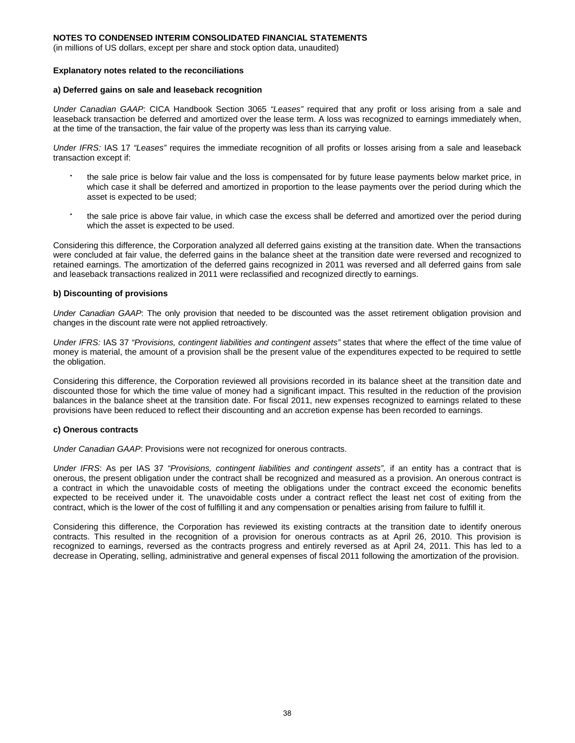(in millions of US dollars, except per share and stock option data, unaudited)

#### **Explanatory notes related to the reconciliations**

#### **a) Deferred gains on sale and leaseback recognition**

*Under Canadian GAAP*: CICA Handbook Section 3065 *"Leases"* required that any profit or loss arising from a sale and leaseback transaction be deferred and amortized over the lease term. A loss was recognized to earnings immediately when, at the time of the transaction, the fair value of the property was less than its carrying value.

*Under IFRS:* IAS 17 *"Leases"* requires the immediate recognition of all profits or losses arising from a sale and leaseback transaction except if:

- the sale price is below fair value and the loss is compensated for by future lease payments below market price, in which case it shall be deferred and amortized in proportion to the lease payments over the period during which the asset is expected to be used;
- the sale price is above fair value, in which case the excess shall be deferred and amortized over the period during which the asset is expected to be used.

Considering this difference, the Corporation analyzed all deferred gains existing at the transition date. When the transactions were concluded at fair value, the deferred gains in the balance sheet at the transition date were reversed and recognized to retained earnings. The amortization of the deferred gains recognized in 2011 was reversed and all deferred gains from sale and leaseback transactions realized in 2011 were reclassified and recognized directly to earnings.

#### **b) Discounting of provisions**

*Under Canadian GAAP*: The only provision that needed to be discounted was the asset retirement obligation provision and changes in the discount rate were not applied retroactively.

*Under IFRS:* IAS 37 *"Provisions, contingent liabilities and contingent assets"* states that where the effect of the time value of money is material, the amount of a provision shall be the present value of the expenditures expected to be required to settle the obligation.

Considering this difference, the Corporation reviewed all provisions recorded in its balance sheet at the transition date and discounted those for which the time value of money had a significant impact. This resulted in the reduction of the provision balances in the balance sheet at the transition date. For fiscal 2011, new expenses recognized to earnings related to these provisions have been reduced to reflect their discounting and an accretion expense has been recorded to earnings.

#### **c) Onerous contracts**

*Under Canadian GAAP*: Provisions were not recognized for onerous contracts.

*Under IFRS*: As per IAS 37 *"Provisions, contingent liabilities and contingent assets",* if an entity has a contract that is onerous, the present obligation under the contract shall be recognized and measured as a provision. An onerous contract is a contract in which the unavoidable costs of meeting the obligations under the contract exceed the economic benefits expected to be received under it. The unavoidable costs under a contract reflect the least net cost of exiting from the contract, which is the lower of the cost of fulfilling it and any compensation or penalties arising from failure to fulfill it.

Considering this difference, the Corporation has reviewed its existing contracts at the transition date to identify onerous contracts. This resulted in the recognition of a provision for onerous contracts as at April 26, 2010. This provision is recognized to earnings, reversed as the contracts progress and entirely reversed as at April 24, 2011. This has led to a decrease in Operating, selling, administrative and general expenses of fiscal 2011 following the amortization of the provision.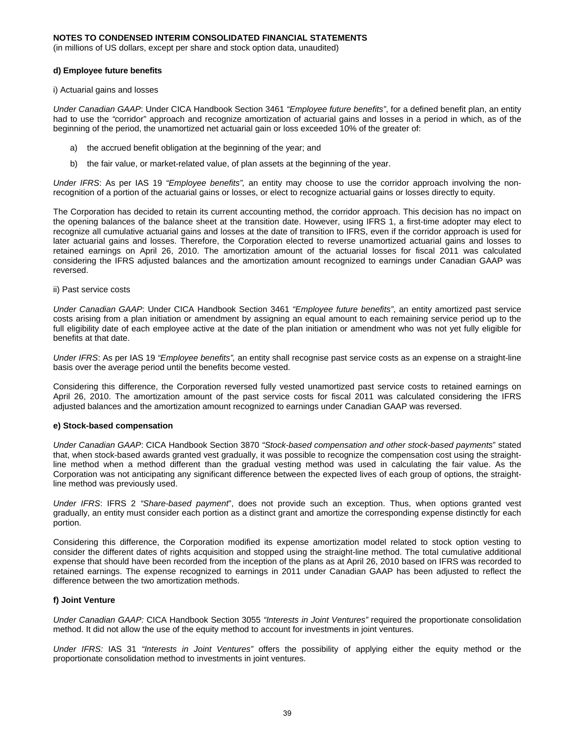(in millions of US dollars, except per share and stock option data, unaudited)

#### **d) Employee future benefits**

i) Actuarial gains and losses

*Under Canadian GAAP*: Under CICA Handbook Section 3461 *"Employee future benefits"*, for a defined benefit plan, an entity had to use the *"*corridor" approach and recognize amortization of actuarial gains and losses in a period in which, as of the beginning of the period, the unamortized net actuarial gain or loss exceeded 10% of the greater of:

- a) the accrued benefit obligation at the beginning of the year; and
- b) the fair value, or market-related value, of plan assets at the beginning of the year.

*Under IFRS*: As per IAS 19 *"Employee benefits",* an entity may choose to use the corridor approach involving the nonrecognition of a portion of the actuarial gains or losses, or elect to recognize actuarial gains or losses directly to equity.

The Corporation has decided to retain its current accounting method, the corridor approach. This decision has no impact on the opening balances of the balance sheet at the transition date. However, using IFRS 1, a first-time adopter may elect to recognize all cumulative actuarial gains and losses at the date of transition to IFRS, even if the corridor approach is used for later actuarial gains and losses. Therefore, the Corporation elected to reverse unamortized actuarial gains and losses to retained earnings on April 26, 2010. The amortization amount of the actuarial losses for fiscal 2011 was calculated considering the IFRS adjusted balances and the amortization amount recognized to earnings under Canadian GAAP was reversed.

ii) Past service costs

*Under Canadian GAAP*: Under CICA Handbook Section 3461 *"Employee future benefits"*, an entity amortized past service costs arising from a plan initiation or amendment by assigning an equal amount to each remaining service period up to the full eligibility date of each employee active at the date of the plan initiation or amendment who was not yet fully eligible for benefits at that date.

*Under IFRS*: As per IAS 19 *"Employee benefits",* an entity shall recognise past service costs as an expense on a straight-line basis over the average period until the benefits become vested.

Considering this difference, the Corporation reversed fully vested unamortized past service costs to retained earnings on April 26, 2010. The amortization amount of the past service costs for fiscal 2011 was calculated considering the IFRS adjusted balances and the amortization amount recognized to earnings under Canadian GAAP was reversed.

#### **e) Stock-based compensation**

*Under Canadian GAAP*: CICA Handbook Section 3870 *"Stock-based compensation and other stock-based payments*" stated that, when stock-based awards granted vest gradually, it was possible to recognize the compensation cost using the straightline method when a method different than the gradual vesting method was used in calculating the fair value. As the Corporation was not anticipating any significant difference between the expected lives of each group of options, the straightline method was previously used.

*Under IFRS*: IFRS 2 *"Share-based payment*", does not provide such an exception. Thus, when options granted vest gradually, an entity must consider each portion as a distinct grant and amortize the corresponding expense distinctly for each portion.

Considering this difference, the Corporation modified its expense amortization model related to stock option vesting to consider the different dates of rights acquisition and stopped using the straight-line method. The total cumulative additional expense that should have been recorded from the inception of the plans as at April 26, 2010 based on IFRS was recorded to retained earnings. The expense recognized to earnings in 2011 under Canadian GAAP has been adjusted to reflect the difference between the two amortization methods.

### **f) Joint Venture**

*Under Canadian GAAP:* CICA Handbook Section 3055 *"Interests in Joint Ventures"* required the proportionate consolidation method. It did not allow the use of the equity method to account for investments in joint ventures.

*Under IFRS:* IAS 31 *"Interests in Joint Ventures"* offers the possibility of applying either the equity method or the proportionate consolidation method to investments in joint ventures.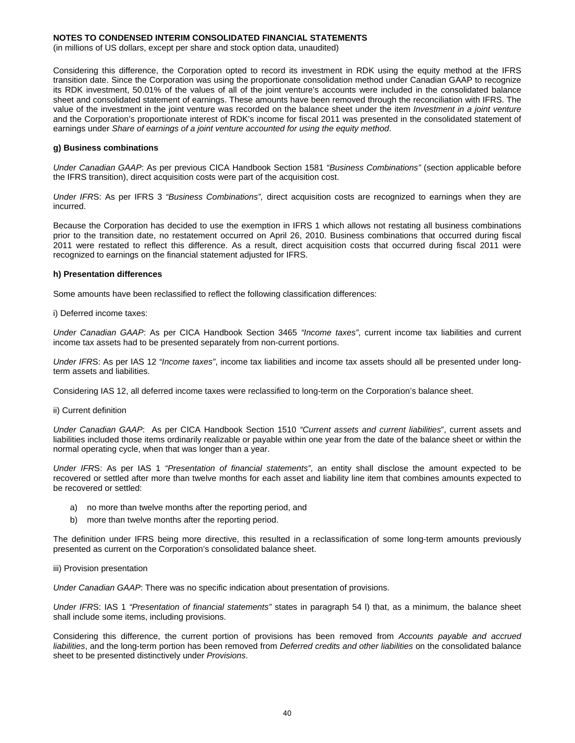(in millions of US dollars, except per share and stock option data, unaudited)

Considering this difference, the Corporation opted to record its investment in RDK using the equity method at the IFRS transition date. Since the Corporation was using the proportionate consolidation method under Canadian GAAP to recognize its RDK investment, 50.01% of the values of all of the joint venture's accounts were included in the consolidated balance sheet and consolidated statement of earnings. These amounts have been removed through the reconciliation with IFRS. The value of the investment in the joint venture was recorded on the balance sheet under the item *Investment in a joint venture*  and the Corporation's proportionate interest of RDK's income for fiscal 2011 was presented in the consolidated statement of earnings under *Share of earnings of a joint venture accounted for using the equity method*.

#### **g) Business combinations**

*Under Canadian GAAP*: As per previous CICA Handbook Section 1581 *"Business Combinations"* (section applicable before the IFRS transition), direct acquisition costs were part of the acquisition cost.

*Under IFR*S: As per IFRS 3 *"Business Combinations",* direct acquisition costs are recognized to earnings when they are incurred.

Because the Corporation has decided to use the exemption in IFRS 1 which allows not restating all business combinations prior to the transition date, no restatement occurred on April 26, 2010. Business combinations that occurred during fiscal 2011 were restated to reflect this difference. As a result, direct acquisition costs that occurred during fiscal 2011 were recognized to earnings on the financial statement adjusted for IFRS.

#### **h) Presentation differences**

Some amounts have been reclassified to reflect the following classification differences:

i) Deferred income taxes:

*Under Canadian GAAP*: As per CICA Handbook Section 3465 *"Income taxes"*, current income tax liabilities and current income tax assets had to be presented separately from non-current portions.

*Under IFR*S: As per IAS 12 *"Income taxes"*, income tax liabilities and income tax assets should all be presented under longterm assets and liabilities.

Considering IAS 12, all deferred income taxes were reclassified to long-term on the Corporation's balance sheet.

ii) Current definition

*Under Canadian GAAP*: As per CICA Handbook Section 1510 *"Current assets and current liabilities*", current assets and liabilities included those items ordinarily realizable or payable within one year from the date of the balance sheet or within the normal operating cycle, when that was longer than a year.

*Under IFR*S: As per IAS 1 *"Presentation of financial statements"*, an entity shall disclose the amount expected to be recovered or settled after more than twelve months for each asset and liability line item that combines amounts expected to be recovered or settled:

- a) no more than twelve months after the reporting period, and
- b) more than twelve months after the reporting period.

The definition under IFRS being more directive, this resulted in a reclassification of some long-term amounts previously presented as current on the Corporation's consolidated balance sheet.

#### iii) Provision presentation

*Under Canadian GAAP*: There was no specific indication about presentation of provisions.

*Under IFR*S: IAS 1 *"Presentation of financial statements"* states in paragraph 54 l) that, as a minimum, the balance sheet shall include some items, including provisions.

Considering this difference, the current portion of provisions has been removed from *Accounts payable and accrued liabilities*, and the long-term portion has been removed from *Deferred credits and other liabilities* on the consolidated balance sheet to be presented distinctively under *Provisions*.